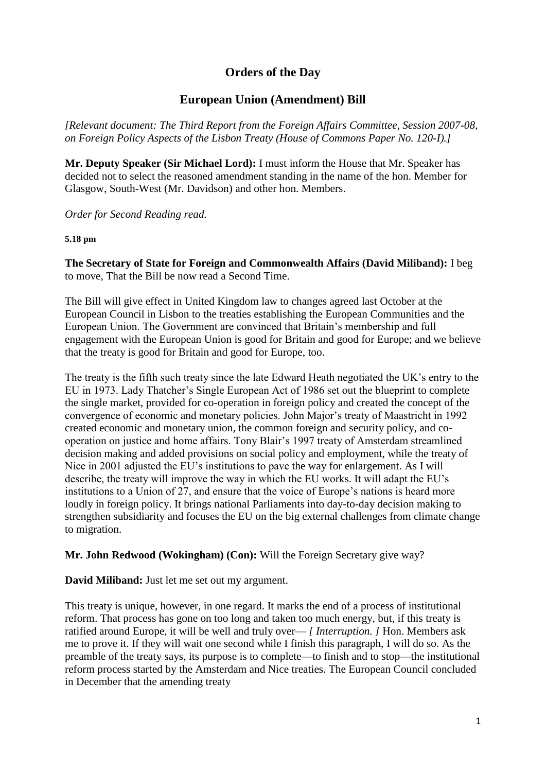# **Orders of the Day**

# **European Union (Amendment) Bill**

*[Relevant document: The Third Report from the Foreign Affairs Committee, Session 2007-08, on Foreign Policy Aspects of the Lisbon Treaty (House of Commons Paper No. 120-I).]*

**Mr. Deputy Speaker (Sir Michael Lord):** I must inform the House that Mr. Speaker has decided not to select the reasoned amendment standing in the name of the hon. Member for Glasgow, South-West (Mr. Davidson) and other hon. Members.

*Order for Second Reading read.*

#### **5.18 pm**

**The Secretary of State for Foreign and Commonwealth Affairs (David Miliband):** I beg to move, That the Bill be now read a Second Time.

The Bill will give effect in United Kingdom law to changes agreed last October at the European Council in Lisbon to the treaties establishing the European Communities and the European Union. The Government are convinced that Britain's membership and full engagement with the European Union is good for Britain and good for Europe; and we believe that the treaty is good for Britain and good for Europe, too.

The treaty is the fifth such treaty since the late Edward Heath negotiated the UK's entry to the EU in 1973. Lady Thatcher's Single European Act of 1986 set out the blueprint to complete the single market, provided for co-operation in foreign policy and created the concept of the convergence of economic and monetary policies. John Major's treaty of Maastricht in 1992 created economic and monetary union, the common foreign and security policy, and cooperation on justice and home affairs. Tony Blair's 1997 treaty of Amsterdam streamlined decision making and added provisions on social policy and employment, while the treaty of Nice in 2001 adjusted the EU's institutions to pave the way for enlargement. As I will describe, the treaty will improve the way in which the EU works. It will adapt the EU's institutions to a Union of 27, and ensure that the voice of Europe's nations is heard more loudly in foreign policy. It brings national Parliaments into day-to-day decision making to strengthen subsidiarity and focuses the EU on the big external challenges from climate change to migration.

**Mr. John Redwood (Wokingham) (Con):** Will the Foreign Secretary give way?

**David Miliband:** Just let me set out my argument.

This treaty is unique, however, in one regard. It marks the end of a process of institutional reform. That process has gone on too long and taken too much energy, but, if this treaty is ratified around Europe, it will be well and truly over— *[ Interruption. ]* Hon. Members ask me to prove it. If they will wait one second while I finish this paragraph, I will do so. As the preamble of the treaty says, its purpose is to complete—to finish and to stop—the institutional reform process started by the Amsterdam and Nice treaties. The European Council concluded in December that the amending treaty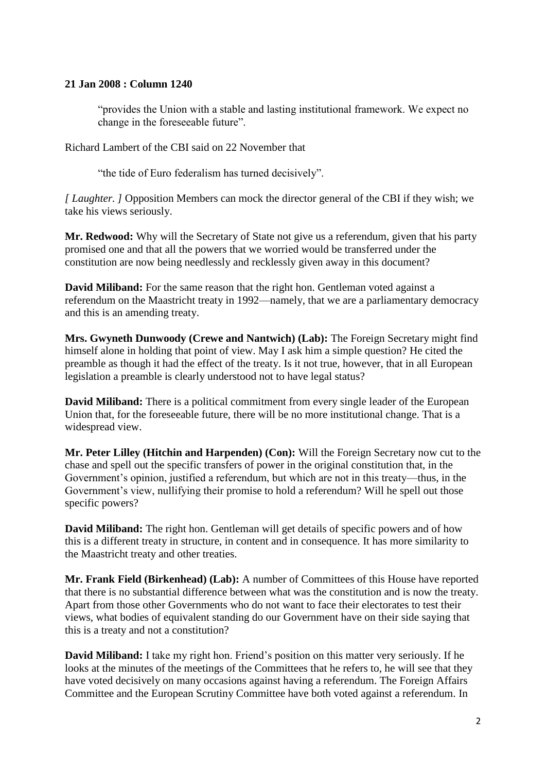#### **21 Jan 2008 : Column 1240**

"provides the Union with a stable and lasting institutional framework. We expect no change in the foreseeable future".

Richard Lambert of the CBI said on 22 November that

"the tide of Euro federalism has turned decisively".

*[ Laughter. ]* Opposition Members can mock the director general of the CBI if they wish; we take his views seriously.

**Mr. Redwood:** Why will the Secretary of State not give us a referendum, given that his party promised one and that all the powers that we worried would be transferred under the constitution are now being needlessly and recklessly given away in this document?

**David Miliband:** For the same reason that the right hon. Gentleman voted against a referendum on the Maastricht treaty in 1992—namely, that we are a parliamentary democracy and this is an amending treaty.

**Mrs. Gwyneth Dunwoody (Crewe and Nantwich) (Lab):** The Foreign Secretary might find himself alone in holding that point of view. May I ask him a simple question? He cited the preamble as though it had the effect of the treaty. Is it not true, however, that in all European legislation a preamble is clearly understood not to have legal status?

**David Miliband:** There is a political commitment from every single leader of the European Union that, for the foreseeable future, there will be no more institutional change. That is a widespread view.

**Mr. Peter Lilley (Hitchin and Harpenden) (Con):** Will the Foreign Secretary now cut to the chase and spell out the specific transfers of power in the original constitution that, in the Government's opinion, justified a referendum, but which are not in this treaty—thus, in the Government's view, nullifying their promise to hold a referendum? Will he spell out those specific powers?

**David Miliband:** The right hon. Gentleman will get details of specific powers and of how this is a different treaty in structure, in content and in consequence. It has more similarity to the Maastricht treaty and other treaties.

**Mr. Frank Field (Birkenhead) (Lab):** A number of Committees of this House have reported that there is no substantial difference between what was the constitution and is now the treaty. Apart from those other Governments who do not want to face their electorates to test their views, what bodies of equivalent standing do our Government have on their side saying that this is a treaty and not a constitution?

**David Miliband:** I take my right hon. Friend's position on this matter very seriously. If he looks at the minutes of the meetings of the Committees that he refers to, he will see that they have voted decisively on many occasions against having a referendum. The Foreign Affairs Committee and the European Scrutiny Committee have both voted against a referendum. In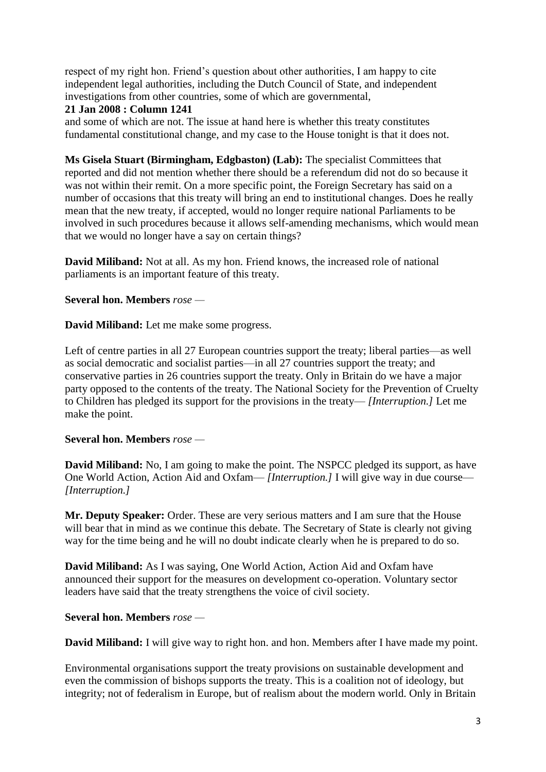respect of my right hon. Friend's question about other authorities, I am happy to cite independent legal authorities, including the Dutch Council of State, and independent investigations from other countries, some of which are governmental,

#### **21 Jan 2008 : Column 1241**

and some of which are not. The issue at hand here is whether this treaty constitutes fundamental constitutional change, and my case to the House tonight is that it does not.

**Ms Gisela Stuart (Birmingham, Edgbaston) (Lab):** The specialist Committees that reported and did not mention whether there should be a referendum did not do so because it was not within their remit. On a more specific point, the Foreign Secretary has said on a number of occasions that this treaty will bring an end to institutional changes. Does he really mean that the new treaty, if accepted, would no longer require national Parliaments to be involved in such procedures because it allows self-amending mechanisms, which would mean that we would no longer have a say on certain things?

**David Miliband:** Not at all. As my hon. Friend knows, the increased role of national parliaments is an important feature of this treaty.

#### **Several hon. Members** *rose —*

**David Miliband:** Let me make some progress.

Left of centre parties in all 27 European countries support the treaty; liberal parties—as well as social democratic and socialist parties—in all 27 countries support the treaty; and conservative parties in 26 countries support the treaty. Only in Britain do we have a major party opposed to the contents of the treaty. The National Society for the Prevention of Cruelty to Children has pledged its support for the provisions in the treaty— *[Interruption.]* Let me make the point.

# **Several hon. Members** *rose —*

**David Miliband:** No, I am going to make the point. The NSPCC pledged its support, as have One World Action, Action Aid and Oxfam— *[Interruption.]* I will give way in due course— *[Interruption.]*

**Mr. Deputy Speaker:** Order. These are very serious matters and I am sure that the House will bear that in mind as we continue this debate. The Secretary of State is clearly not giving way for the time being and he will no doubt indicate clearly when he is prepared to do so.

**David Miliband:** As I was saying, One World Action, Action Aid and Oxfam have announced their support for the measures on development co-operation. Voluntary sector leaders have said that the treaty strengthens the voice of civil society.

#### **Several hon. Members** *rose —*

**David Miliband:** I will give way to right hon. and hon. Members after I have made my point.

Environmental organisations support the treaty provisions on sustainable development and even the commission of bishops supports the treaty. This is a coalition not of ideology, but integrity; not of federalism in Europe, but of realism about the modern world. Only in Britain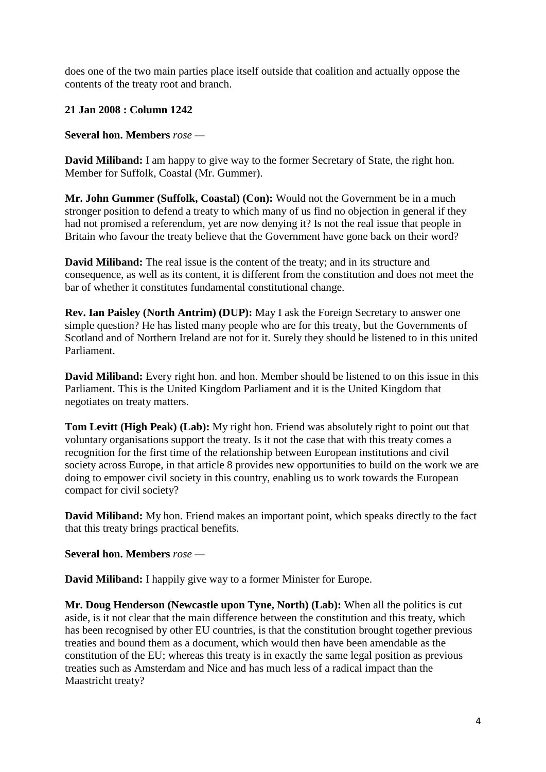does one of the two main parties place itself outside that coalition and actually oppose the contents of the treaty root and branch.

# **21 Jan 2008 : Column 1242**

#### **Several hon. Members** *rose —*

**David Miliband:** I am happy to give way to the former Secretary of State, the right hon. Member for Suffolk, Coastal (Mr. Gummer).

**Mr. John Gummer (Suffolk, Coastal) (Con):** Would not the Government be in a much stronger position to defend a treaty to which many of us find no objection in general if they had not promised a referendum, yet are now denying it? Is not the real issue that people in Britain who favour the treaty believe that the Government have gone back on their word?

**David Miliband:** The real issue is the content of the treaty; and in its structure and consequence, as well as its content, it is different from the constitution and does not meet the bar of whether it constitutes fundamental constitutional change.

**Rev. Ian Paisley (North Antrim) (DUP):** May I ask the Foreign Secretary to answer one simple question? He has listed many people who are for this treaty, but the Governments of Scotland and of Northern Ireland are not for it. Surely they should be listened to in this united Parliament.

**David Miliband:** Every right hon. and hon. Member should be listened to on this issue in this Parliament. This is the United Kingdom Parliament and it is the United Kingdom that negotiates on treaty matters.

**Tom Levitt (High Peak) (Lab):** My right hon. Friend was absolutely right to point out that voluntary organisations support the treaty. Is it not the case that with this treaty comes a recognition for the first time of the relationship between European institutions and civil society across Europe, in that article 8 provides new opportunities to build on the work we are doing to empower civil society in this country, enabling us to work towards the European compact for civil society?

**David Miliband:** My hon. Friend makes an important point, which speaks directly to the fact that this treaty brings practical benefits.

# **Several hon. Members** *rose —*

**David Miliband:** I happily give way to a former Minister for Europe.

**Mr. Doug Henderson (Newcastle upon Tyne, North) (Lab):** When all the politics is cut aside, is it not clear that the main difference between the constitution and this treaty, which has been recognised by other EU countries, is that the constitution brought together previous treaties and bound them as a document, which would then have been amendable as the constitution of the EU; whereas this treaty is in exactly the same legal position as previous treaties such as Amsterdam and Nice and has much less of a radical impact than the Maastricht treaty?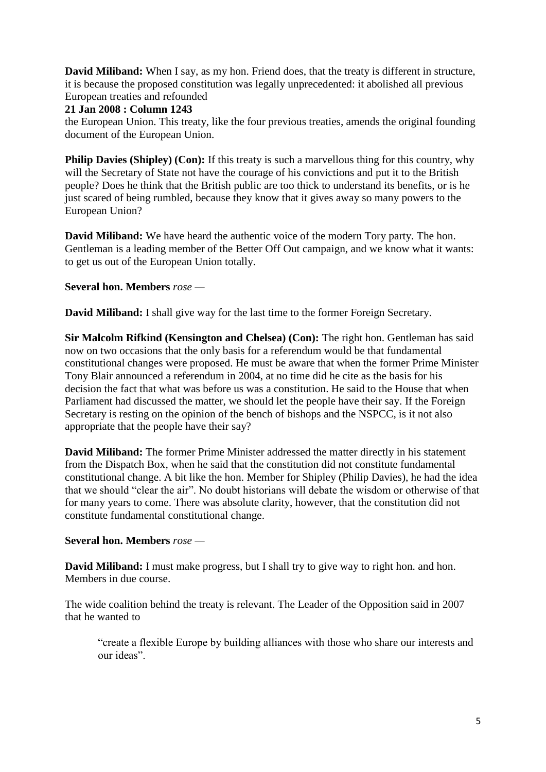**David Miliband:** When I say, as my hon. Friend does, that the treaty is different in structure, it is because the proposed constitution was legally unprecedented: it abolished all previous European treaties and refounded

# **21 Jan 2008 : Column 1243**

the European Union. This treaty, like the four previous treaties, amends the original founding document of the European Union.

**Philip Davies (Shipley) (Con):** If this treaty is such a marvellous thing for this country, why will the Secretary of State not have the courage of his convictions and put it to the British people? Does he think that the British public are too thick to understand its benefits, or is he just scared of being rumbled, because they know that it gives away so many powers to the European Union?

**David Miliband:** We have heard the authentic voice of the modern Tory party. The hon. Gentleman is a leading member of the Better Off Out campaign, and we know what it wants: to get us out of the European Union totally.

# **Several hon. Members** *rose —*

**David Miliband:** I shall give way for the last time to the former Foreign Secretary.

**Sir Malcolm Rifkind (Kensington and Chelsea) (Con):** The right hon. Gentleman has said now on two occasions that the only basis for a referendum would be that fundamental constitutional changes were proposed. He must be aware that when the former Prime Minister Tony Blair announced a referendum in 2004, at no time did he cite as the basis for his decision the fact that what was before us was a constitution. He said to the House that when Parliament had discussed the matter, we should let the people have their say. If the Foreign Secretary is resting on the opinion of the bench of bishops and the NSPCC, is it not also appropriate that the people have their say?

**David Miliband:** The former Prime Minister addressed the matter directly in his statement from the Dispatch Box, when he said that the constitution did not constitute fundamental constitutional change. A bit like the hon. Member for Shipley (Philip Davies), he had the idea that we should "clear the air". No doubt historians will debate the wisdom or otherwise of that for many years to come. There was absolute clarity, however, that the constitution did not constitute fundamental constitutional change.

# **Several hon. Members** *rose —*

**David Miliband:** I must make progress, but I shall try to give way to right hon. and hon. Members in due course.

The wide coalition behind the treaty is relevant. The Leader of the Opposition said in 2007 that he wanted to

"create a flexible Europe by building alliances with those who share our interests and our ideas".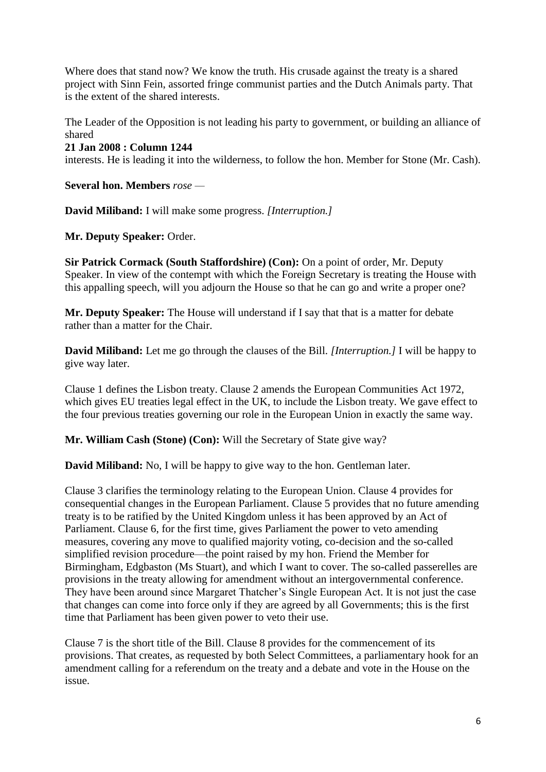Where does that stand now? We know the truth. His crusade against the treaty is a shared project with Sinn Fein, assorted fringe communist parties and the Dutch Animals party. That is the extent of the shared interests.

The Leader of the Opposition is not leading his party to government, or building an alliance of shared

#### **21 Jan 2008 : Column 1244**

interests. He is leading it into the wilderness, to follow the hon. Member for Stone (Mr. Cash).

**Several hon. Members** *rose —*

**David Miliband:** I will make some progress. *[Interruption.]*

**Mr. Deputy Speaker:** Order.

**Sir Patrick Cormack (South Staffordshire) (Con):** On a point of order, Mr. Deputy Speaker. In view of the contempt with which the Foreign Secretary is treating the House with this appalling speech, will you adjourn the House so that he can go and write a proper one?

**Mr. Deputy Speaker:** The House will understand if I say that that is a matter for debate rather than a matter for the Chair.

**David Miliband:** Let me go through the clauses of the Bill. *[Interruption.]* I will be happy to give way later.

Clause 1 defines the Lisbon treaty. Clause 2 amends the European Communities Act 1972, which gives EU treaties legal effect in the UK, to include the Lisbon treaty. We gave effect to the four previous treaties governing our role in the European Union in exactly the same way.

**Mr. William Cash (Stone) (Con):** Will the Secretary of State give way?

**David Miliband:** No, I will be happy to give way to the hon. Gentleman later.

Clause 3 clarifies the terminology relating to the European Union. Clause 4 provides for consequential changes in the European Parliament. Clause 5 provides that no future amending treaty is to be ratified by the United Kingdom unless it has been approved by an Act of Parliament. Clause 6, for the first time, gives Parliament the power to veto amending measures, covering any move to qualified majority voting, co-decision and the so-called simplified revision procedure—the point raised by my hon. Friend the Member for Birmingham, Edgbaston (Ms Stuart), and which I want to cover. The so-called passerelles are provisions in the treaty allowing for amendment without an intergovernmental conference. They have been around since Margaret Thatcher's Single European Act. It is not just the case that changes can come into force only if they are agreed by all Governments; this is the first time that Parliament has been given power to veto their use.

Clause 7 is the short title of the Bill. Clause 8 provides for the commencement of its provisions. That creates, as requested by both Select Committees, a parliamentary hook for an amendment calling for a referendum on the treaty and a debate and vote in the House on the issue.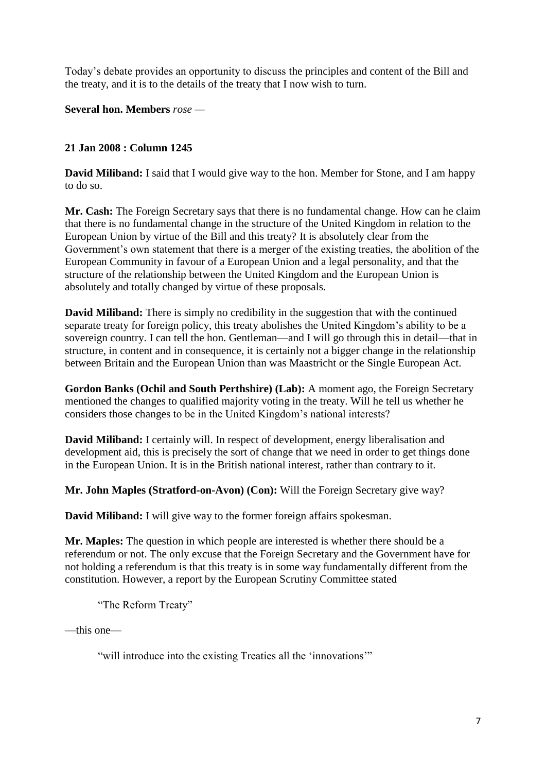Today's debate provides an opportunity to discuss the principles and content of the Bill and the treaty, and it is to the details of the treaty that I now wish to turn.

**Several hon. Members** *rose —*

# **21 Jan 2008 : Column 1245**

**David Miliband:** I said that I would give way to the hon. Member for Stone, and I am happy to do so.

**Mr. Cash:** The Foreign Secretary says that there is no fundamental change. How can he claim that there is no fundamental change in the structure of the United Kingdom in relation to the European Union by virtue of the Bill and this treaty? It is absolutely clear from the Government's own statement that there is a merger of the existing treaties, the abolition of the European Community in favour of a European Union and a legal personality, and that the structure of the relationship between the United Kingdom and the European Union is absolutely and totally changed by virtue of these proposals.

**David Miliband:** There is simply no credibility in the suggestion that with the continued separate treaty for foreign policy, this treaty abolishes the United Kingdom's ability to be a sovereign country. I can tell the hon. Gentleman—and I will go through this in detail—that in structure, in content and in consequence, it is certainly not a bigger change in the relationship between Britain and the European Union than was Maastricht or the Single European Act.

**Gordon Banks (Ochil and South Perthshire) (Lab):** A moment ago, the Foreign Secretary mentioned the changes to qualified majority voting in the treaty. Will he tell us whether he considers those changes to be in the United Kingdom's national interests?

**David Miliband:** I certainly will. In respect of development, energy liberalisation and development aid, this is precisely the sort of change that we need in order to get things done in the European Union. It is in the British national interest, rather than contrary to it.

**Mr. John Maples (Stratford-on-Avon) (Con):** Will the Foreign Secretary give way?

**David Miliband:** I will give way to the former foreign affairs spokesman.

**Mr. Maples:** The question in which people are interested is whether there should be a referendum or not. The only excuse that the Foreign Secretary and the Government have for not holding a referendum is that this treaty is in some way fundamentally different from the constitution. However, a report by the European Scrutiny Committee stated

"The Reform Treaty"

—this one—

"will introduce into the existing Treaties all the 'innovations'"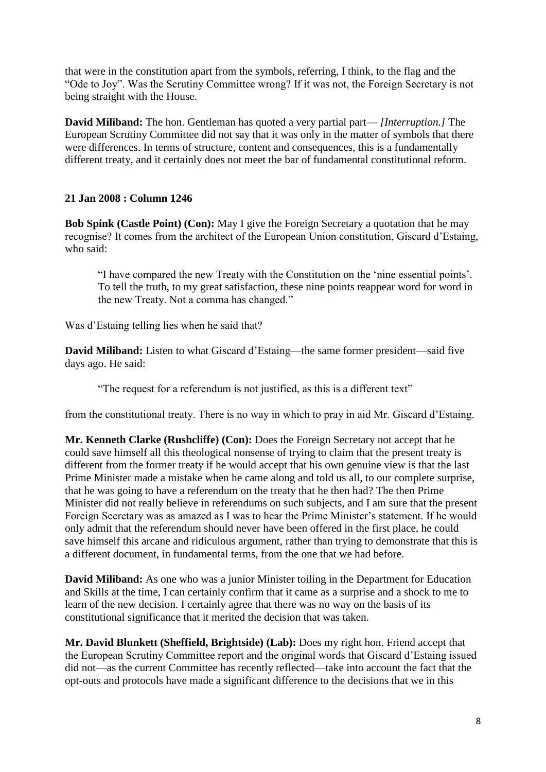that were in the constitution apart from the symbols, referring, I think, to the flag and the "Ode to Joy". Was the Scrutiny Committee wrong? If it was not, the Foreign Secretary is not being straight with the House.

**David Miliband:** The hon. Gentleman has quoted a very partial part— *[Interruption.]* The European Scrutiny Committee did not say that it was only in the matter of symbols that there were differences. In terms of structure, content and consequences, this is a fundamentally different treaty, and it certainly does not meet the bar of fundamental constitutional reform.

# **21 Jan 2008 : Column 1246**

**Bob Spink (Castle Point) (Con):** May I give the Foreign Secretary a quotation that he may recognise? It comes from the architect of the European Union constitution, Giscard d'Estaing, who said:

"I have compared the new Treaty with the Constitution on the 'nine essential points'. To tell the truth, to my great satisfaction, these nine points reappear word for word in the new Treaty. Not a comma has changed."

Was d'Estaing telling lies when he said that?

**David Miliband:** Listen to what Giscard d'Estaing—the same former president—said five days ago. He said:

"The request for a referendum is not justified, as this is a different text"

from the constitutional treaty. There is no way in which to pray in aid Mr. Giscard d'Estaing.

**Mr. Kenneth Clarke (Rushcliffe) (Con):** Does the Foreign Secretary not accept that he could save himself all this theological nonsense of trying to claim that the present treaty is different from the former treaty if he would accept that his own genuine view is that the last Prime Minister made a mistake when he came along and told us all, to our complete surprise, that he was going to have a referendum on the treaty that he then had? The then Prime Minister did not really believe in referendums on such subjects, and I am sure that the present Foreign Secretary was as amazed as I was to hear the Prime Minister's statement. If he would only admit that the referendum should never have been offered in the first place, he could save himself this arcane and ridiculous argument, rather than trying to demonstrate that this is a different document, in fundamental terms, from the one that we had before.

**David Miliband:** As one who was a junior Minister toiling in the Department for Education and Skills at the time, I can certainly confirm that it came as a surprise and a shock to me to learn of the new decision. I certainly agree that there was no way on the basis of its constitutional significance that it merited the decision that was taken.

**Mr. David Blunkett (Sheffield, Brightside) (Lab):** Does my right hon. Friend accept that the European Scrutiny Committee report and the original words that Giscard d'Estaing issued did not—as the current Committee has recently reflected—take into account the fact that the opt-outs and protocols have made a significant difference to the decisions that we in this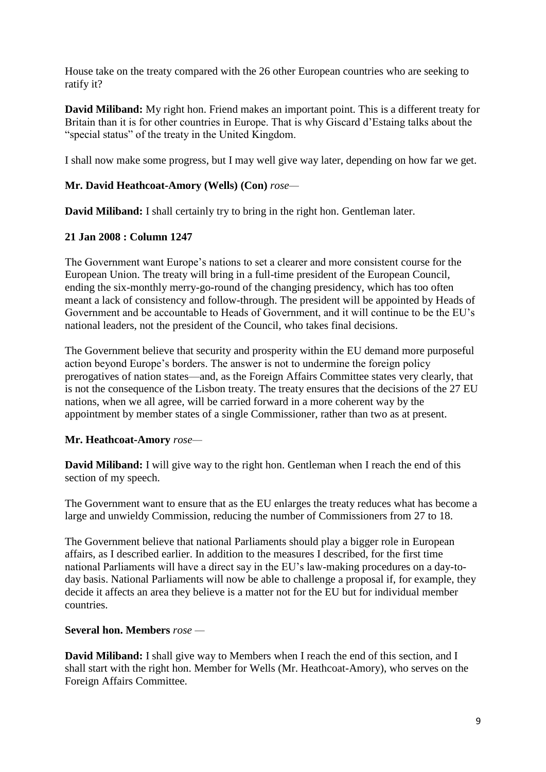House take on the treaty compared with the 26 other European countries who are seeking to ratify it?

**David Miliband:** My right hon. Friend makes an important point. This is a different treaty for Britain than it is for other countries in Europe. That is why Giscard d'Estaing talks about the "special status" of the treaty in the United Kingdom.

I shall now make some progress, but I may well give way later, depending on how far we get.

# **Mr. David Heathcoat-Amory (Wells) (Con)** *rose—*

**David Miliband:** I shall certainly try to bring in the right hon. Gentleman later.

# **21 Jan 2008 : Column 1247**

The Government want Europe's nations to set a clearer and more consistent course for the European Union. The treaty will bring in a full-time president of the European Council, ending the six-monthly merry-go-round of the changing presidency, which has too often meant a lack of consistency and follow-through. The president will be appointed by Heads of Government and be accountable to Heads of Government, and it will continue to be the EU's national leaders, not the president of the Council, who takes final decisions.

The Government believe that security and prosperity within the EU demand more purposeful action beyond Europe's borders. The answer is not to undermine the foreign policy prerogatives of nation states—and, as the Foreign Affairs Committee states very clearly, that is not the consequence of the Lisbon treaty. The treaty ensures that the decisions of the 27 EU nations, when we all agree, will be carried forward in a more coherent way by the appointment by member states of a single Commissioner, rather than two as at present.

# **Mr. Heathcoat-Amory** *rose—*

**David Miliband:** I will give way to the right hon. Gentleman when I reach the end of this section of my speech.

The Government want to ensure that as the EU enlarges the treaty reduces what has become a large and unwieldy Commission, reducing the number of Commissioners from 27 to 18.

The Government believe that national Parliaments should play a bigger role in European affairs, as I described earlier. In addition to the measures I described, for the first time national Parliaments will have a direct say in the EU's law-making procedures on a day-today basis. National Parliaments will now be able to challenge a proposal if, for example, they decide it affects an area they believe is a matter not for the EU but for individual member countries.

# **Several hon. Members** *rose —*

**David Miliband:** I shall give way to Members when I reach the end of this section, and I shall start with the right hon. Member for Wells (Mr. Heathcoat-Amory), who serves on the Foreign Affairs Committee.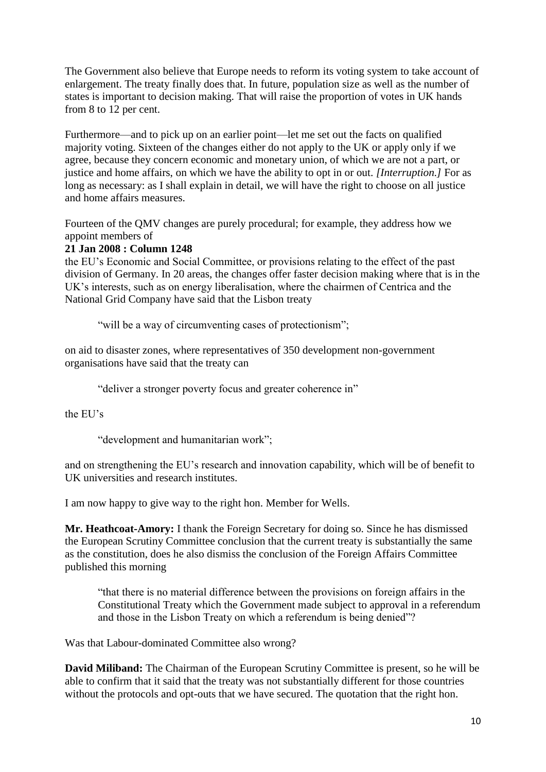The Government also believe that Europe needs to reform its voting system to take account of enlargement. The treaty finally does that. In future, population size as well as the number of states is important to decision making. That will raise the proportion of votes in UK hands from 8 to 12 per cent.

Furthermore—and to pick up on an earlier point—let me set out the facts on qualified majority voting. Sixteen of the changes either do not apply to the UK or apply only if we agree, because they concern economic and monetary union, of which we are not a part, or justice and home affairs, on which we have the ability to opt in or out. *[Interruption.]* For as long as necessary: as I shall explain in detail, we will have the right to choose on all justice and home affairs measures.

Fourteen of the QMV changes are purely procedural; for example, they address how we appoint members of

# **21 Jan 2008 : Column 1248**

the EU's Economic and Social Committee, or provisions relating to the effect of the past division of Germany. In 20 areas, the changes offer faster decision making where that is in the UK's interests, such as on energy liberalisation, where the chairmen of Centrica and the National Grid Company have said that the Lisbon treaty

"will be a way of circumventing cases of protectionism";

on aid to disaster zones, where representatives of 350 development non-government organisations have said that the treaty can

"deliver a stronger poverty focus and greater coherence in"

the EU's

"development and humanitarian work";

and on strengthening the EU's research and innovation capability, which will be of benefit to UK universities and research institutes.

I am now happy to give way to the right hon. Member for Wells.

**Mr. Heathcoat-Amory:** I thank the Foreign Secretary for doing so. Since he has dismissed the European Scrutiny Committee conclusion that the current treaty is substantially the same as the constitution, does he also dismiss the conclusion of the Foreign Affairs Committee published this morning

"that there is no material difference between the provisions on foreign affairs in the Constitutional Treaty which the Government made subject to approval in a referendum and those in the Lisbon Treaty on which a referendum is being denied"?

Was that Labour-dominated Committee also wrong?

**David Miliband:** The Chairman of the European Scrutiny Committee is present, so he will be able to confirm that it said that the treaty was not substantially different for those countries without the protocols and opt-outs that we have secured. The quotation that the right hon.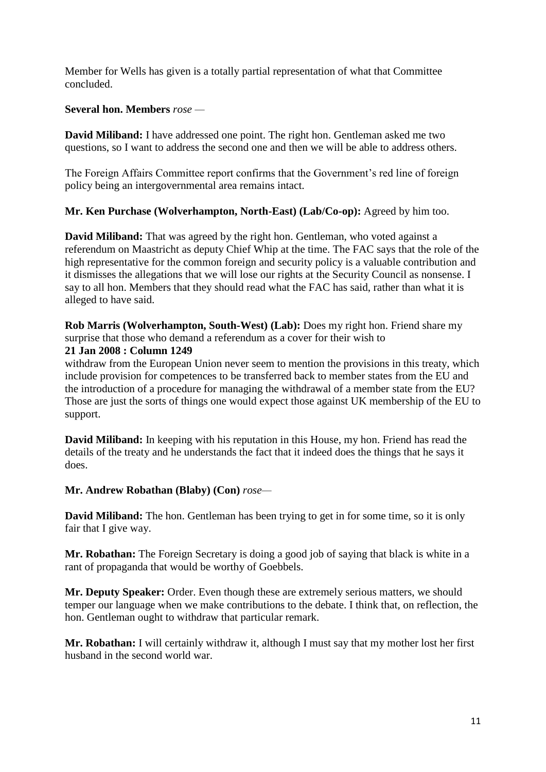Member for Wells has given is a totally partial representation of what that Committee concluded.

#### **Several hon. Members** *rose —*

**David Miliband:** I have addressed one point. The right hon. Gentleman asked me two questions, so I want to address the second one and then we will be able to address others.

The Foreign Affairs Committee report confirms that the Government's red line of foreign policy being an intergovernmental area remains intact.

#### **Mr. Ken Purchase (Wolverhampton, North-East) (Lab/Co-op):** Agreed by him too.

**David Miliband:** That was agreed by the right hon. Gentleman, who voted against a referendum on Maastricht as deputy Chief Whip at the time. The FAC says that the role of the high representative for the common foreign and security policy is a valuable contribution and it dismisses the allegations that we will lose our rights at the Security Council as nonsense. I say to all hon. Members that they should read what the FAC has said, rather than what it is alleged to have said.

**Rob Marris (Wolverhampton, South-West) (Lab):** Does my right hon. Friend share my surprise that those who demand a referendum as a cover for their wish to

#### **21 Jan 2008 : Column 1249**

withdraw from the European Union never seem to mention the provisions in this treaty, which include provision for competences to be transferred back to member states from the EU and the introduction of a procedure for managing the withdrawal of a member state from the EU? Those are just the sorts of things one would expect those against UK membership of the EU to support.

**David Miliband:** In keeping with his reputation in this House, my hon. Friend has read the details of the treaty and he understands the fact that it indeed does the things that he says it does.

# **Mr. Andrew Robathan (Blaby) (Con)** *rose—*

**David Miliband:** The hon. Gentleman has been trying to get in for some time, so it is only fair that I give way.

**Mr. Robathan:** The Foreign Secretary is doing a good job of saying that black is white in a rant of propaganda that would be worthy of Goebbels.

**Mr. Deputy Speaker:** Order. Even though these are extremely serious matters, we should temper our language when we make contributions to the debate. I think that, on reflection, the hon. Gentleman ought to withdraw that particular remark.

**Mr. Robathan:** I will certainly withdraw it, although I must say that my mother lost her first husband in the second world war.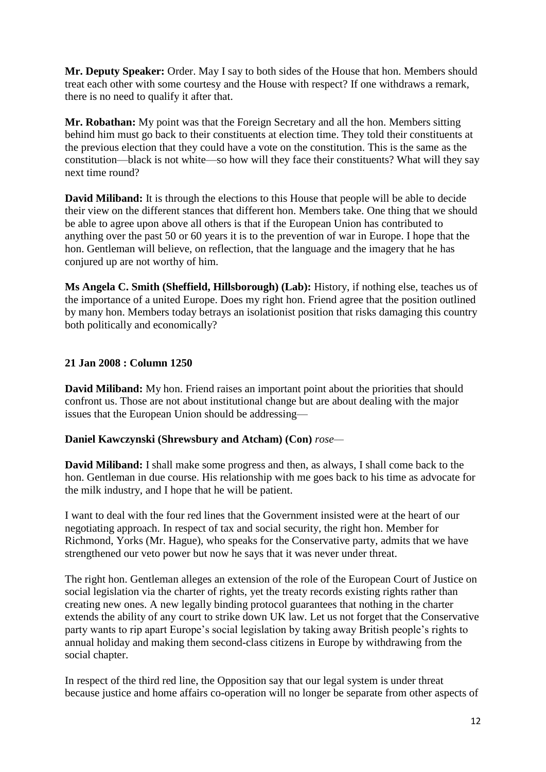**Mr. Deputy Speaker:** Order. May I say to both sides of the House that hon. Members should treat each other with some courtesy and the House with respect? If one withdraws a remark, there is no need to qualify it after that.

**Mr. Robathan:** My point was that the Foreign Secretary and all the hon. Members sitting behind him must go back to their constituents at election time. They told their constituents at the previous election that they could have a vote on the constitution. This is the same as the constitution—black is not white—so how will they face their constituents? What will they say next time round?

**David Miliband:** It is through the elections to this House that people will be able to decide their view on the different stances that different hon. Members take. One thing that we should be able to agree upon above all others is that if the European Union has contributed to anything over the past 50 or 60 years it is to the prevention of war in Europe. I hope that the hon. Gentleman will believe, on reflection, that the language and the imagery that he has conjured up are not worthy of him.

**Ms Angela C. Smith (Sheffield, Hillsborough) (Lab):** History, if nothing else, teaches us of the importance of a united Europe. Does my right hon. Friend agree that the position outlined by many hon. Members today betrays an isolationist position that risks damaging this country both politically and economically?

# **21 Jan 2008 : Column 1250**

**David Miliband:** My hon. Friend raises an important point about the priorities that should confront us. Those are not about institutional change but are about dealing with the major issues that the European Union should be addressing—

# **Daniel Kawczynski (Shrewsbury and Atcham) (Con)** *rose—*

**David Miliband:** I shall make some progress and then, as always, I shall come back to the hon. Gentleman in due course. His relationship with me goes back to his time as advocate for the milk industry, and I hope that he will be patient.

I want to deal with the four red lines that the Government insisted were at the heart of our negotiating approach. In respect of tax and social security, the right hon. Member for Richmond, Yorks (Mr. Hague), who speaks for the Conservative party, admits that we have strengthened our veto power but now he says that it was never under threat.

The right hon. Gentleman alleges an extension of the role of the European Court of Justice on social legislation via the charter of rights, yet the treaty records existing rights rather than creating new ones. A new legally binding protocol guarantees that nothing in the charter extends the ability of any court to strike down UK law. Let us not forget that the Conservative party wants to rip apart Europe's social legislation by taking away British people's rights to annual holiday and making them second-class citizens in Europe by withdrawing from the social chapter.

In respect of the third red line, the Opposition say that our legal system is under threat because justice and home affairs co-operation will no longer be separate from other aspects of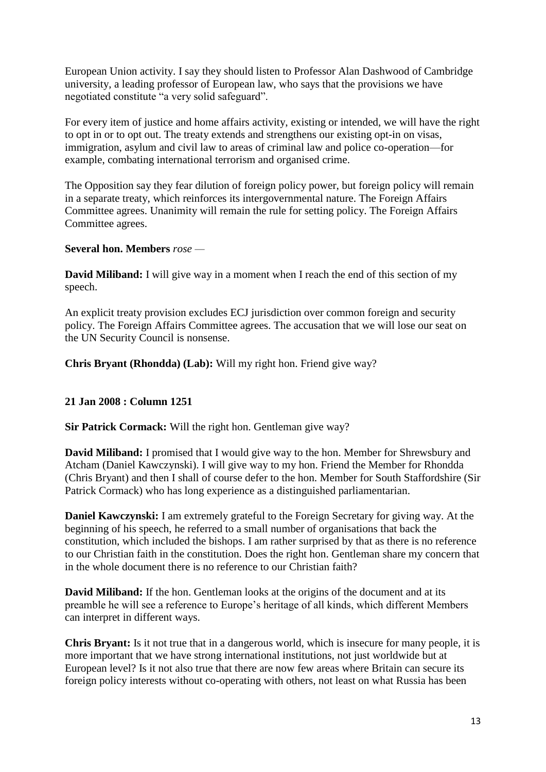European Union activity. I say they should listen to Professor Alan Dashwood of Cambridge university, a leading professor of European law, who says that the provisions we have negotiated constitute "a very solid safeguard".

For every item of justice and home affairs activity, existing or intended, we will have the right to opt in or to opt out. The treaty extends and strengthens our existing opt-in on visas, immigration, asylum and civil law to areas of criminal law and police co-operation—for example, combating international terrorism and organised crime.

The Opposition say they fear dilution of foreign policy power, but foreign policy will remain in a separate treaty, which reinforces its intergovernmental nature. The Foreign Affairs Committee agrees. Unanimity will remain the rule for setting policy. The Foreign Affairs Committee agrees.

#### **Several hon. Members** *rose —*

**David Miliband:** I will give way in a moment when I reach the end of this section of my speech.

An explicit treaty provision excludes ECJ jurisdiction over common foreign and security policy. The Foreign Affairs Committee agrees. The accusation that we will lose our seat on the UN Security Council is nonsense.

**Chris Bryant (Rhondda) (Lab):** Will my right hon. Friend give way?

# **21 Jan 2008 : Column 1251**

**Sir Patrick Cormack:** Will the right hon. Gentleman give way?

**David Miliband:** I promised that I would give way to the hon. Member for Shrewsbury and Atcham (Daniel Kawczynski). I will give way to my hon. Friend the Member for Rhondda (Chris Bryant) and then I shall of course defer to the hon. Member for South Staffordshire (Sir Patrick Cormack) who has long experience as a distinguished parliamentarian.

**Daniel Kawczynski:** I am extremely grateful to the Foreign Secretary for giving way. At the beginning of his speech, he referred to a small number of organisations that back the constitution, which included the bishops. I am rather surprised by that as there is no reference to our Christian faith in the constitution. Does the right hon. Gentleman share my concern that in the whole document there is no reference to our Christian faith?

**David Miliband:** If the hon. Gentleman looks at the origins of the document and at its preamble he will see a reference to Europe's heritage of all kinds, which different Members can interpret in different ways.

**Chris Bryant:** Is it not true that in a dangerous world, which is insecure for many people, it is more important that we have strong international institutions, not just worldwide but at European level? Is it not also true that there are now few areas where Britain can secure its foreign policy interests without co-operating with others, not least on what Russia has been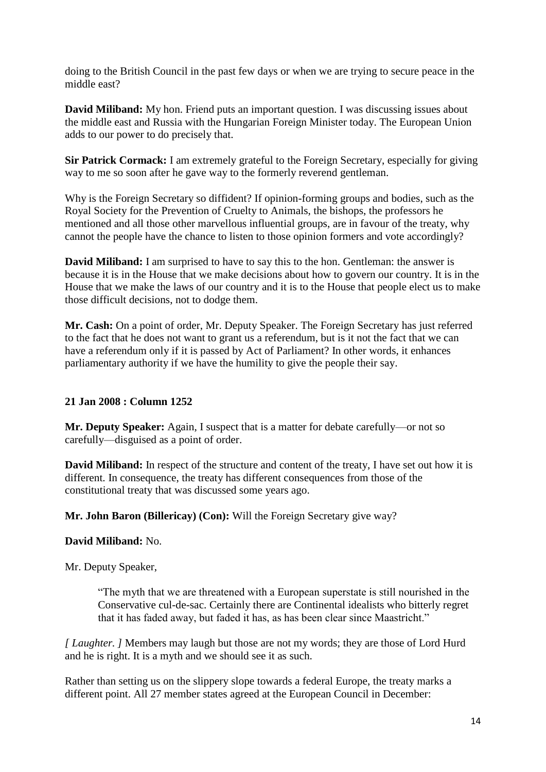doing to the British Council in the past few days or when we are trying to secure peace in the middle east?

**David Miliband:** My hon. Friend puts an important question. I was discussing issues about the middle east and Russia with the Hungarian Foreign Minister today. The European Union adds to our power to do precisely that.

**Sir Patrick Cormack:** I am extremely grateful to the Foreign Secretary, especially for giving way to me so soon after he gave way to the formerly reverend gentleman.

Why is the Foreign Secretary so diffident? If opinion-forming groups and bodies, such as the Royal Society for the Prevention of Cruelty to Animals, the bishops, the professors he mentioned and all those other marvellous influential groups, are in favour of the treaty, why cannot the people have the chance to listen to those opinion formers and vote accordingly?

**David Miliband:** I am surprised to have to say this to the hon. Gentleman: the answer is because it is in the House that we make decisions about how to govern our country. It is in the House that we make the laws of our country and it is to the House that people elect us to make those difficult decisions, not to dodge them.

**Mr. Cash:** On a point of order, Mr. Deputy Speaker. The Foreign Secretary has just referred to the fact that he does not want to grant us a referendum, but is it not the fact that we can have a referendum only if it is passed by Act of Parliament? In other words, it enhances parliamentary authority if we have the humility to give the people their say.

# **21 Jan 2008 : Column 1252**

**Mr. Deputy Speaker:** Again, I suspect that is a matter for debate carefully—or not so carefully—disguised as a point of order.

**David Miliband:** In respect of the structure and content of the treaty, I have set out how it is different. In consequence, the treaty has different consequences from those of the constitutional treaty that was discussed some years ago.

# **Mr. John Baron (Billericay) (Con):** Will the Foreign Secretary give way?

#### **David Miliband:** No.

Mr. Deputy Speaker,

"The myth that we are threatened with a European superstate is still nourished in the Conservative cul-de-sac. Certainly there are Continental idealists who bitterly regret that it has faded away, but faded it has, as has been clear since Maastricht."

*[ Laughter. ]* Members may laugh but those are not my words; they are those of Lord Hurd and he is right. It is a myth and we should see it as such.

Rather than setting us on the slippery slope towards a federal Europe, the treaty marks a different point. All 27 member states agreed at the European Council in December: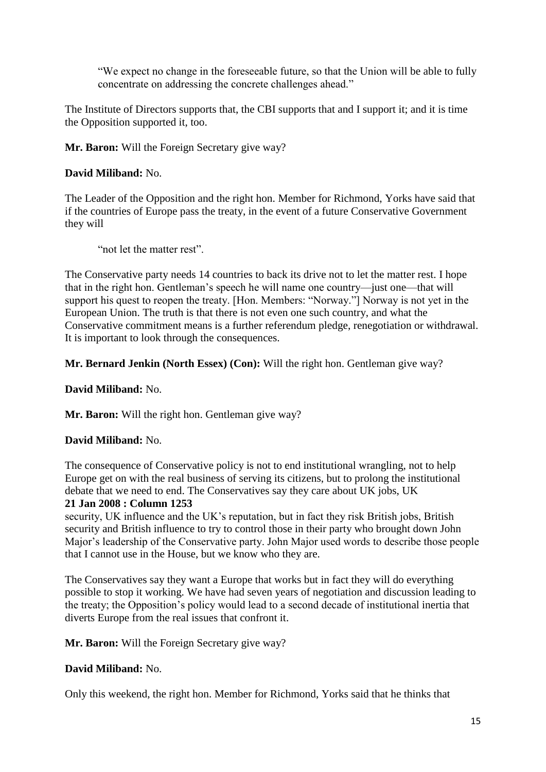"We expect no change in the foreseeable future, so that the Union will be able to fully concentrate on addressing the concrete challenges ahead."

The Institute of Directors supports that, the CBI supports that and I support it; and it is time the Opposition supported it, too.

**Mr. Baron:** Will the Foreign Secretary give way?

# **David Miliband:** No.

The Leader of the Opposition and the right hon. Member for Richmond, Yorks have said that if the countries of Europe pass the treaty, in the event of a future Conservative Government they will

"not let the matter rest".

The Conservative party needs 14 countries to back its drive not to let the matter rest. I hope that in the right hon. Gentleman's speech he will name one country—just one—that will support his quest to reopen the treaty. [Hon. Members: "Norway."] Norway is not yet in the European Union. The truth is that there is not even one such country, and what the Conservative commitment means is a further referendum pledge, renegotiation or withdrawal. It is important to look through the consequences.

**Mr. Bernard Jenkin (North Essex) (Con):** Will the right hon. Gentleman give way?

**David Miliband:** No.

**Mr. Baron:** Will the right hon. Gentleman give way?

# **David Miliband:** No.

The consequence of Conservative policy is not to end institutional wrangling, not to help Europe get on with the real business of serving its citizens, but to prolong the institutional debate that we need to end. The Conservatives say they care about UK jobs, UK

# **21 Jan 2008 : Column 1253**

security, UK influence and the UK's reputation, but in fact they risk British jobs, British security and British influence to try to control those in their party who brought down John Major's leadership of the Conservative party. John Major used words to describe those people that I cannot use in the House, but we know who they are.

The Conservatives say they want a Europe that works but in fact they will do everything possible to stop it working. We have had seven years of negotiation and discussion leading to the treaty; the Opposition's policy would lead to a second decade of institutional inertia that diverts Europe from the real issues that confront it.

**Mr. Baron:** Will the Foreign Secretary give way?

# **David Miliband:** No.

Only this weekend, the right hon. Member for Richmond, Yorks said that he thinks that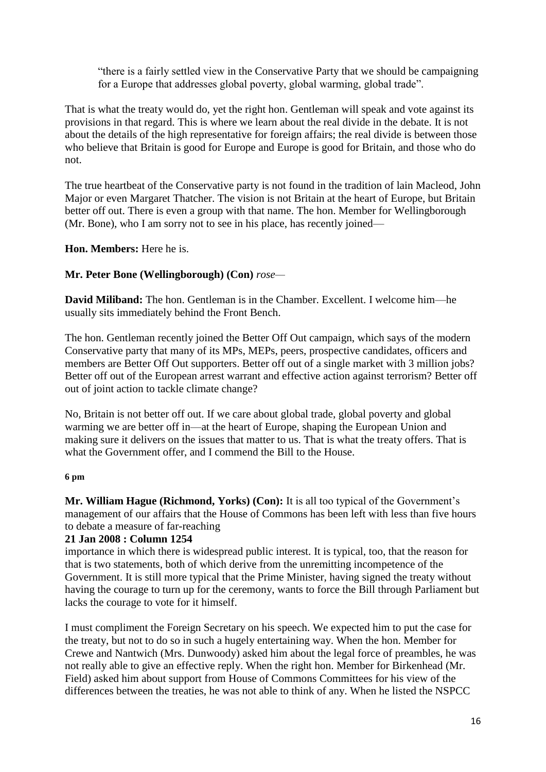"there is a fairly settled view in the Conservative Party that we should be campaigning for a Europe that addresses global poverty, global warming, global trade".

That is what the treaty would do, yet the right hon. Gentleman will speak and vote against its provisions in that regard. This is where we learn about the real divide in the debate. It is not about the details of the high representative for foreign affairs; the real divide is between those who believe that Britain is good for Europe and Europe is good for Britain, and those who do not.

The true heartbeat of the Conservative party is not found in the tradition of lain Macleod, John Major or even Margaret Thatcher. The vision is not Britain at the heart of Europe, but Britain better off out. There is even a group with that name. The hon. Member for Wellingborough (Mr. Bone), who I am sorry not to see in his place, has recently joined—

**Hon. Members:** Here he is.

# **Mr. Peter Bone (Wellingborough) (Con)** *rose—*

**David Miliband:** The hon. Gentleman is in the Chamber. Excellent. I welcome him—he usually sits immediately behind the Front Bench.

The hon. Gentleman recently joined the Better Off Out campaign, which says of the modern Conservative party that many of its MPs, MEPs, peers, prospective candidates, officers and members are Better Off Out supporters. Better off out of a single market with 3 million jobs? Better off out of the European arrest warrant and effective action against terrorism? Better off out of joint action to tackle climate change?

No, Britain is not better off out. If we care about global trade, global poverty and global warming we are better off in—at the heart of Europe, shaping the European Union and making sure it delivers on the issues that matter to us. That is what the treaty offers. That is what the Government offer, and I commend the Bill to the House.

#### **6 pm**

**Mr. William Hague (Richmond, Yorks) (Con):** It is all too typical of the Government's management of our affairs that the House of Commons has been left with less than five hours to debate a measure of far-reaching

#### **21 Jan 2008 : Column 1254**

importance in which there is widespread public interest. It is typical, too, that the reason for that is two statements, both of which derive from the unremitting incompetence of the Government. It is still more typical that the Prime Minister, having signed the treaty without having the courage to turn up for the ceremony, wants to force the Bill through Parliament but lacks the courage to vote for it himself.

I must compliment the Foreign Secretary on his speech. We expected him to put the case for the treaty, but not to do so in such a hugely entertaining way. When the hon. Member for Crewe and Nantwich (Mrs. Dunwoody) asked him about the legal force of preambles, he was not really able to give an effective reply. When the right hon. Member for Birkenhead (Mr. Field) asked him about support from House of Commons Committees for his view of the differences between the treaties, he was not able to think of any. When he listed the NSPCC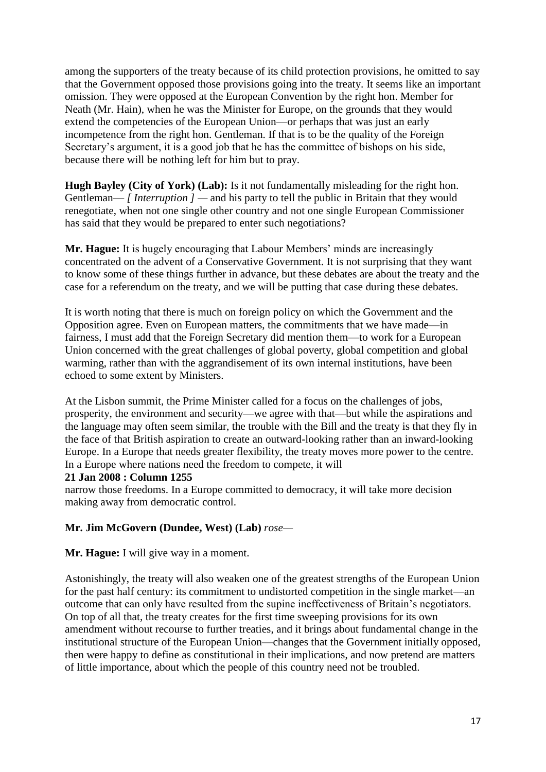among the supporters of the treaty because of its child protection provisions, he omitted to say that the Government opposed those provisions going into the treaty. It seems like an important omission. They were opposed at the European Convention by the right hon. Member for Neath (Mr. Hain), when he was the Minister for Europe, on the grounds that they would extend the competencies of the European Union—or perhaps that was just an early incompetence from the right hon. Gentleman. If that is to be the quality of the Foreign Secretary's argument, it is a good job that he has the committee of bishops on his side, because there will be nothing left for him but to pray.

**Hugh Bayley (City of York) (Lab):** Is it not fundamentally misleading for the right hon. Gentleman— *[ Interruption ]* — and his party to tell the public in Britain that they would renegotiate, when not one single other country and not one single European Commissioner has said that they would be prepared to enter such negotiations?

**Mr. Hague:** It is hugely encouraging that Labour Members' minds are increasingly concentrated on the advent of a Conservative Government. It is not surprising that they want to know some of these things further in advance, but these debates are about the treaty and the case for a referendum on the treaty, and we will be putting that case during these debates.

It is worth noting that there is much on foreign policy on which the Government and the Opposition agree. Even on European matters, the commitments that we have made—in fairness, I must add that the Foreign Secretary did mention them—to work for a European Union concerned with the great challenges of global poverty, global competition and global warming, rather than with the aggrandisement of its own internal institutions, have been echoed to some extent by Ministers.

At the Lisbon summit, the Prime Minister called for a focus on the challenges of jobs, prosperity, the environment and security—we agree with that—but while the aspirations and the language may often seem similar, the trouble with the Bill and the treaty is that they fly in the face of that British aspiration to create an outward-looking rather than an inward-looking Europe. In a Europe that needs greater flexibility, the treaty moves more power to the centre. In a Europe where nations need the freedom to compete, it will

#### **21 Jan 2008 : Column 1255**

narrow those freedoms. In a Europe committed to democracy, it will take more decision making away from democratic control.

# **Mr. Jim McGovern (Dundee, West) (Lab)** *rose—*

**Mr. Hague:** I will give way in a moment.

Astonishingly, the treaty will also weaken one of the greatest strengths of the European Union for the past half century: its commitment to undistorted competition in the single market—an outcome that can only have resulted from the supine ineffectiveness of Britain's negotiators. On top of all that, the treaty creates for the first time sweeping provisions for its own amendment without recourse to further treaties, and it brings about fundamental change in the institutional structure of the European Union—changes that the Government initially opposed, then were happy to define as constitutional in their implications, and now pretend are matters of little importance, about which the people of this country need not be troubled.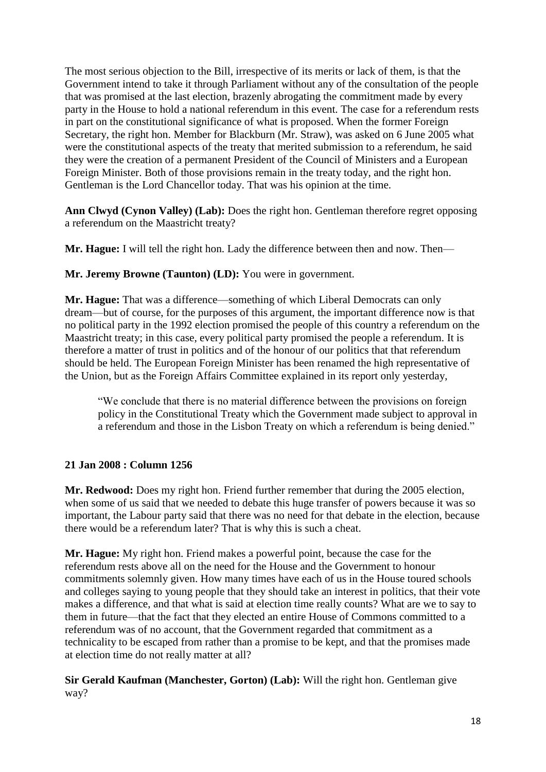The most serious objection to the Bill, irrespective of its merits or lack of them, is that the Government intend to take it through Parliament without any of the consultation of the people that was promised at the last election, brazenly abrogating the commitment made by every party in the House to hold a national referendum in this event. The case for a referendum rests in part on the constitutional significance of what is proposed. When the former Foreign Secretary, the right hon. Member for Blackburn (Mr. Straw), was asked on 6 June 2005 what were the constitutional aspects of the treaty that merited submission to a referendum, he said they were the creation of a permanent President of the Council of Ministers and a European Foreign Minister. Both of those provisions remain in the treaty today, and the right hon. Gentleman is the Lord Chancellor today. That was his opinion at the time.

**Ann Clwyd (Cynon Valley) (Lab):** Does the right hon. Gentleman therefore regret opposing a referendum on the Maastricht treaty?

**Mr. Hague:** I will tell the right hon. Lady the difference between then and now. Then—

**Mr. Jeremy Browne (Taunton) (LD):** You were in government.

**Mr. Hague:** That was a difference—something of which Liberal Democrats can only dream—but of course, for the purposes of this argument, the important difference now is that no political party in the 1992 election promised the people of this country a referendum on the Maastricht treaty; in this case, every political party promised the people a referendum. It is therefore a matter of trust in politics and of the honour of our politics that that referendum should be held. The European Foreign Minister has been renamed the high representative of the Union, but as the Foreign Affairs Committee explained in its report only yesterday,

"We conclude that there is no material difference between the provisions on foreign policy in the Constitutional Treaty which the Government made subject to approval in a referendum and those in the Lisbon Treaty on which a referendum is being denied."

# **21 Jan 2008 : Column 1256**

**Mr. Redwood:** Does my right hon. Friend further remember that during the 2005 election, when some of us said that we needed to debate this huge transfer of powers because it was so important, the Labour party said that there was no need for that debate in the election, because there would be a referendum later? That is why this is such a cheat.

**Mr. Hague:** My right hon. Friend makes a powerful point, because the case for the referendum rests above all on the need for the House and the Government to honour commitments solemnly given. How many times have each of us in the House toured schools and colleges saying to young people that they should take an interest in politics, that their vote makes a difference, and that what is said at election time really counts? What are we to say to them in future—that the fact that they elected an entire House of Commons committed to a referendum was of no account, that the Government regarded that commitment as a technicality to be escaped from rather than a promise to be kept, and that the promises made at election time do not really matter at all?

**Sir Gerald Kaufman (Manchester, Gorton) (Lab):** Will the right hon. Gentleman give way?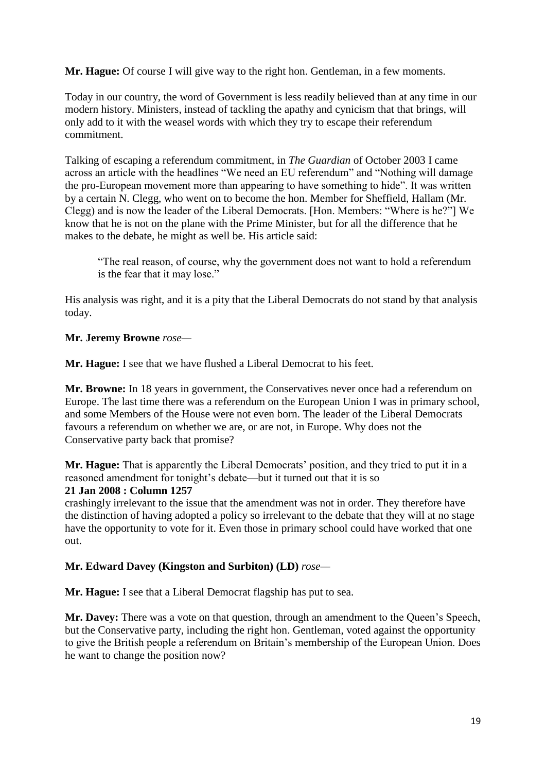**Mr. Hague:** Of course I will give way to the right hon. Gentleman, in a few moments.

Today in our country, the word of Government is less readily believed than at any time in our modern history. Ministers, instead of tackling the apathy and cynicism that that brings, will only add to it with the weasel words with which they try to escape their referendum commitment.

Talking of escaping a referendum commitment, in *The Guardian* of October 2003 I came across an article with the headlines "We need an EU referendum" and "Nothing will damage the pro-European movement more than appearing to have something to hide". It was written by a certain N. Clegg, who went on to become the hon. Member for Sheffield, Hallam (Mr. Clegg) and is now the leader of the Liberal Democrats. [Hon. Members: "Where is he?"] We know that he is not on the plane with the Prime Minister, but for all the difference that he makes to the debate, he might as well be. His article said:

"The real reason, of course, why the government does not want to hold a referendum is the fear that it may lose."

His analysis was right, and it is a pity that the Liberal Democrats do not stand by that analysis today.

#### **Mr. Jeremy Browne** *rose—*

**Mr. Hague:** I see that we have flushed a Liberal Democrat to his feet.

**Mr. Browne:** In 18 years in government, the Conservatives never once had a referendum on Europe. The last time there was a referendum on the European Union I was in primary school, and some Members of the House were not even born. The leader of the Liberal Democrats favours a referendum on whether we are, or are not, in Europe. Why does not the Conservative party back that promise?

**Mr. Hague:** That is apparently the Liberal Democrats' position, and they tried to put it in a reasoned amendment for tonight's debate—but it turned out that it is so

#### **21 Jan 2008 : Column 1257**

crashingly irrelevant to the issue that the amendment was not in order. They therefore have the distinction of having adopted a policy so irrelevant to the debate that they will at no stage have the opportunity to vote for it. Even those in primary school could have worked that one out.

# **Mr. Edward Davey (Kingston and Surbiton) (LD)** *rose—*

**Mr. Hague:** I see that a Liberal Democrat flagship has put to sea.

**Mr. Davey:** There was a vote on that question, through an amendment to the Queen's Speech, but the Conservative party, including the right hon. Gentleman, voted against the opportunity to give the British people a referendum on Britain's membership of the European Union. Does he want to change the position now?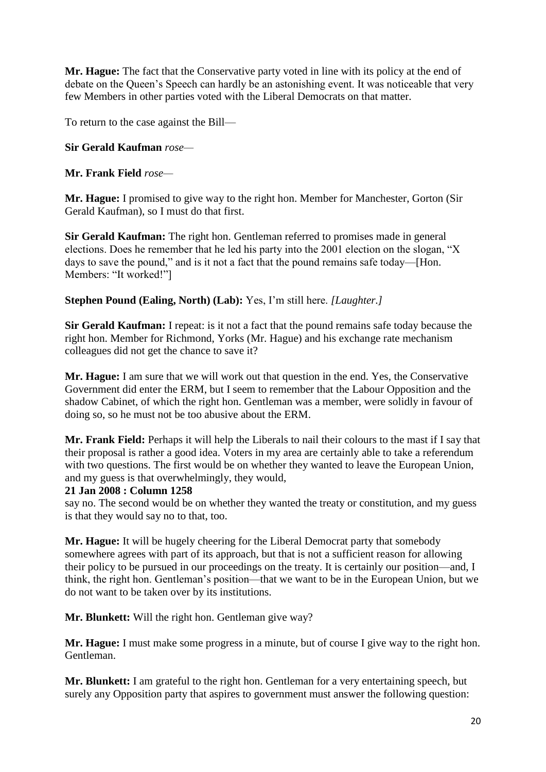**Mr. Hague:** The fact that the Conservative party voted in line with its policy at the end of debate on the Queen's Speech can hardly be an astonishing event. It was noticeable that very few Members in other parties voted with the Liberal Democrats on that matter.

To return to the case against the Bill—

#### **Sir Gerald Kaufman** *rose—*

**Mr. Frank Field** *rose—*

**Mr. Hague:** I promised to give way to the right hon. Member for Manchester, Gorton (Sir Gerald Kaufman), so I must do that first.

**Sir Gerald Kaufman:** The right hon. Gentleman referred to promises made in general elections. Does he remember that he led his party into the 2001 election on the slogan, "X days to save the pound," and is it not a fact that the pound remains safe today—[Hon. Members: "It worked!"]

**Stephen Pound (Ealing, North) (Lab):** Yes, I'm still here. *[Laughter.]*

**Sir Gerald Kaufman:** I repeat: is it not a fact that the pound remains safe today because the right hon. Member for Richmond, Yorks (Mr. Hague) and his exchange rate mechanism colleagues did not get the chance to save it?

**Mr. Hague:** I am sure that we will work out that question in the end. Yes, the Conservative Government did enter the ERM, but I seem to remember that the Labour Opposition and the shadow Cabinet, of which the right hon. Gentleman was a member, were solidly in favour of doing so, so he must not be too abusive about the ERM.

**Mr. Frank Field:** Perhaps it will help the Liberals to nail their colours to the mast if I say that their proposal is rather a good idea. Voters in my area are certainly able to take a referendum with two questions. The first would be on whether they wanted to leave the European Union, and my guess is that overwhelmingly, they would,

#### **21 Jan 2008 : Column 1258**

say no. The second would be on whether they wanted the treaty or constitution, and my guess is that they would say no to that, too.

**Mr. Hague:** It will be hugely cheering for the Liberal Democrat party that somebody somewhere agrees with part of its approach, but that is not a sufficient reason for allowing their policy to be pursued in our proceedings on the treaty. It is certainly our position—and, I think, the right hon. Gentleman's position—that we want to be in the European Union, but we do not want to be taken over by its institutions.

**Mr. Blunkett:** Will the right hon. Gentleman give way?

**Mr. Hague:** I must make some progress in a minute, but of course I give way to the right hon. Gentleman.

**Mr. Blunkett:** I am grateful to the right hon. Gentleman for a very entertaining speech, but surely any Opposition party that aspires to government must answer the following question: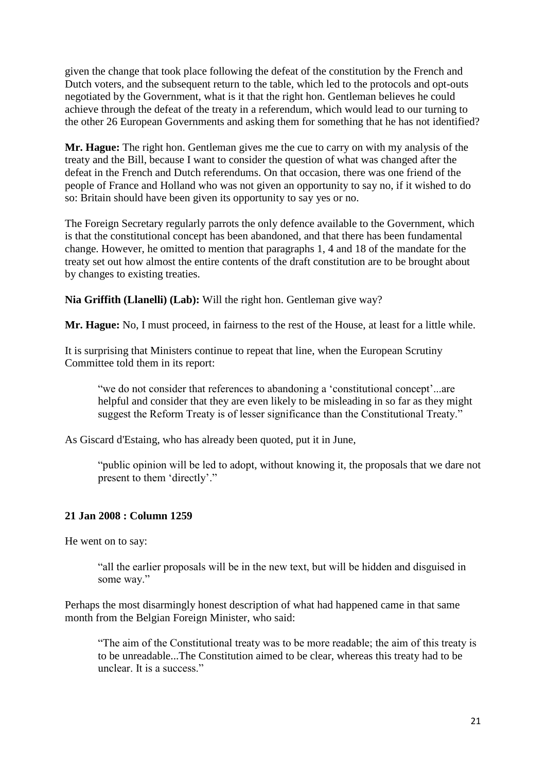given the change that took place following the defeat of the constitution by the French and Dutch voters, and the subsequent return to the table, which led to the protocols and opt-outs negotiated by the Government, what is it that the right hon. Gentleman believes he could achieve through the defeat of the treaty in a referendum, which would lead to our turning to the other 26 European Governments and asking them for something that he has not identified?

**Mr. Hague:** The right hon. Gentleman gives me the cue to carry on with my analysis of the treaty and the Bill, because I want to consider the question of what was changed after the defeat in the French and Dutch referendums. On that occasion, there was one friend of the people of France and Holland who was not given an opportunity to say no, if it wished to do so: Britain should have been given its opportunity to say yes or no.

The Foreign Secretary regularly parrots the only defence available to the Government, which is that the constitutional concept has been abandoned, and that there has been fundamental change. However, he omitted to mention that paragraphs 1, 4 and 18 of the mandate for the treaty set out how almost the entire contents of the draft constitution are to be brought about by changes to existing treaties.

**Nia Griffith (Llanelli) (Lab):** Will the right hon. Gentleman give way?

**Mr. Hague:** No, I must proceed, in fairness to the rest of the House, at least for a little while.

It is surprising that Ministers continue to repeat that line, when the European Scrutiny Committee told them in its report:

"we do not consider that references to abandoning a 'constitutional concept'...are helpful and consider that they are even likely to be misleading in so far as they might suggest the Reform Treaty is of lesser significance than the Constitutional Treaty."

As Giscard d'Estaing, who has already been quoted, put it in June,

"public opinion will be led to adopt, without knowing it, the proposals that we dare not present to them 'directly'."

# **21 Jan 2008 : Column 1259**

He went on to say:

"all the earlier proposals will be in the new text, but will be hidden and disguised in some way."

Perhaps the most disarmingly honest description of what had happened came in that same month from the Belgian Foreign Minister, who said:

"The aim of the Constitutional treaty was to be more readable; the aim of this treaty is to be unreadable...The Constitution aimed to be clear, whereas this treaty had to be unclear. It is a success."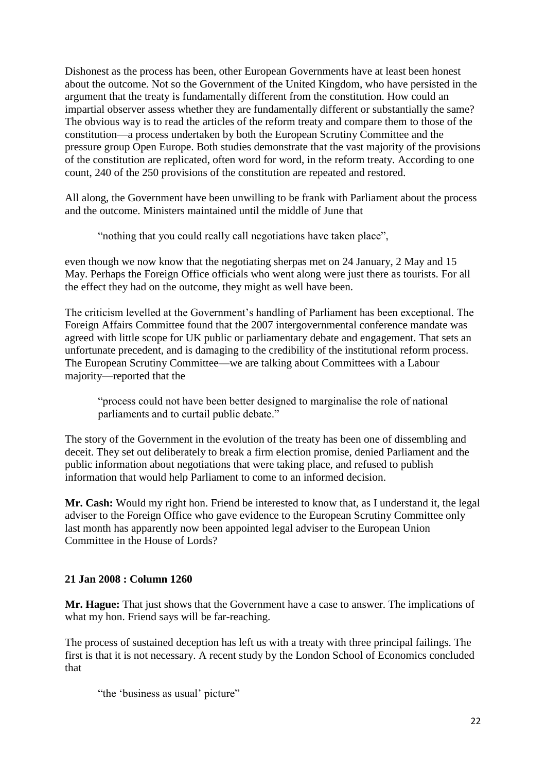Dishonest as the process has been, other European Governments have at least been honest about the outcome. Not so the Government of the United Kingdom, who have persisted in the argument that the treaty is fundamentally different from the constitution. How could an impartial observer assess whether they are fundamentally different or substantially the same? The obvious way is to read the articles of the reform treaty and compare them to those of the constitution—a process undertaken by both the European Scrutiny Committee and the pressure group Open Europe. Both studies demonstrate that the vast majority of the provisions of the constitution are replicated, often word for word, in the reform treaty. According to one count, 240 of the 250 provisions of the constitution are repeated and restored.

All along, the Government have been unwilling to be frank with Parliament about the process and the outcome. Ministers maintained until the middle of June that

"nothing that you could really call negotiations have taken place",

even though we now know that the negotiating sherpas met on 24 January, 2 May and 15 May. Perhaps the Foreign Office officials who went along were just there as tourists. For all the effect they had on the outcome, they might as well have been.

The criticism levelled at the Government's handling of Parliament has been exceptional. The Foreign Affairs Committee found that the 2007 intergovernmental conference mandate was agreed with little scope for UK public or parliamentary debate and engagement. That sets an unfortunate precedent, and is damaging to the credibility of the institutional reform process. The European Scrutiny Committee—we are talking about Committees with a Labour majority—reported that the

"process could not have been better designed to marginalise the role of national parliaments and to curtail public debate."

The story of the Government in the evolution of the treaty has been one of dissembling and deceit. They set out deliberately to break a firm election promise, denied Parliament and the public information about negotiations that were taking place, and refused to publish information that would help Parliament to come to an informed decision.

**Mr. Cash:** Would my right hon. Friend be interested to know that, as I understand it, the legal adviser to the Foreign Office who gave evidence to the European Scrutiny Committee only last month has apparently now been appointed legal adviser to the European Union Committee in the House of Lords?

# **21 Jan 2008 : Column 1260**

**Mr. Hague:** That just shows that the Government have a case to answer. The implications of what my hon. Friend says will be far-reaching.

The process of sustained deception has left us with a treaty with three principal failings. The first is that it is not necessary. A recent study by the London School of Economics concluded that

"the 'business as usual' picture"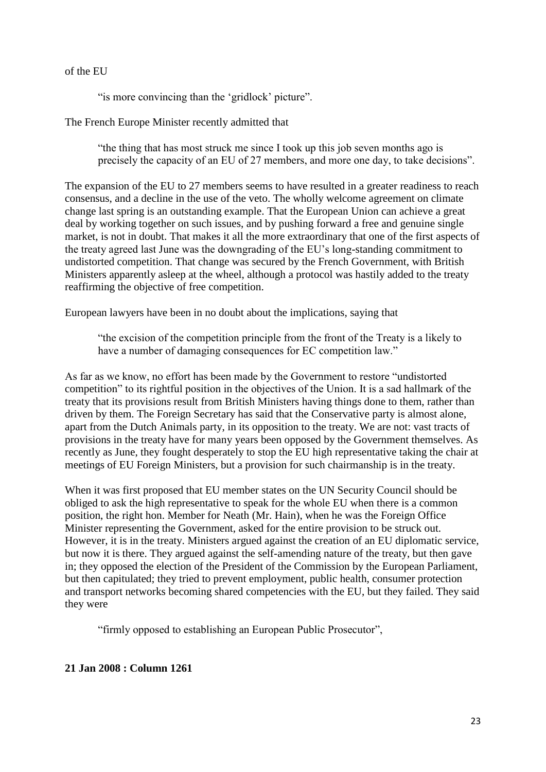of the EU

" is more convincing than the 'gridlock' picture".

The French Europe Minister recently admitted that

"the thing that has most struck me since I took up this job seven months ago is precisely the capacity of an EU of 27 members, and more one day, to take decisions".

The expansion of the EU to 27 members seems to have resulted in a greater readiness to reach consensus, and a decline in the use of the veto. The wholly welcome agreement on climate change last spring is an outstanding example. That the European Union can achieve a great deal by working together on such issues, and by pushing forward a free and genuine single market, is not in doubt. That makes it all the more extraordinary that one of the first aspects of the treaty agreed last June was the downgrading of the EU's long-standing commitment to undistorted competition. That change was secured by the French Government, with British Ministers apparently asleep at the wheel, although a protocol was hastily added to the treaty reaffirming the objective of free competition.

European lawyers have been in no doubt about the implications, saying that

"the excision of the competition principle from the front of the Treaty is a likely to have a number of damaging consequences for EC competition law."

As far as we know, no effort has been made by the Government to restore "undistorted competition" to its rightful position in the objectives of the Union. It is a sad hallmark of the treaty that its provisions result from British Ministers having things done to them, rather than driven by them. The Foreign Secretary has said that the Conservative party is almost alone, apart from the Dutch Animals party, in its opposition to the treaty. We are not: vast tracts of provisions in the treaty have for many years been opposed by the Government themselves. As recently as June, they fought desperately to stop the EU high representative taking the chair at meetings of EU Foreign Ministers, but a provision for such chairmanship is in the treaty.

When it was first proposed that EU member states on the UN Security Council should be obliged to ask the high representative to speak for the whole EU when there is a common position, the right hon. Member for Neath (Mr. Hain), when he was the Foreign Office Minister representing the Government, asked for the entire provision to be struck out. However, it is in the treaty. Ministers argued against the creation of an EU diplomatic service, but now it is there. They argued against the self-amending nature of the treaty, but then gave in; they opposed the election of the President of the Commission by the European Parliament, but then capitulated; they tried to prevent employment, public health, consumer protection and transport networks becoming shared competencies with the EU, but they failed. They said they were

"firmly opposed to establishing an European Public Prosecutor",

# **21 Jan 2008 : Column 1261**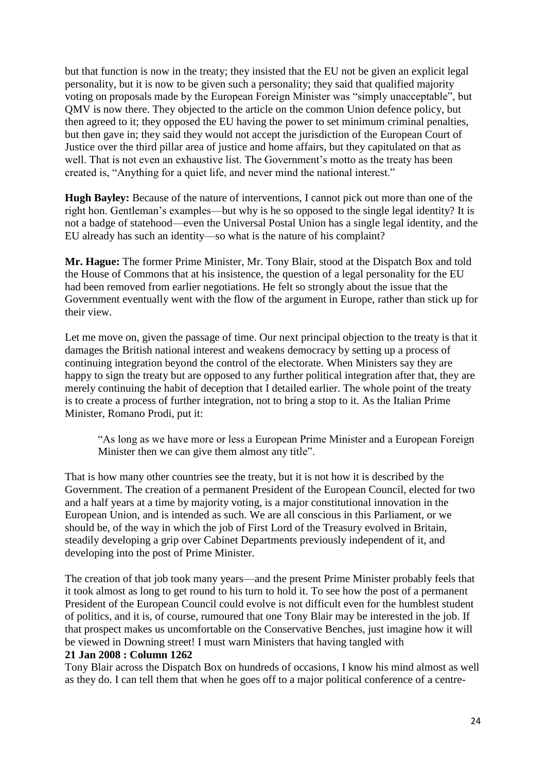but that function is now in the treaty; they insisted that the EU not be given an explicit legal personality, but it is now to be given such a personality; they said that qualified majority voting on proposals made by the European Foreign Minister was "simply unacceptable", but QMV is now there. They objected to the article on the common Union defence policy, but then agreed to it; they opposed the EU having the power to set minimum criminal penalties, but then gave in; they said they would not accept the jurisdiction of the European Court of Justice over the third pillar area of justice and home affairs, but they capitulated on that as well. That is not even an exhaustive list. The Government's motto as the treaty has been created is, "Anything for a quiet life, and never mind the national interest."

**Hugh Bayley:** Because of the nature of interventions, I cannot pick out more than one of the right hon. Gentleman's examples—but why is he so opposed to the single legal identity? It is not a badge of statehood—even the Universal Postal Union has a single legal identity, and the EU already has such an identity—so what is the nature of his complaint?

**Mr. Hague:** The former Prime Minister, Mr. Tony Blair, stood at the Dispatch Box and told the House of Commons that at his insistence, the question of a legal personality for the EU had been removed from earlier negotiations. He felt so strongly about the issue that the Government eventually went with the flow of the argument in Europe, rather than stick up for their view.

Let me move on, given the passage of time. Our next principal objection to the treaty is that it damages the British national interest and weakens democracy by setting up a process of continuing integration beyond the control of the electorate. When Ministers say they are happy to sign the treaty but are opposed to any further political integration after that, they are merely continuing the habit of deception that I detailed earlier. The whole point of the treaty is to create a process of further integration, not to bring a stop to it. As the Italian Prime Minister, Romano Prodi, put it:

"As long as we have more or less a European Prime Minister and a European Foreign Minister then we can give them almost any title".

That is how many other countries see the treaty, but it is not how it is described by the Government. The creation of a permanent President of the European Council, elected for two and a half years at a time by majority voting, is a major constitutional innovation in the European Union, and is intended as such. We are all conscious in this Parliament, or we should be, of the way in which the job of First Lord of the Treasury evolved in Britain, steadily developing a grip over Cabinet Departments previously independent of it, and developing into the post of Prime Minister.

The creation of that job took many years—and the present Prime Minister probably feels that it took almost as long to get round to his turn to hold it. To see how the post of a permanent President of the European Council could evolve is not difficult even for the humblest student of politics, and it is, of course, rumoured that one Tony Blair may be interested in the job. If that prospect makes us uncomfortable on the Conservative Benches, just imagine how it will be viewed in Downing street! I must warn Ministers that having tangled with

#### **21 Jan 2008 : Column 1262**

Tony Blair across the Dispatch Box on hundreds of occasions, I know his mind almost as well as they do. I can tell them that when he goes off to a major political conference of a centre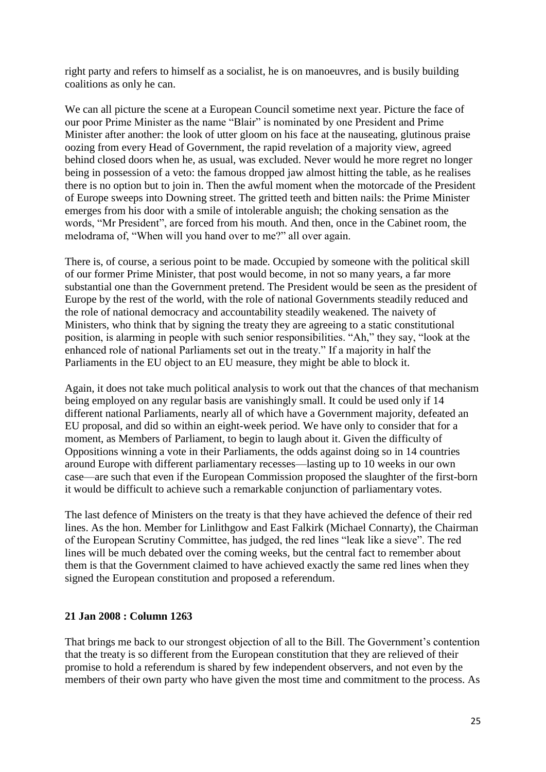right party and refers to himself as a socialist, he is on manoeuvres, and is busily building coalitions as only he can.

We can all picture the scene at a European Council sometime next year. Picture the face of our poor Prime Minister as the name "Blair" is nominated by one President and Prime Minister after another: the look of utter gloom on his face at the nauseating, glutinous praise oozing from every Head of Government, the rapid revelation of a majority view, agreed behind closed doors when he, as usual, was excluded. Never would he more regret no longer being in possession of a veto: the famous dropped jaw almost hitting the table, as he realises there is no option but to join in. Then the awful moment when the motorcade of the President of Europe sweeps into Downing street. The gritted teeth and bitten nails: the Prime Minister emerges from his door with a smile of intolerable anguish; the choking sensation as the words, "Mr President", are forced from his mouth. And then, once in the Cabinet room, the melodrama of, "When will you hand over to me?" all over again.

There is, of course, a serious point to be made. Occupied by someone with the political skill of our former Prime Minister, that post would become, in not so many years, a far more substantial one than the Government pretend. The President would be seen as the president of Europe by the rest of the world, with the role of national Governments steadily reduced and the role of national democracy and accountability steadily weakened. The naivety of Ministers, who think that by signing the treaty they are agreeing to a static constitutional position, is alarming in people with such senior responsibilities. "Ah," they say, "look at the enhanced role of national Parliaments set out in the treaty." If a majority in half the Parliaments in the EU object to an EU measure, they might be able to block it.

Again, it does not take much political analysis to work out that the chances of that mechanism being employed on any regular basis are vanishingly small. It could be used only if 14 different national Parliaments, nearly all of which have a Government majority, defeated an EU proposal, and did so within an eight-week period. We have only to consider that for a moment, as Members of Parliament, to begin to laugh about it. Given the difficulty of Oppositions winning a vote in their Parliaments, the odds against doing so in 14 countries around Europe with different parliamentary recesses—lasting up to 10 weeks in our own case—are such that even if the European Commission proposed the slaughter of the first-born it would be difficult to achieve such a remarkable conjunction of parliamentary votes.

The last defence of Ministers on the treaty is that they have achieved the defence of their red lines. As the hon. Member for Linlithgow and East Falkirk (Michael Connarty), the Chairman of the European Scrutiny Committee, has judged, the red lines "leak like a sieve". The red lines will be much debated over the coming weeks, but the central fact to remember about them is that the Government claimed to have achieved exactly the same red lines when they signed the European constitution and proposed a referendum.

#### **21 Jan 2008 : Column 1263**

That brings me back to our strongest objection of all to the Bill. The Government's contention that the treaty is so different from the European constitution that they are relieved of their promise to hold a referendum is shared by few independent observers, and not even by the members of their own party who have given the most time and commitment to the process. As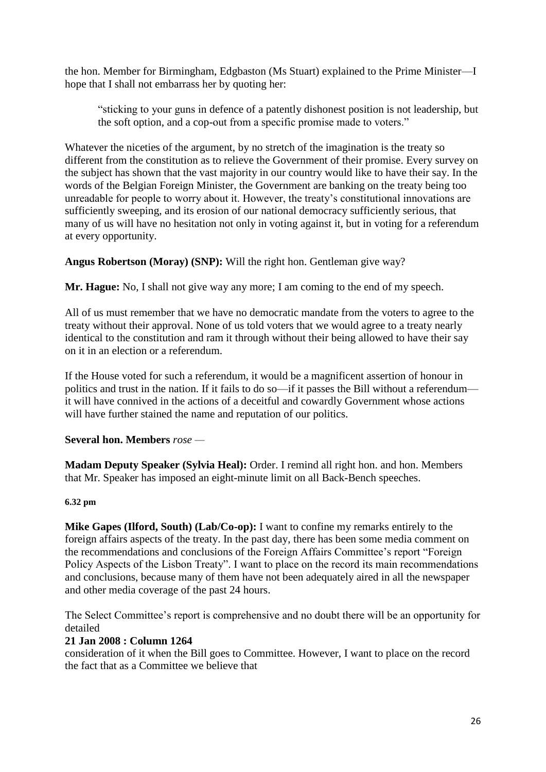the hon. Member for Birmingham, Edgbaston (Ms Stuart) explained to the Prime Minister—I hope that I shall not embarrass her by quoting her:

"sticking to your guns in defence of a patently dishonest position is not leadership, but the soft option, and a cop-out from a specific promise made to voters."

Whatever the niceties of the argument, by no stretch of the imagination is the treaty so different from the constitution as to relieve the Government of their promise. Every survey on the subject has shown that the vast majority in our country would like to have their say. In the words of the Belgian Foreign Minister, the Government are banking on the treaty being too unreadable for people to worry about it. However, the treaty's constitutional innovations are sufficiently sweeping, and its erosion of our national democracy sufficiently serious, that many of us will have no hesitation not only in voting against it, but in voting for a referendum at every opportunity.

**Angus Robertson (Moray) (SNP):** Will the right hon. Gentleman give way?

**Mr. Hague:** No, I shall not give way any more; I am coming to the end of my speech.

All of us must remember that we have no democratic mandate from the voters to agree to the treaty without their approval. None of us told voters that we would agree to a treaty nearly identical to the constitution and ram it through without their being allowed to have their say on it in an election or a referendum.

If the House voted for such a referendum, it would be a magnificent assertion of honour in politics and trust in the nation. If it fails to do so—if it passes the Bill without a referendum it will have connived in the actions of a deceitful and cowardly Government whose actions will have further stained the name and reputation of our politics.

# **Several hon. Members** *rose —*

**Madam Deputy Speaker (Sylvia Heal):** Order. I remind all right hon. and hon. Members that Mr. Speaker has imposed an eight-minute limit on all Back-Bench speeches.

# **6.32 pm**

**Mike Gapes (Ilford, South) (Lab/Co-op):** I want to confine my remarks entirely to the foreign affairs aspects of the treaty. In the past day, there has been some media comment on the recommendations and conclusions of the Foreign Affairs Committee's report "Foreign Policy Aspects of the Lisbon Treaty". I want to place on the record its main recommendations and conclusions, because many of them have not been adequately aired in all the newspaper and other media coverage of the past 24 hours.

The Select Committee's report is comprehensive and no doubt there will be an opportunity for detailed

# **21 Jan 2008 : Column 1264**

consideration of it when the Bill goes to Committee. However, I want to place on the record the fact that as a Committee we believe that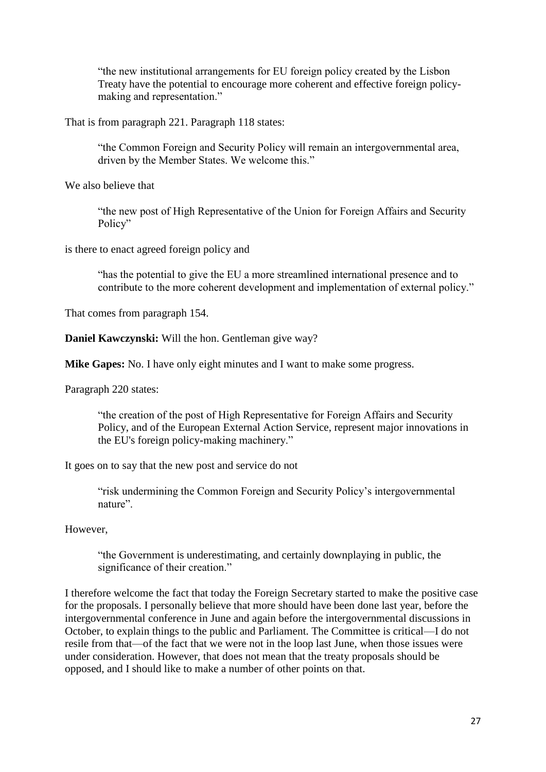"the new institutional arrangements for EU foreign policy created by the Lisbon Treaty have the potential to encourage more coherent and effective foreign policymaking and representation."

That is from paragraph 221. Paragraph 118 states:

"the Common Foreign and Security Policy will remain an intergovernmental area, driven by the Member States. We welcome this."

We also believe that

"the new post of High Representative of the Union for Foreign Affairs and Security Policy"

is there to enact agreed foreign policy and

"has the potential to give the EU a more streamlined international presence and to contribute to the more coherent development and implementation of external policy."

That comes from paragraph 154.

**Daniel Kawczynski:** Will the hon. Gentleman give way?

**Mike Gapes:** No. I have only eight minutes and I want to make some progress.

Paragraph 220 states:

"the creation of the post of High Representative for Foreign Affairs and Security Policy, and of the European External Action Service, represent major innovations in the EU's foreign policy-making machinery."

It goes on to say that the new post and service do not

"risk undermining the Common Foreign and Security Policy's intergovernmental nature".

However,

"the Government is underestimating, and certainly downplaying in public, the significance of their creation."

I therefore welcome the fact that today the Foreign Secretary started to make the positive case for the proposals. I personally believe that more should have been done last year, before the intergovernmental conference in June and again before the intergovernmental discussions in October, to explain things to the public and Parliament. The Committee is critical—I do not resile from that—of the fact that we were not in the loop last June, when those issues were under consideration. However, that does not mean that the treaty proposals should be opposed, and I should like to make a number of other points on that.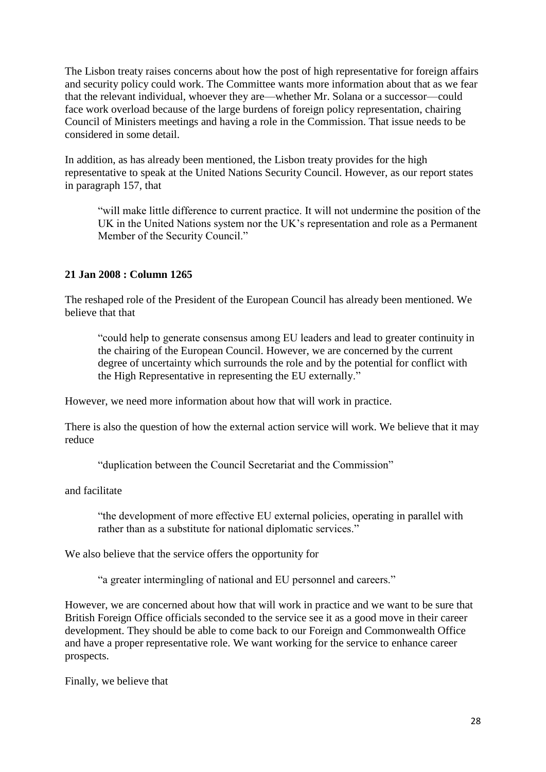The Lisbon treaty raises concerns about how the post of high representative for foreign affairs and security policy could work. The Committee wants more information about that as we fear that the relevant individual, whoever they are—whether Mr. Solana or a successor—could face work overload because of the large burdens of foreign policy representation, chairing Council of Ministers meetings and having a role in the Commission. That issue needs to be considered in some detail.

In addition, as has already been mentioned, the Lisbon treaty provides for the high representative to speak at the United Nations Security Council. However, as our report states in paragraph 157, that

"will make little difference to current practice. It will not undermine the position of the UK in the United Nations system nor the UK's representation and role as a Permanent Member of the Security Council."

# **21 Jan 2008 : Column 1265**

The reshaped role of the President of the European Council has already been mentioned. We believe that that

"could help to generate consensus among EU leaders and lead to greater continuity in the chairing of the European Council. However, we are concerned by the current degree of uncertainty which surrounds the role and by the potential for conflict with the High Representative in representing the EU externally."

However, we need more information about how that will work in practice.

There is also the question of how the external action service will work. We believe that it may reduce

"duplication between the Council Secretariat and the Commission"

and facilitate

"the development of more effective EU external policies, operating in parallel with rather than as a substitute for national diplomatic services."

We also believe that the service offers the opportunity for

"a greater intermingling of national and EU personnel and careers."

However, we are concerned about how that will work in practice and we want to be sure that British Foreign Office officials seconded to the service see it as a good move in their career development. They should be able to come back to our Foreign and Commonwealth Office and have a proper representative role. We want working for the service to enhance career prospects.

Finally, we believe that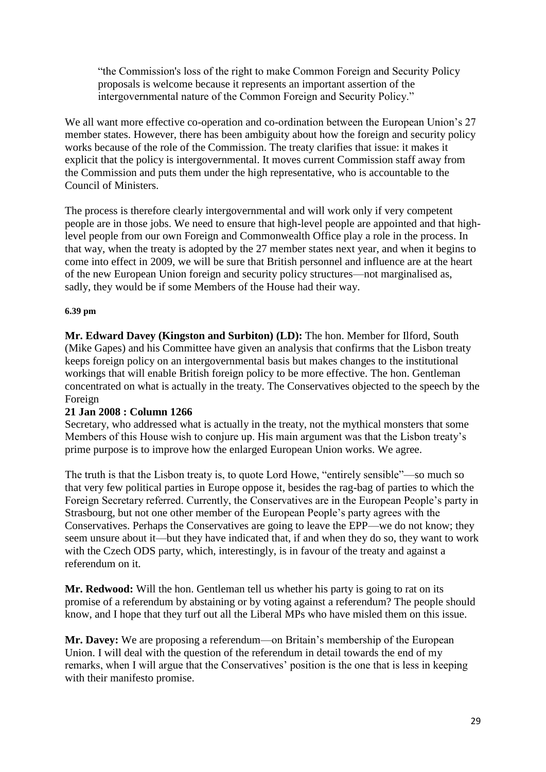"the Commission's loss of the right to make Common Foreign and Security Policy proposals is welcome because it represents an important assertion of the intergovernmental nature of the Common Foreign and Security Policy."

We all want more effective co-operation and co-ordination between the European Union's 27 member states. However, there has been ambiguity about how the foreign and security policy works because of the role of the Commission. The treaty clarifies that issue: it makes it explicit that the policy is intergovernmental. It moves current Commission staff away from the Commission and puts them under the high representative, who is accountable to the Council of Ministers.

The process is therefore clearly intergovernmental and will work only if very competent people are in those jobs. We need to ensure that high-level people are appointed and that highlevel people from our own Foreign and Commonwealth Office play a role in the process. In that way, when the treaty is adopted by the 27 member states next year, and when it begins to come into effect in 2009, we will be sure that British personnel and influence are at the heart of the new European Union foreign and security policy structures—not marginalised as, sadly, they would be if some Members of the House had their way.

#### **6.39 pm**

**Mr. Edward Davey (Kingston and Surbiton) (LD):** The hon. Member for Ilford, South (Mike Gapes) and his Committee have given an analysis that confirms that the Lisbon treaty keeps foreign policy on an intergovernmental basis but makes changes to the institutional workings that will enable British foreign policy to be more effective. The hon. Gentleman concentrated on what is actually in the treaty. The Conservatives objected to the speech by the Foreign

# **21 Jan 2008 : Column 1266**

Secretary, who addressed what is actually in the treaty, not the mythical monsters that some Members of this House wish to conjure up. His main argument was that the Lisbon treaty's prime purpose is to improve how the enlarged European Union works. We agree.

The truth is that the Lisbon treaty is, to quote Lord Howe, "entirely sensible"—so much so that very few political parties in Europe oppose it, besides the rag-bag of parties to which the Foreign Secretary referred. Currently, the Conservatives are in the European People's party in Strasbourg, but not one other member of the European People's party agrees with the Conservatives. Perhaps the Conservatives are going to leave the EPP—we do not know; they seem unsure about it—but they have indicated that, if and when they do so, they want to work with the Czech ODS party, which, interestingly, is in favour of the treaty and against a referendum on it.

**Mr. Redwood:** Will the hon. Gentleman tell us whether his party is going to rat on its promise of a referendum by abstaining or by voting against a referendum? The people should know, and I hope that they turf out all the Liberal MPs who have misled them on this issue.

**Mr. Davey:** We are proposing a referendum—on Britain's membership of the European Union. I will deal with the question of the referendum in detail towards the end of my remarks, when I will argue that the Conservatives' position is the one that is less in keeping with their manifesto promise.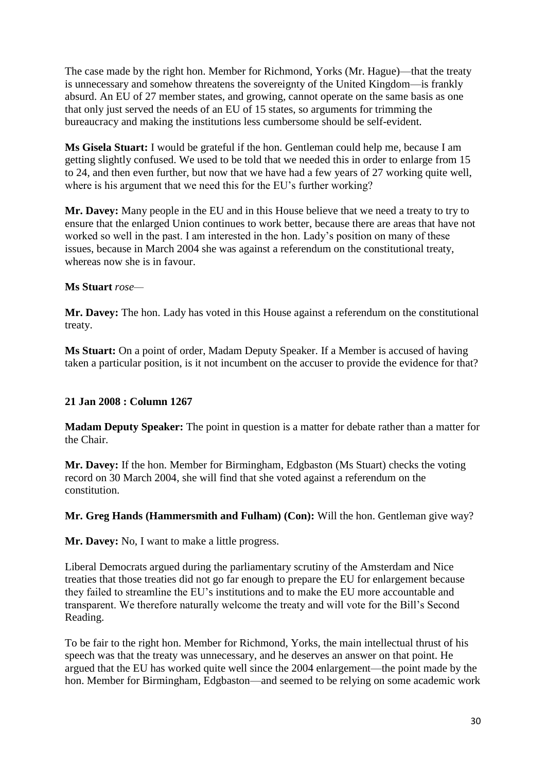The case made by the right hon. Member for Richmond, Yorks (Mr. Hague)—that the treaty is unnecessary and somehow threatens the sovereignty of the United Kingdom—is frankly absurd. An EU of 27 member states, and growing, cannot operate on the same basis as one that only just served the needs of an EU of 15 states, so arguments for trimming the bureaucracy and making the institutions less cumbersome should be self-evident.

**Ms Gisela Stuart:** I would be grateful if the hon. Gentleman could help me, because I am getting slightly confused. We used to be told that we needed this in order to enlarge from 15 to 24, and then even further, but now that we have had a few years of 27 working quite well, where is his argument that we need this for the EU's further working?

**Mr. Davey:** Many people in the EU and in this House believe that we need a treaty to try to ensure that the enlarged Union continues to work better, because there are areas that have not worked so well in the past. I am interested in the hon. Lady's position on many of these issues, because in March 2004 she was against a referendum on the constitutional treaty, whereas now she is in favour.

#### **Ms Stuart** *rose—*

**Mr. Davey:** The hon. Lady has voted in this House against a referendum on the constitutional treaty.

**Ms Stuart:** On a point of order, Madam Deputy Speaker. If a Member is accused of having taken a particular position, is it not incumbent on the accuser to provide the evidence for that?

# **21 Jan 2008 : Column 1267**

**Madam Deputy Speaker:** The point in question is a matter for debate rather than a matter for the Chair.

**Mr. Davey:** If the hon. Member for Birmingham, Edgbaston (Ms Stuart) checks the voting record on 30 March 2004, she will find that she voted against a referendum on the constitution.

**Mr. Greg Hands (Hammersmith and Fulham) (Con):** Will the hon. Gentleman give way?

**Mr. Davey:** No, I want to make a little progress.

Liberal Democrats argued during the parliamentary scrutiny of the Amsterdam and Nice treaties that those treaties did not go far enough to prepare the EU for enlargement because they failed to streamline the EU's institutions and to make the EU more accountable and transparent. We therefore naturally welcome the treaty and will vote for the Bill's Second Reading.

To be fair to the right hon. Member for Richmond, Yorks, the main intellectual thrust of his speech was that the treaty was unnecessary, and he deserves an answer on that point. He argued that the EU has worked quite well since the 2004 enlargement—the point made by the hon. Member for Birmingham, Edgbaston—and seemed to be relying on some academic work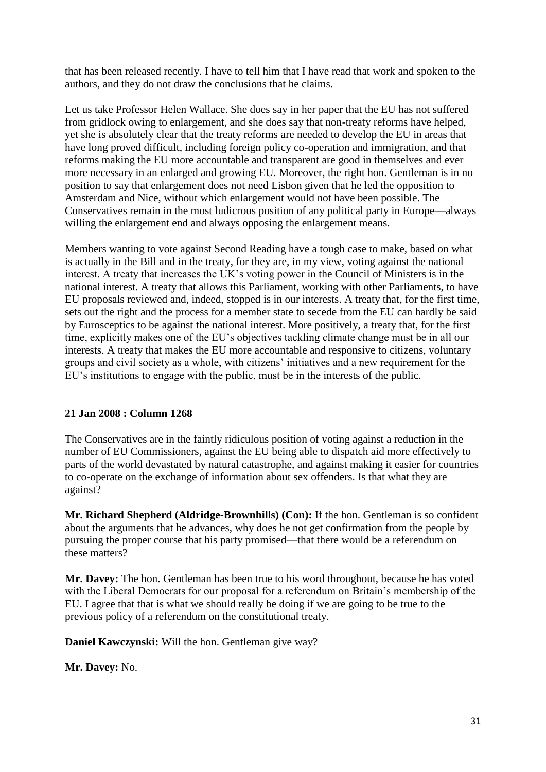that has been released recently. I have to tell him that I have read that work and spoken to the authors, and they do not draw the conclusions that he claims.

Let us take Professor Helen Wallace. She does say in her paper that the EU has not suffered from gridlock owing to enlargement, and she does say that non-treaty reforms have helped, yet she is absolutely clear that the treaty reforms are needed to develop the EU in areas that have long proved difficult, including foreign policy co-operation and immigration, and that reforms making the EU more accountable and transparent are good in themselves and ever more necessary in an enlarged and growing EU. Moreover, the right hon. Gentleman is in no position to say that enlargement does not need Lisbon given that he led the opposition to Amsterdam and Nice, without which enlargement would not have been possible. The Conservatives remain in the most ludicrous position of any political party in Europe—always willing the enlargement end and always opposing the enlargement means.

Members wanting to vote against Second Reading have a tough case to make, based on what is actually in the Bill and in the treaty, for they are, in my view, voting against the national interest. A treaty that increases the UK's voting power in the Council of Ministers is in the national interest. A treaty that allows this Parliament, working with other Parliaments, to have EU proposals reviewed and, indeed, stopped is in our interests. A treaty that, for the first time, sets out the right and the process for a member state to secede from the EU can hardly be said by Eurosceptics to be against the national interest. More positively, a treaty that, for the first time, explicitly makes one of the EU's objectives tackling climate change must be in all our interests. A treaty that makes the EU more accountable and responsive to citizens, voluntary groups and civil society as a whole, with citizens' initiatives and a new requirement for the EU's institutions to engage with the public, must be in the interests of the public.

# **21 Jan 2008 : Column 1268**

The Conservatives are in the faintly ridiculous position of voting against a reduction in the number of EU Commissioners, against the EU being able to dispatch aid more effectively to parts of the world devastated by natural catastrophe, and against making it easier for countries to co-operate on the exchange of information about sex offenders. Is that what they are against?

**Mr. Richard Shepherd (Aldridge-Brownhills) (Con):** If the hon. Gentleman is so confident about the arguments that he advances, why does he not get confirmation from the people by pursuing the proper course that his party promised—that there would be a referendum on these matters?

**Mr. Davey:** The hon. Gentleman has been true to his word throughout, because he has voted with the Liberal Democrats for our proposal for a referendum on Britain's membership of the EU. I agree that that is what we should really be doing if we are going to be true to the previous policy of a referendum on the constitutional treaty.

**Daniel Kawczynski:** Will the hon. Gentleman give way?

**Mr. Davey:** No.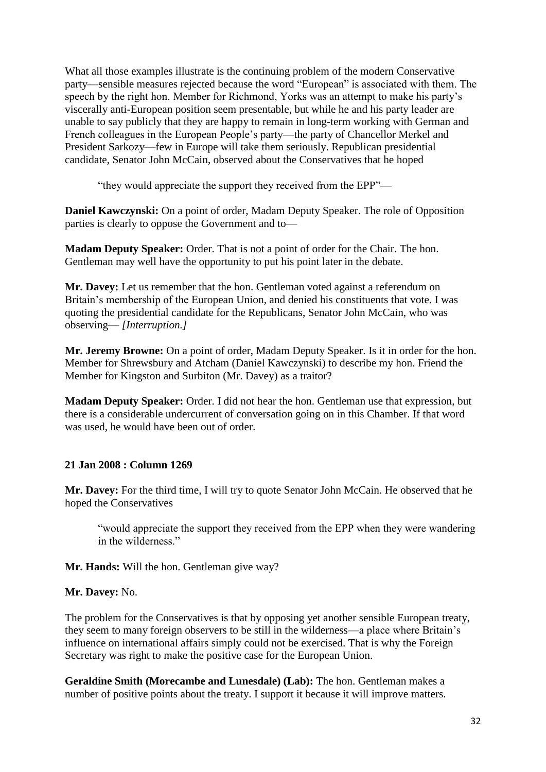What all those examples illustrate is the continuing problem of the modern Conservative party—sensible measures rejected because the word "European" is associated with them. The speech by the right hon. Member for Richmond, Yorks was an attempt to make his party's viscerally anti-European position seem presentable, but while he and his party leader are unable to say publicly that they are happy to remain in long-term working with German and French colleagues in the European People's party—the party of Chancellor Merkel and President Sarkozy—few in Europe will take them seriously. Republican presidential candidate, Senator John McCain, observed about the Conservatives that he hoped

"they would appreciate the support they received from the EPP"—

**Daniel Kawczynski:** On a point of order, Madam Deputy Speaker. The role of Opposition parties is clearly to oppose the Government and to—

**Madam Deputy Speaker:** Order. That is not a point of order for the Chair. The hon. Gentleman may well have the opportunity to put his point later in the debate.

**Mr. Davey:** Let us remember that the hon. Gentleman voted against a referendum on Britain's membership of the European Union, and denied his constituents that vote. I was quoting the presidential candidate for the Republicans, Senator John McCain, who was observing— *[Interruption.]*

**Mr. Jeremy Browne:** On a point of order, Madam Deputy Speaker. Is it in order for the hon. Member for Shrewsbury and Atcham (Daniel Kawczynski) to describe my hon. Friend the Member for Kingston and Surbiton (Mr. Davey) as a traitor?

**Madam Deputy Speaker:** Order. I did not hear the hon. Gentleman use that expression, but there is a considerable undercurrent of conversation going on in this Chamber. If that word was used, he would have been out of order.

# **21 Jan 2008 : Column 1269**

**Mr. Davey:** For the third time, I will try to quote Senator John McCain. He observed that he hoped the Conservatives

"would appreciate the support they received from the EPP when they were wandering in the wilderness."

**Mr. Hands:** Will the hon. Gentleman give way?

#### **Mr. Davey:** No.

The problem for the Conservatives is that by opposing yet another sensible European treaty, they seem to many foreign observers to be still in the wilderness—a place where Britain's influence on international affairs simply could not be exercised. That is why the Foreign Secretary was right to make the positive case for the European Union.

**Geraldine Smith (Morecambe and Lunesdale) (Lab):** The hon. Gentleman makes a number of positive points about the treaty. I support it because it will improve matters.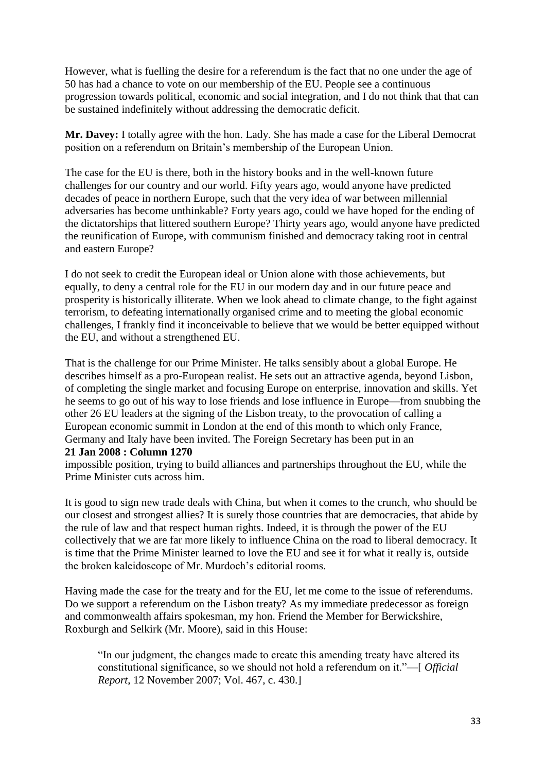However, what is fuelling the desire for a referendum is the fact that no one under the age of 50 has had a chance to vote on our membership of the EU. People see a continuous progression towards political, economic and social integration, and I do not think that that can be sustained indefinitely without addressing the democratic deficit.

**Mr. Davey:** I totally agree with the hon. Lady. She has made a case for the Liberal Democrat position on a referendum on Britain's membership of the European Union.

The case for the EU is there, both in the history books and in the well-known future challenges for our country and our world. Fifty years ago, would anyone have predicted decades of peace in northern Europe, such that the very idea of war between millennial adversaries has become unthinkable? Forty years ago, could we have hoped for the ending of the dictatorships that littered southern Europe? Thirty years ago, would anyone have predicted the reunification of Europe, with communism finished and democracy taking root in central and eastern Europe?

I do not seek to credit the European ideal or Union alone with those achievements, but equally, to deny a central role for the EU in our modern day and in our future peace and prosperity is historically illiterate. When we look ahead to climate change, to the fight against terrorism, to defeating internationally organised crime and to meeting the global economic challenges, I frankly find it inconceivable to believe that we would be better equipped without the EU, and without a strengthened EU.

That is the challenge for our Prime Minister. He talks sensibly about a global Europe. He describes himself as a pro-European realist. He sets out an attractive agenda, beyond Lisbon, of completing the single market and focusing Europe on enterprise, innovation and skills. Yet he seems to go out of his way to lose friends and lose influence in Europe—from snubbing the other 26 EU leaders at the signing of the Lisbon treaty, to the provocation of calling a European economic summit in London at the end of this month to which only France, Germany and Italy have been invited. The Foreign Secretary has been put in an **21 Jan 2008 : Column 1270**

impossible position, trying to build alliances and partnerships throughout the EU, while the Prime Minister cuts across him.

It is good to sign new trade deals with China, but when it comes to the crunch, who should be our closest and strongest allies? It is surely those countries that are democracies, that abide by the rule of law and that respect human rights. Indeed, it is through the power of the EU collectively that we are far more likely to influence China on the road to liberal democracy. It is time that the Prime Minister learned to love the EU and see it for what it really is, outside the broken kaleidoscope of Mr. Murdoch's editorial rooms.

Having made the case for the treaty and for the EU, let me come to the issue of referendums. Do we support a referendum on the Lisbon treaty? As my immediate predecessor as foreign and commonwealth affairs spokesman, my hon. Friend the Member for Berwickshire, Roxburgh and Selkirk (Mr. Moore), said in this House:

"In our judgment, the changes made to create this amending treaty have altered its constitutional significance, so we should not hold a referendum on it."—[ *Official Report*, 12 November 2007; Vol. 467, c. 430.]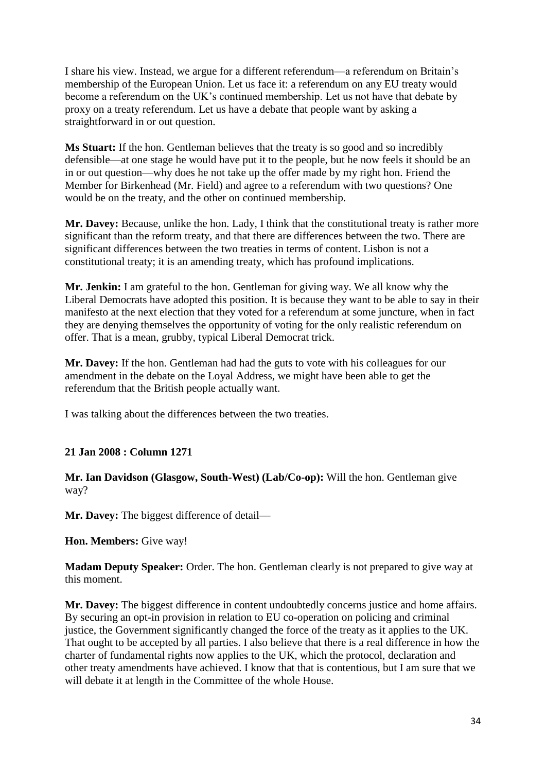I share his view. Instead, we argue for a different referendum—a referendum on Britain's membership of the European Union. Let us face it: a referendum on any EU treaty would become a referendum on the UK's continued membership. Let us not have that debate by proxy on a treaty referendum. Let us have a debate that people want by asking a straightforward in or out question.

**Ms Stuart:** If the hon. Gentleman believes that the treaty is so good and so incredibly defensible—at one stage he would have put it to the people, but he now feels it should be an in or out question—why does he not take up the offer made by my right hon. Friend the Member for Birkenhead (Mr. Field) and agree to a referendum with two questions? One would be on the treaty, and the other on continued membership.

**Mr. Davey:** Because, unlike the hon. Lady, I think that the constitutional treaty is rather more significant than the reform treaty, and that there are differences between the two. There are significant differences between the two treaties in terms of content. Lisbon is not a constitutional treaty; it is an amending treaty, which has profound implications.

**Mr. Jenkin:** I am grateful to the hon. Gentleman for giving way. We all know why the Liberal Democrats have adopted this position. It is because they want to be able to say in their manifesto at the next election that they voted for a referendum at some juncture, when in fact they are denying themselves the opportunity of voting for the only realistic referendum on offer. That is a mean, grubby, typical Liberal Democrat trick.

**Mr. Davey:** If the hon. Gentleman had had the guts to vote with his colleagues for our amendment in the debate on the Loyal Address, we might have been able to get the referendum that the British people actually want.

I was talking about the differences between the two treaties.

# **21 Jan 2008 : Column 1271**

**Mr. Ian Davidson (Glasgow, South-West) (Lab/Co-op):** Will the hon. Gentleman give way?

**Mr. Davey:** The biggest difference of detail—

**Hon. Members:** Give way!

**Madam Deputy Speaker:** Order. The hon. Gentleman clearly is not prepared to give way at this moment.

**Mr. Davey:** The biggest difference in content undoubtedly concerns justice and home affairs. By securing an opt-in provision in relation to EU co-operation on policing and criminal justice, the Government significantly changed the force of the treaty as it applies to the UK. That ought to be accepted by all parties. I also believe that there is a real difference in how the charter of fundamental rights now applies to the UK, which the protocol, declaration and other treaty amendments have achieved. I know that that is contentious, but I am sure that we will debate it at length in the Committee of the whole House.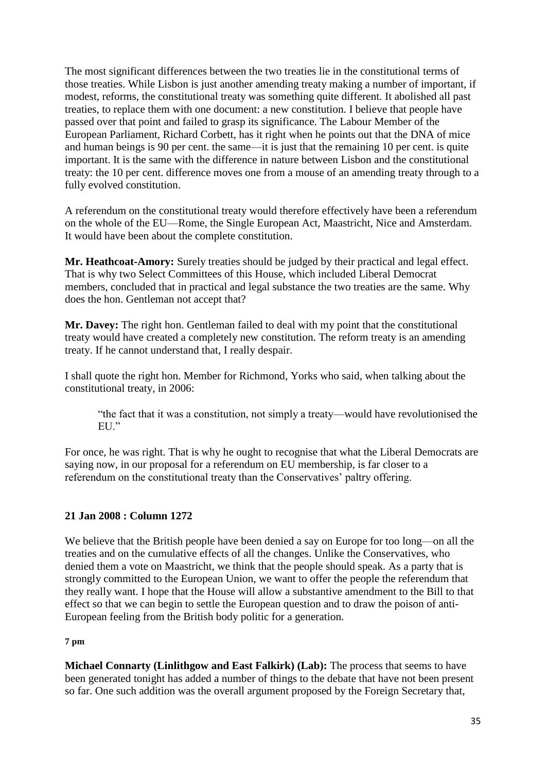The most significant differences between the two treaties lie in the constitutional terms of those treaties. While Lisbon is just another amending treaty making a number of important, if modest, reforms, the constitutional treaty was something quite different. It abolished all past treaties, to replace them with one document: a new constitution. I believe that people have passed over that point and failed to grasp its significance. The Labour Member of the European Parliament, Richard Corbett, has it right when he points out that the DNA of mice and human beings is 90 per cent. the same—it is just that the remaining 10 per cent. is quite important. It is the same with the difference in nature between Lisbon and the constitutional treaty: the 10 per cent. difference moves one from a mouse of an amending treaty through to a fully evolved constitution.

A referendum on the constitutional treaty would therefore effectively have been a referendum on the whole of the EU—Rome, the Single European Act, Maastricht, Nice and Amsterdam. It would have been about the complete constitution.

**Mr. Heathcoat-Amory:** Surely treaties should be judged by their practical and legal effect. That is why two Select Committees of this House, which included Liberal Democrat members, concluded that in practical and legal substance the two treaties are the same. Why does the hon. Gentleman not accept that?

**Mr. Davey:** The right hon. Gentleman failed to deal with my point that the constitutional treaty would have created a completely new constitution. The reform treaty is an amending treaty. If he cannot understand that, I really despair.

I shall quote the right hon. Member for Richmond, Yorks who said, when talking about the constitutional treaty, in 2006:

"the fact that it was a constitution, not simply a treaty—would have revolutionised the EU."

For once, he was right. That is why he ought to recognise that what the Liberal Democrats are saying now, in our proposal for a referendum on EU membership, is far closer to a referendum on the constitutional treaty than the Conservatives' paltry offering.

#### **21 Jan 2008 : Column 1272**

We believe that the British people have been denied a say on Europe for too long—on all the treaties and on the cumulative effects of all the changes. Unlike the Conservatives, who denied them a vote on Maastricht, we think that the people should speak. As a party that is strongly committed to the European Union, we want to offer the people the referendum that they really want. I hope that the House will allow a substantive amendment to the Bill to that effect so that we can begin to settle the European question and to draw the poison of anti-European feeling from the British body politic for a generation.

#### **7 pm**

**Michael Connarty (Linlithgow and East Falkirk) (Lab):** The process that seems to have been generated tonight has added a number of things to the debate that have not been present so far. One such addition was the overall argument proposed by the Foreign Secretary that,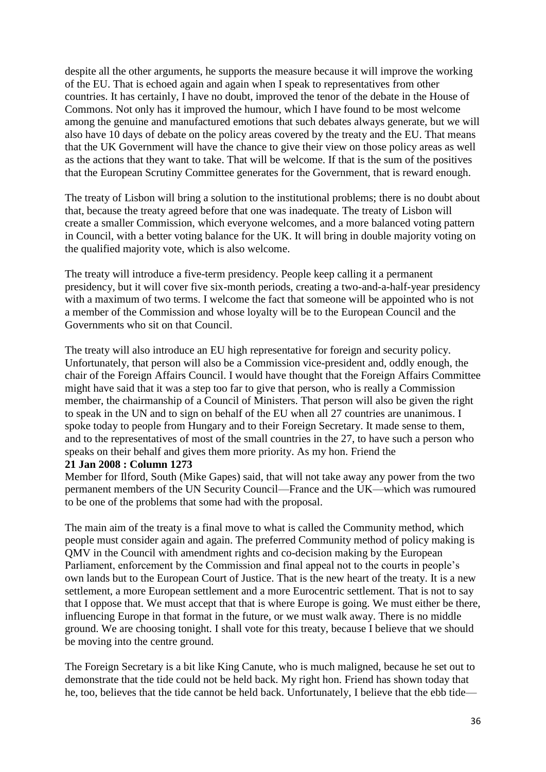despite all the other arguments, he supports the measure because it will improve the working of the EU. That is echoed again and again when I speak to representatives from other countries. It has certainly, I have no doubt, improved the tenor of the debate in the House of Commons. Not only has it improved the humour, which I have found to be most welcome among the genuine and manufactured emotions that such debates always generate, but we will also have 10 days of debate on the policy areas covered by the treaty and the EU. That means that the UK Government will have the chance to give their view on those policy areas as well as the actions that they want to take. That will be welcome. If that is the sum of the positives that the European Scrutiny Committee generates for the Government, that is reward enough.

The treaty of Lisbon will bring a solution to the institutional problems; there is no doubt about that, because the treaty agreed before that one was inadequate. The treaty of Lisbon will create a smaller Commission, which everyone welcomes, and a more balanced voting pattern in Council, with a better voting balance for the UK. It will bring in double majority voting on the qualified majority vote, which is also welcome.

The treaty will introduce a five-term presidency. People keep calling it a permanent presidency, but it will cover five six-month periods, creating a two-and-a-half-year presidency with a maximum of two terms. I welcome the fact that someone will be appointed who is not a member of the Commission and whose loyalty will be to the European Council and the Governments who sit on that Council.

The treaty will also introduce an EU high representative for foreign and security policy. Unfortunately, that person will also be a Commission vice-president and, oddly enough, the chair of the Foreign Affairs Council. I would have thought that the Foreign Affairs Committee might have said that it was a step too far to give that person, who is really a Commission member, the chairmanship of a Council of Ministers. That person will also be given the right to speak in the UN and to sign on behalf of the EU when all 27 countries are unanimous. I spoke today to people from Hungary and to their Foreign Secretary. It made sense to them, and to the representatives of most of the small countries in the 27, to have such a person who speaks on their behalf and gives them more priority. As my hon. Friend the

#### **21 Jan 2008 : Column 1273**

Member for Ilford, South (Mike Gapes) said, that will not take away any power from the two permanent members of the UN Security Council—France and the UK—which was rumoured to be one of the problems that some had with the proposal.

The main aim of the treaty is a final move to what is called the Community method, which people must consider again and again. The preferred Community method of policy making is QMV in the Council with amendment rights and co-decision making by the European Parliament, enforcement by the Commission and final appeal not to the courts in people's own lands but to the European Court of Justice. That is the new heart of the treaty. It is a new settlement, a more European settlement and a more Eurocentric settlement. That is not to say that I oppose that. We must accept that that is where Europe is going. We must either be there, influencing Europe in that format in the future, or we must walk away. There is no middle ground. We are choosing tonight. I shall vote for this treaty, because I believe that we should be moving into the centre ground.

The Foreign Secretary is a bit like King Canute, who is much maligned, because he set out to demonstrate that the tide could not be held back. My right hon. Friend has shown today that he, too, believes that the tide cannot be held back. Unfortunately, I believe that the ebb tide—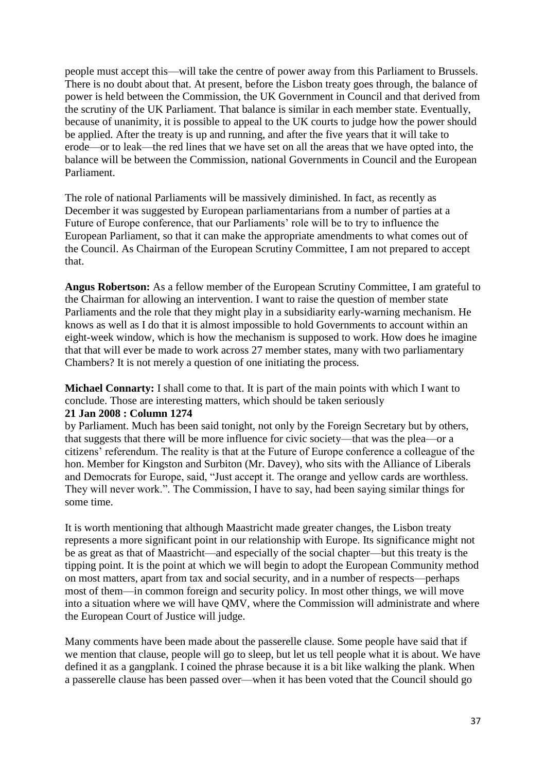people must accept this—will take the centre of power away from this Parliament to Brussels. There is no doubt about that. At present, before the Lisbon treaty goes through, the balance of power is held between the Commission, the UK Government in Council and that derived from the scrutiny of the UK Parliament. That balance is similar in each member state. Eventually, because of unanimity, it is possible to appeal to the UK courts to judge how the power should be applied. After the treaty is up and running, and after the five years that it will take to erode—or to leak—the red lines that we have set on all the areas that we have opted into, the balance will be between the Commission, national Governments in Council and the European Parliament.

The role of national Parliaments will be massively diminished. In fact, as recently as December it was suggested by European parliamentarians from a number of parties at a Future of Europe conference, that our Parliaments' role will be to try to influence the European Parliament, so that it can make the appropriate amendments to what comes out of the Council. As Chairman of the European Scrutiny Committee, I am not prepared to accept that.

**Angus Robertson:** As a fellow member of the European Scrutiny Committee, I am grateful to the Chairman for allowing an intervention. I want to raise the question of member state Parliaments and the role that they might play in a subsidiarity early-warning mechanism. He knows as well as I do that it is almost impossible to hold Governments to account within an eight-week window, which is how the mechanism is supposed to work. How does he imagine that that will ever be made to work across 27 member states, many with two parliamentary Chambers? It is not merely a question of one initiating the process.

**Michael Connarty:** I shall come to that. It is part of the main points with which I want to conclude. Those are interesting matters, which should be taken seriously

#### **21 Jan 2008 : Column 1274**

by Parliament. Much has been said tonight, not only by the Foreign Secretary but by others, that suggests that there will be more influence for civic society—that was the plea—or a citizens' referendum. The reality is that at the Future of Europe conference a colleague of the hon. Member for Kingston and Surbiton (Mr. Davey), who sits with the Alliance of Liberals and Democrats for Europe, said, "Just accept it. The orange and yellow cards are worthless. They will never work.". The Commission, I have to say, had been saying similar things for some time.

It is worth mentioning that although Maastricht made greater changes, the Lisbon treaty represents a more significant point in our relationship with Europe. Its significance might not be as great as that of Maastricht—and especially of the social chapter—but this treaty is the tipping point. It is the point at which we will begin to adopt the European Community method on most matters, apart from tax and social security, and in a number of respects—perhaps most of them—in common foreign and security policy. In most other things, we will move into a situation where we will have QMV, where the Commission will administrate and where the European Court of Justice will judge.

Many comments have been made about the passerelle clause. Some people have said that if we mention that clause, people will go to sleep, but let us tell people what it is about. We have defined it as a gangplank. I coined the phrase because it is a bit like walking the plank. When a passerelle clause has been passed over—when it has been voted that the Council should go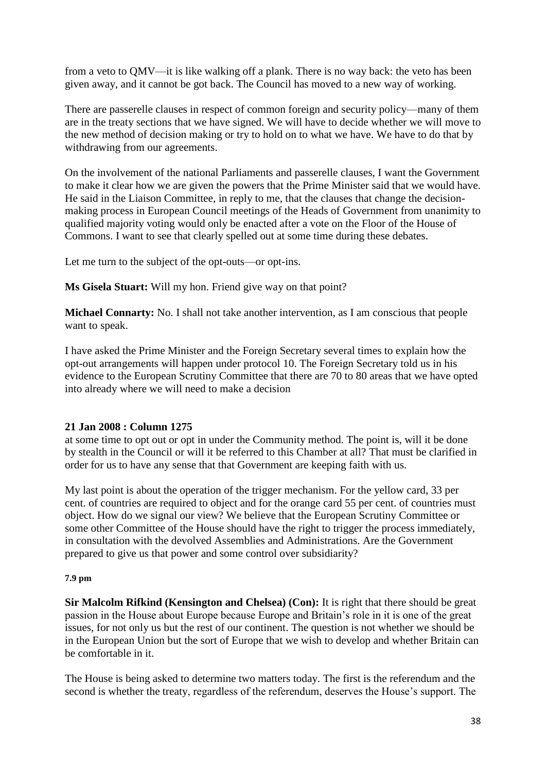from a veto to QMV—it is like walking off a plank. There is no way back: the veto has been given away, and it cannot be got back. The Council has moved to a new way of working.

There are passerelle clauses in respect of common foreign and security policy—many of them are in the treaty sections that we have signed. We will have to decide whether we will move to the new method of decision making or try to hold on to what we have. We have to do that by withdrawing from our agreements.

On the involvement of the national Parliaments and passerelle clauses, I want the Government to make it clear how we are given the powers that the Prime Minister said that we would have. He said in the Liaison Committee, in reply to me, that the clauses that change the decisionmaking process in European Council meetings of the Heads of Government from unanimity to qualified majority voting would only be enacted after a vote on the Floor of the House of Commons. I want to see that clearly spelled out at some time during these debates.

Let me turn to the subject of the opt-outs—or opt-ins.

**Ms Gisela Stuart:** Will my hon. Friend give way on that point?

**Michael Connarty:** No. I shall not take another intervention, as I am conscious that people want to speak.

I have asked the Prime Minister and the Foreign Secretary several times to explain how the opt-out arrangements will happen under protocol 10. The Foreign Secretary told us in his evidence to the European Scrutiny Committee that there are 70 to 80 areas that we have opted into already where we will need to make a decision

# **21 Jan 2008 : Column 1275**

at some time to opt out or opt in under the Community method. The point is, will it be done by stealth in the Council or will it be referred to this Chamber at all? That must be clarified in order for us to have any sense that that Government are keeping faith with us.

My last point is about the operation of the trigger mechanism. For the yellow card, 33 per cent. of countries are required to object and for the orange card 55 per cent. of countries must object. How do we signal our view? We believe that the European Scrutiny Committee or some other Committee of the House should have the right to trigger the process immediately, in consultation with the devolved Assemblies and Administrations. Are the Government prepared to give us that power and some control over subsidiarity?

# **7.9 pm**

**Sir Malcolm Rifkind (Kensington and Chelsea) (Con):** It is right that there should be great passion in the House about Europe because Europe and Britain's role in it is one of the great issues, for not only us but the rest of our continent. The question is not whether we should be in the European Union but the sort of Europe that we wish to develop and whether Britain can be comfortable in it.

The House is being asked to determine two matters today. The first is the referendum and the second is whether the treaty, regardless of the referendum, deserves the House's support. The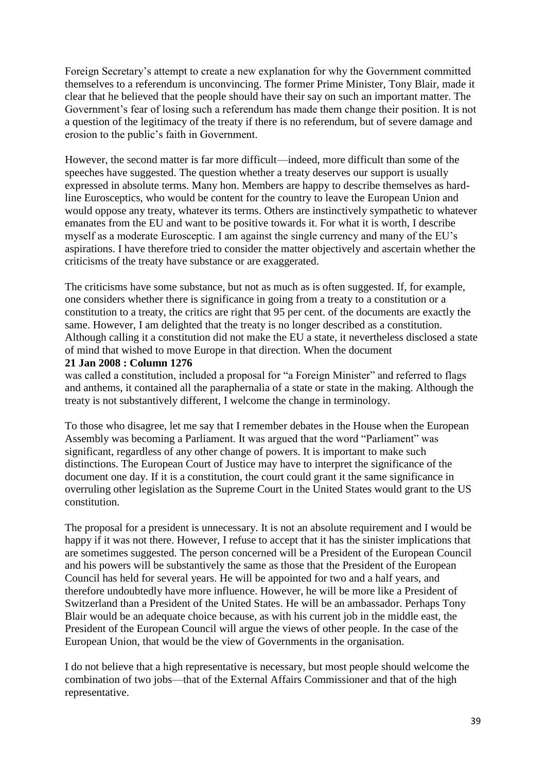Foreign Secretary's attempt to create a new explanation for why the Government committed themselves to a referendum is unconvincing. The former Prime Minister, Tony Blair, made it clear that he believed that the people should have their say on such an important matter. The Government's fear of losing such a referendum has made them change their position. It is not a question of the legitimacy of the treaty if there is no referendum, but of severe damage and erosion to the public's faith in Government.

However, the second matter is far more difficult—indeed, more difficult than some of the speeches have suggested. The question whether a treaty deserves our support is usually expressed in absolute terms. Many hon. Members are happy to describe themselves as hardline Eurosceptics, who would be content for the country to leave the European Union and would oppose any treaty, whatever its terms. Others are instinctively sympathetic to whatever emanates from the EU and want to be positive towards it. For what it is worth, I describe myself as a moderate Eurosceptic. I am against the single currency and many of the EU's aspirations. I have therefore tried to consider the matter objectively and ascertain whether the criticisms of the treaty have substance or are exaggerated.

The criticisms have some substance, but not as much as is often suggested. If, for example, one considers whether there is significance in going from a treaty to a constitution or a constitution to a treaty, the critics are right that 95 per cent. of the documents are exactly the same. However, I am delighted that the treaty is no longer described as a constitution. Although calling it a constitution did not make the EU a state, it nevertheless disclosed a state of mind that wished to move Europe in that direction. When the document

#### **21 Jan 2008 : Column 1276**

was called a constitution, included a proposal for "a Foreign Minister" and referred to flags and anthems, it contained all the paraphernalia of a state or state in the making. Although the treaty is not substantively different, I welcome the change in terminology.

To those who disagree, let me say that I remember debates in the House when the European Assembly was becoming a Parliament. It was argued that the word "Parliament" was significant, regardless of any other change of powers. It is important to make such distinctions. The European Court of Justice may have to interpret the significance of the document one day. If it is a constitution, the court could grant it the same significance in overruling other legislation as the Supreme Court in the United States would grant to the US constitution.

The proposal for a president is unnecessary. It is not an absolute requirement and I would be happy if it was not there. However, I refuse to accept that it has the sinister implications that are sometimes suggested. The person concerned will be a President of the European Council and his powers will be substantively the same as those that the President of the European Council has held for several years. He will be appointed for two and a half years, and therefore undoubtedly have more influence. However, he will be more like a President of Switzerland than a President of the United States. He will be an ambassador. Perhaps Tony Blair would be an adequate choice because, as with his current job in the middle east, the President of the European Council will argue the views of other people. In the case of the European Union, that would be the view of Governments in the organisation.

I do not believe that a high representative is necessary, but most people should welcome the combination of two jobs—that of the External Affairs Commissioner and that of the high representative.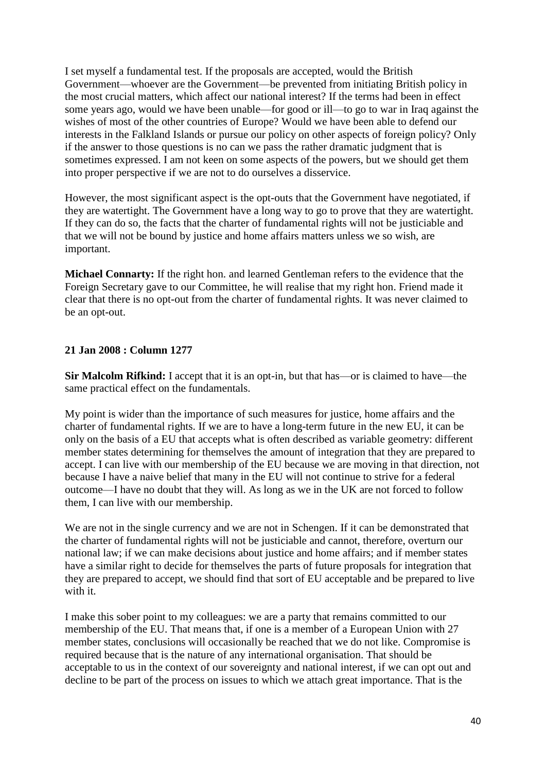I set myself a fundamental test. If the proposals are accepted, would the British Government—whoever are the Government—be prevented from initiating British policy in the most crucial matters, which affect our national interest? If the terms had been in effect some years ago, would we have been unable—for good or ill—to go to war in Iraq against the wishes of most of the other countries of Europe? Would we have been able to defend our interests in the Falkland Islands or pursue our policy on other aspects of foreign policy? Only if the answer to those questions is no can we pass the rather dramatic judgment that is sometimes expressed. I am not keen on some aspects of the powers, but we should get them into proper perspective if we are not to do ourselves a disservice.

However, the most significant aspect is the opt-outs that the Government have negotiated, if they are watertight. The Government have a long way to go to prove that they are watertight. If they can do so, the facts that the charter of fundamental rights will not be justiciable and that we will not be bound by justice and home affairs matters unless we so wish, are important.

**Michael Connarty:** If the right hon. and learned Gentleman refers to the evidence that the Foreign Secretary gave to our Committee, he will realise that my right hon. Friend made it clear that there is no opt-out from the charter of fundamental rights. It was never claimed to be an opt-out.

### **21 Jan 2008 : Column 1277**

**Sir Malcolm Rifkind:** I accept that it is an opt-in, but that has—or is claimed to have—the same practical effect on the fundamentals.

My point is wider than the importance of such measures for justice, home affairs and the charter of fundamental rights. If we are to have a long-term future in the new EU, it can be only on the basis of a EU that accepts what is often described as variable geometry: different member states determining for themselves the amount of integration that they are prepared to accept. I can live with our membership of the EU because we are moving in that direction, not because I have a naive belief that many in the EU will not continue to strive for a federal outcome—I have no doubt that they will. As long as we in the UK are not forced to follow them, I can live with our membership.

We are not in the single currency and we are not in Schengen. If it can be demonstrated that the charter of fundamental rights will not be justiciable and cannot, therefore, overturn our national law; if we can make decisions about justice and home affairs; and if member states have a similar right to decide for themselves the parts of future proposals for integration that they are prepared to accept, we should find that sort of EU acceptable and be prepared to live with it.

I make this sober point to my colleagues: we are a party that remains committed to our membership of the EU. That means that, if one is a member of a European Union with 27 member states, conclusions will occasionally be reached that we do not like. Compromise is required because that is the nature of any international organisation. That should be acceptable to us in the context of our sovereignty and national interest, if we can opt out and decline to be part of the process on issues to which we attach great importance. That is the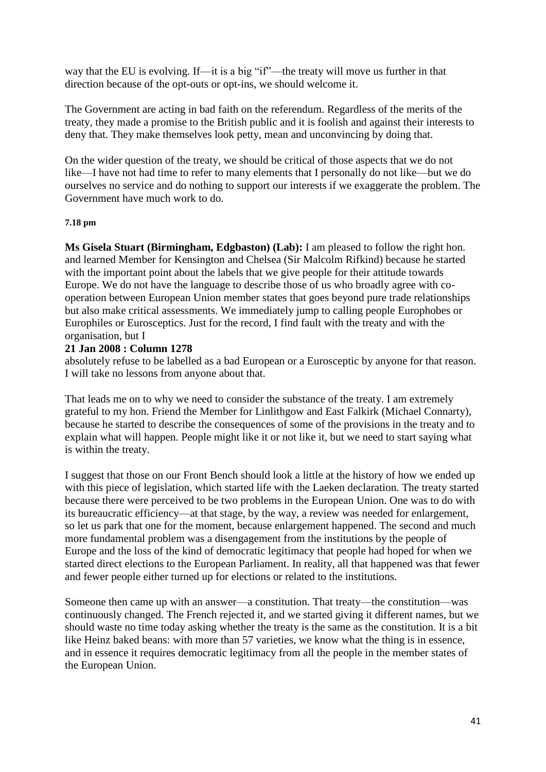way that the EU is evolving. If—it is a big "if"—the treaty will move us further in that direction because of the opt-outs or opt-ins, we should welcome it.

The Government are acting in bad faith on the referendum. Regardless of the merits of the treaty, they made a promise to the British public and it is foolish and against their interests to deny that. They make themselves look petty, mean and unconvincing by doing that.

On the wider question of the treaty, we should be critical of those aspects that we do not like—I have not had time to refer to many elements that I personally do not like—but we do ourselves no service and do nothing to support our interests if we exaggerate the problem. The Government have much work to do.

#### **7.18 pm**

**Ms Gisela Stuart (Birmingham, Edgbaston) (Lab):** I am pleased to follow the right hon. and learned Member for Kensington and Chelsea (Sir Malcolm Rifkind) because he started with the important point about the labels that we give people for their attitude towards Europe. We do not have the language to describe those of us who broadly agree with cooperation between European Union member states that goes beyond pure trade relationships but also make critical assessments. We immediately jump to calling people Europhobes or Europhiles or Eurosceptics. Just for the record, I find fault with the treaty and with the organisation, but I

#### **21 Jan 2008 : Column 1278**

absolutely refuse to be labelled as a bad European or a Eurosceptic by anyone for that reason. I will take no lessons from anyone about that.

That leads me on to why we need to consider the substance of the treaty. I am extremely grateful to my hon. Friend the Member for Linlithgow and East Falkirk (Michael Connarty), because he started to describe the consequences of some of the provisions in the treaty and to explain what will happen. People might like it or not like it, but we need to start saying what is within the treaty.

I suggest that those on our Front Bench should look a little at the history of how we ended up with this piece of legislation, which started life with the Laeken declaration. The treaty started because there were perceived to be two problems in the European Union. One was to do with its bureaucratic efficiency—at that stage, by the way, a review was needed for enlargement, so let us park that one for the moment, because enlargement happened. The second and much more fundamental problem was a disengagement from the institutions by the people of Europe and the loss of the kind of democratic legitimacy that people had hoped for when we started direct elections to the European Parliament. In reality, all that happened was that fewer and fewer people either turned up for elections or related to the institutions.

Someone then came up with an answer—a constitution. That treaty—the constitution—was continuously changed. The French rejected it, and we started giving it different names, but we should waste no time today asking whether the treaty is the same as the constitution. It is a bit like Heinz baked beans: with more than 57 varieties, we know what the thing is in essence, and in essence it requires democratic legitimacy from all the people in the member states of the European Union.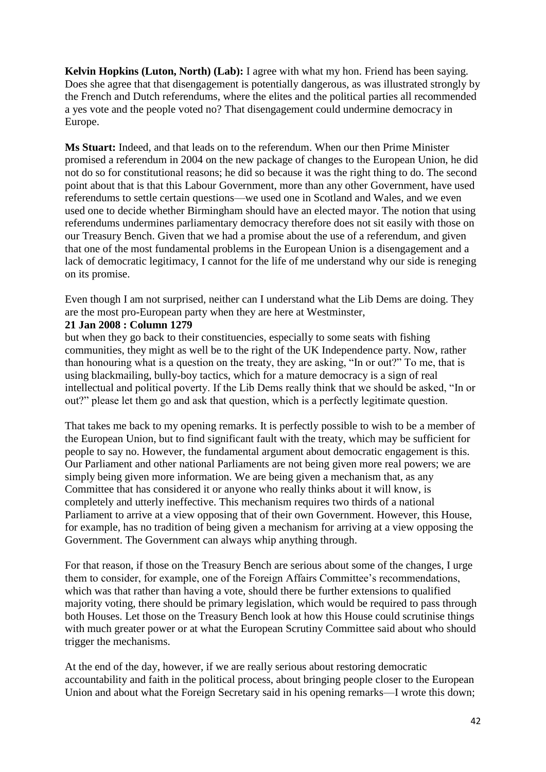**Kelvin Hopkins (Luton, North) (Lab):** I agree with what my hon. Friend has been saying. Does she agree that that disengagement is potentially dangerous, as was illustrated strongly by the French and Dutch referendums, where the elites and the political parties all recommended a yes vote and the people voted no? That disengagement could undermine democracy in Europe.

**Ms Stuart:** Indeed, and that leads on to the referendum. When our then Prime Minister promised a referendum in 2004 on the new package of changes to the European Union, he did not do so for constitutional reasons; he did so because it was the right thing to do. The second point about that is that this Labour Government, more than any other Government, have used referendums to settle certain questions—we used one in Scotland and Wales, and we even used one to decide whether Birmingham should have an elected mayor. The notion that using referendums undermines parliamentary democracy therefore does not sit easily with those on our Treasury Bench. Given that we had a promise about the use of a referendum, and given that one of the most fundamental problems in the European Union is a disengagement and a lack of democratic legitimacy, I cannot for the life of me understand why our side is reneging on its promise.

Even though I am not surprised, neither can I understand what the Lib Dems are doing. They are the most pro-European party when they are here at Westminster,

# **21 Jan 2008 : Column 1279**

but when they go back to their constituencies, especially to some seats with fishing communities, they might as well be to the right of the UK Independence party. Now, rather than honouring what is a question on the treaty, they are asking, "In or out?" To me, that is using blackmailing, bully-boy tactics, which for a mature democracy is a sign of real intellectual and political poverty. If the Lib Dems really think that we should be asked, "In or out?" please let them go and ask that question, which is a perfectly legitimate question.

That takes me back to my opening remarks. It is perfectly possible to wish to be a member of the European Union, but to find significant fault with the treaty, which may be sufficient for people to say no. However, the fundamental argument about democratic engagement is this. Our Parliament and other national Parliaments are not being given more real powers; we are simply being given more information. We are being given a mechanism that, as any Committee that has considered it or anyone who really thinks about it will know, is completely and utterly ineffective. This mechanism requires two thirds of a national Parliament to arrive at a view opposing that of their own Government. However, this House, for example, has no tradition of being given a mechanism for arriving at a view opposing the Government. The Government can always whip anything through.

For that reason, if those on the Treasury Bench are serious about some of the changes, I urge them to consider, for example, one of the Foreign Affairs Committee's recommendations, which was that rather than having a vote, should there be further extensions to qualified majority voting, there should be primary legislation, which would be required to pass through both Houses. Let those on the Treasury Bench look at how this House could scrutinise things with much greater power or at what the European Scrutiny Committee said about who should trigger the mechanisms.

At the end of the day, however, if we are really serious about restoring democratic accountability and faith in the political process, about bringing people closer to the European Union and about what the Foreign Secretary said in his opening remarks—I wrote this down;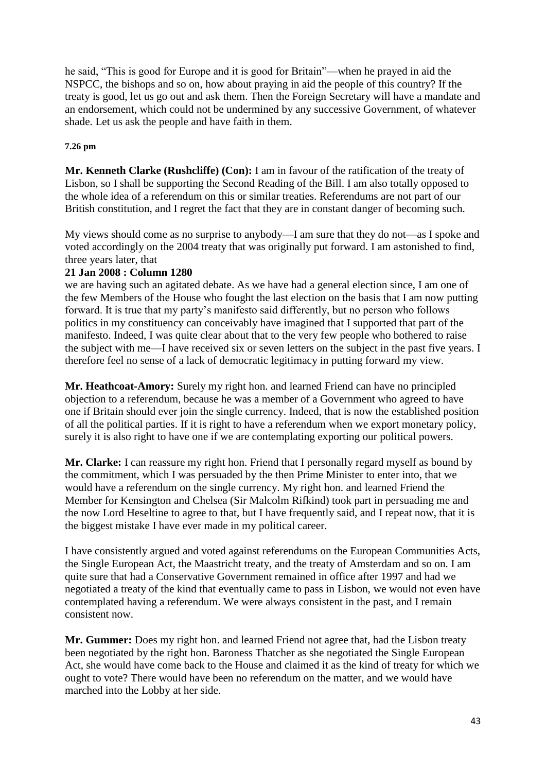he said, "This is good for Europe and it is good for Britain"—when he prayed in aid the NSPCC, the bishops and so on, how about praying in aid the people of this country? If the treaty is good, let us go out and ask them. Then the Foreign Secretary will have a mandate and an endorsement, which could not be undermined by any successive Government, of whatever shade. Let us ask the people and have faith in them.

#### **7.26 pm**

**Mr. Kenneth Clarke (Rushcliffe) (Con):** I am in favour of the ratification of the treaty of Lisbon, so I shall be supporting the Second Reading of the Bill. I am also totally opposed to the whole idea of a referendum on this or similar treaties. Referendums are not part of our British constitution, and I regret the fact that they are in constant danger of becoming such.

My views should come as no surprise to anybody—I am sure that they do not—as I spoke and voted accordingly on the 2004 treaty that was originally put forward. I am astonished to find, three years later, that

### **21 Jan 2008 : Column 1280**

we are having such an agitated debate. As we have had a general election since, I am one of the few Members of the House who fought the last election on the basis that I am now putting forward. It is true that my party's manifesto said differently, but no person who follows politics in my constituency can conceivably have imagined that I supported that part of the manifesto. Indeed, I was quite clear about that to the very few people who bothered to raise the subject with me—I have received six or seven letters on the subject in the past five years. I therefore feel no sense of a lack of democratic legitimacy in putting forward my view.

**Mr. Heathcoat-Amory:** Surely my right hon. and learned Friend can have no principled objection to a referendum, because he was a member of a Government who agreed to have one if Britain should ever join the single currency. Indeed, that is now the established position of all the political parties. If it is right to have a referendum when we export monetary policy, surely it is also right to have one if we are contemplating exporting our political powers.

**Mr. Clarke:** I can reassure my right hon. Friend that I personally regard myself as bound by the commitment, which I was persuaded by the then Prime Minister to enter into, that we would have a referendum on the single currency. My right hon. and learned Friend the Member for Kensington and Chelsea (Sir Malcolm Rifkind) took part in persuading me and the now Lord Heseltine to agree to that, but I have frequently said, and I repeat now, that it is the biggest mistake I have ever made in my political career.

I have consistently argued and voted against referendums on the European Communities Acts, the Single European Act, the Maastricht treaty, and the treaty of Amsterdam and so on. I am quite sure that had a Conservative Government remained in office after 1997 and had we negotiated a treaty of the kind that eventually came to pass in Lisbon, we would not even have contemplated having a referendum. We were always consistent in the past, and I remain consistent now.

**Mr. Gummer:** Does my right hon. and learned Friend not agree that, had the Lisbon treaty been negotiated by the right hon. Baroness Thatcher as she negotiated the Single European Act, she would have come back to the House and claimed it as the kind of treaty for which we ought to vote? There would have been no referendum on the matter, and we would have marched into the Lobby at her side.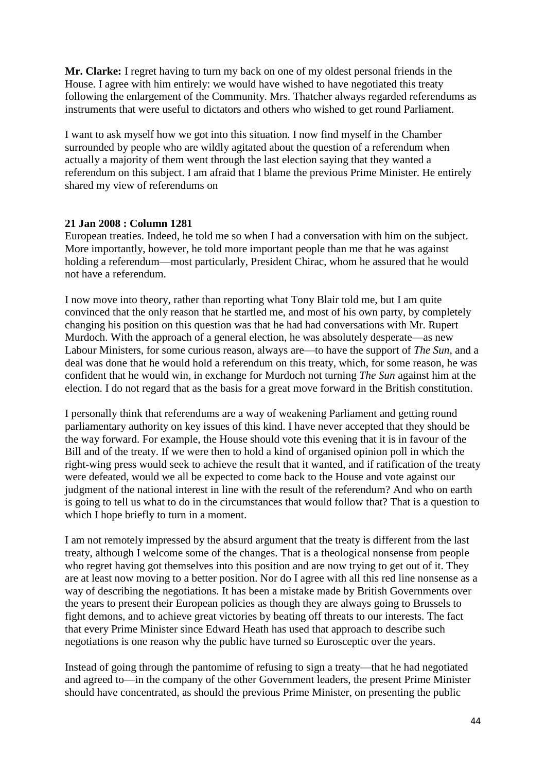**Mr. Clarke:** I regret having to turn my back on one of my oldest personal friends in the House. I agree with him entirely: we would have wished to have negotiated this treaty following the enlargement of the Community. Mrs. Thatcher always regarded referendums as instruments that were useful to dictators and others who wished to get round Parliament.

I want to ask myself how we got into this situation. I now find myself in the Chamber surrounded by people who are wildly agitated about the question of a referendum when actually a majority of them went through the last election saying that they wanted a referendum on this subject. I am afraid that I blame the previous Prime Minister. He entirely shared my view of referendums on

### **21 Jan 2008 : Column 1281**

European treaties. Indeed, he told me so when I had a conversation with him on the subject. More importantly, however, he told more important people than me that he was against holding a referendum—most particularly, President Chirac, whom he assured that he would not have a referendum.

I now move into theory, rather than reporting what Tony Blair told me, but I am quite convinced that the only reason that he startled me, and most of his own party, by completely changing his position on this question was that he had had conversations with Mr. Rupert Murdoch. With the approach of a general election, he was absolutely desperate—as new Labour Ministers, for some curious reason, always are—to have the support of *The Sun,* and a deal was done that he would hold a referendum on this treaty, which, for some reason, he was confident that he would win, in exchange for Murdoch not turning *The Sun* against him at the election. I do not regard that as the basis for a great move forward in the British constitution.

I personally think that referendums are a way of weakening Parliament and getting round parliamentary authority on key issues of this kind. I have never accepted that they should be the way forward. For example, the House should vote this evening that it is in favour of the Bill and of the treaty. If we were then to hold a kind of organised opinion poll in which the right-wing press would seek to achieve the result that it wanted, and if ratification of the treaty were defeated, would we all be expected to come back to the House and vote against our judgment of the national interest in line with the result of the referendum? And who on earth is going to tell us what to do in the circumstances that would follow that? That is a question to which I hope briefly to turn in a moment.

I am not remotely impressed by the absurd argument that the treaty is different from the last treaty, although I welcome some of the changes. That is a theological nonsense from people who regret having got themselves into this position and are now trying to get out of it. They are at least now moving to a better position. Nor do I agree with all this red line nonsense as a way of describing the negotiations. It has been a mistake made by British Governments over the years to present their European policies as though they are always going to Brussels to fight demons, and to achieve great victories by beating off threats to our interests. The fact that every Prime Minister since Edward Heath has used that approach to describe such negotiations is one reason why the public have turned so Eurosceptic over the years.

Instead of going through the pantomime of refusing to sign a treaty—that he had negotiated and agreed to—in the company of the other Government leaders, the present Prime Minister should have concentrated, as should the previous Prime Minister, on presenting the public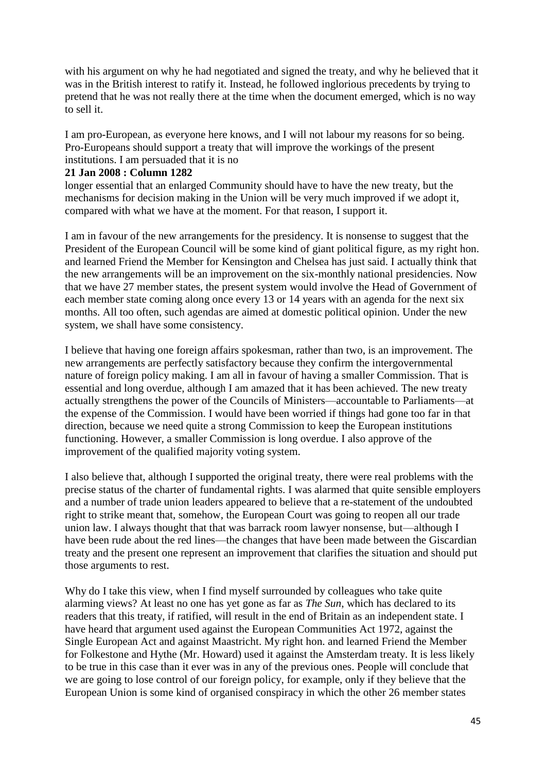with his argument on why he had negotiated and signed the treaty, and why he believed that it was in the British interest to ratify it. Instead, he followed inglorious precedents by trying to pretend that he was not really there at the time when the document emerged, which is no way to sell it.

I am pro-European, as everyone here knows, and I will not labour my reasons for so being. Pro-Europeans should support a treaty that will improve the workings of the present institutions. I am persuaded that it is no

### **21 Jan 2008 : Column 1282**

longer essential that an enlarged Community should have to have the new treaty, but the mechanisms for decision making in the Union will be very much improved if we adopt it, compared with what we have at the moment. For that reason, I support it.

I am in favour of the new arrangements for the presidency. It is nonsense to suggest that the President of the European Council will be some kind of giant political figure, as my right hon. and learned Friend the Member for Kensington and Chelsea has just said. I actually think that the new arrangements will be an improvement on the six-monthly national presidencies. Now that we have 27 member states, the present system would involve the Head of Government of each member state coming along once every 13 or 14 years with an agenda for the next six months. All too often, such agendas are aimed at domestic political opinion. Under the new system, we shall have some consistency.

I believe that having one foreign affairs spokesman, rather than two, is an improvement. The new arrangements are perfectly satisfactory because they confirm the intergovernmental nature of foreign policy making. I am all in favour of having a smaller Commission. That is essential and long overdue, although I am amazed that it has been achieved. The new treaty actually strengthens the power of the Councils of Ministers—accountable to Parliaments—at the expense of the Commission. I would have been worried if things had gone too far in that direction, because we need quite a strong Commission to keep the European institutions functioning. However, a smaller Commission is long overdue. I also approve of the improvement of the qualified majority voting system.

I also believe that, although I supported the original treaty, there were real problems with the precise status of the charter of fundamental rights. I was alarmed that quite sensible employers and a number of trade union leaders appeared to believe that a re-statement of the undoubted right to strike meant that, somehow, the European Court was going to reopen all our trade union law. I always thought that that was barrack room lawyer nonsense, but—although I have been rude about the red lines—the changes that have been made between the Giscardian treaty and the present one represent an improvement that clarifies the situation and should put those arguments to rest.

Why do I take this view, when I find myself surrounded by colleagues who take quite alarming views? At least no one has yet gone as far as *The Sun*, which has declared to its readers that this treaty, if ratified, will result in the end of Britain as an independent state. I have heard that argument used against the European Communities Act 1972, against the Single European Act and against Maastricht. My right hon. and learned Friend the Member for Folkestone and Hythe (Mr. Howard) used it against the Amsterdam treaty. It is less likely to be true in this case than it ever was in any of the previous ones. People will conclude that we are going to lose control of our foreign policy, for example, only if they believe that the European Union is some kind of organised conspiracy in which the other 26 member states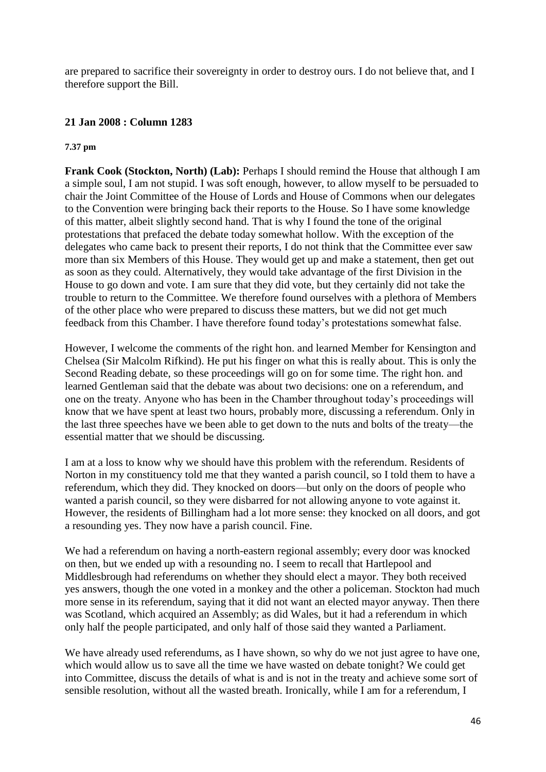are prepared to sacrifice their sovereignty in order to destroy ours. I do not believe that, and I therefore support the Bill.

### **21 Jan 2008 : Column 1283**

#### **7.37 pm**

**Frank Cook (Stockton, North) (Lab):** Perhaps I should remind the House that although I am a simple soul, I am not stupid. I was soft enough, however, to allow myself to be persuaded to chair the Joint Committee of the House of Lords and House of Commons when our delegates to the Convention were bringing back their reports to the House. So I have some knowledge of this matter, albeit slightly second hand. That is why I found the tone of the original protestations that prefaced the debate today somewhat hollow. With the exception of the delegates who came back to present their reports, I do not think that the Committee ever saw more than six Members of this House. They would get up and make a statement, then get out as soon as they could. Alternatively, they would take advantage of the first Division in the House to go down and vote. I am sure that they did vote, but they certainly did not take the trouble to return to the Committee. We therefore found ourselves with a plethora of Members of the other place who were prepared to discuss these matters, but we did not get much feedback from this Chamber. I have therefore found today's protestations somewhat false.

However, I welcome the comments of the right hon. and learned Member for Kensington and Chelsea (Sir Malcolm Rifkind). He put his finger on what this is really about. This is only the Second Reading debate, so these proceedings will go on for some time. The right hon. and learned Gentleman said that the debate was about two decisions: one on a referendum, and one on the treaty. Anyone who has been in the Chamber throughout today's proceedings will know that we have spent at least two hours, probably more, discussing a referendum. Only in the last three speeches have we been able to get down to the nuts and bolts of the treaty—the essential matter that we should be discussing.

I am at a loss to know why we should have this problem with the referendum. Residents of Norton in my constituency told me that they wanted a parish council, so I told them to have a referendum, which they did. They knocked on doors—but only on the doors of people who wanted a parish council, so they were disbarred for not allowing anyone to vote against it. However, the residents of Billingham had a lot more sense: they knocked on all doors, and got a resounding yes. They now have a parish council. Fine.

We had a referendum on having a north-eastern regional assembly; every door was knocked on then, but we ended up with a resounding no. I seem to recall that Hartlepool and Middlesbrough had referendums on whether they should elect a mayor. They both received yes answers, though the one voted in a monkey and the other a policeman. Stockton had much more sense in its referendum, saying that it did not want an elected mayor anyway. Then there was Scotland, which acquired an Assembly; as did Wales, but it had a referendum in which only half the people participated, and only half of those said they wanted a Parliament.

We have already used referendums, as I have shown, so why do we not just agree to have one, which would allow us to save all the time we have wasted on debate tonight? We could get into Committee, discuss the details of what is and is not in the treaty and achieve some sort of sensible resolution, without all the wasted breath. Ironically, while I am for a referendum, I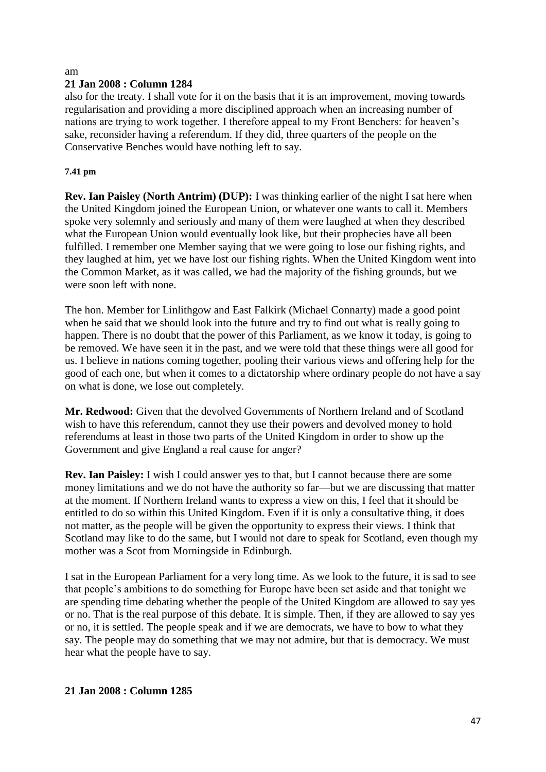#### am

### **21 Jan 2008 : Column 1284**

also for the treaty. I shall vote for it on the basis that it is an improvement, moving towards regularisation and providing a more disciplined approach when an increasing number of nations are trying to work together. I therefore appeal to my Front Benchers: for heaven's sake, reconsider having a referendum. If they did, three quarters of the people on the Conservative Benches would have nothing left to say.

### **7.41 pm**

**Rev. Ian Paisley (North Antrim) (DUP):** I was thinking earlier of the night I sat here when the United Kingdom joined the European Union, or whatever one wants to call it. Members spoke very solemnly and seriously and many of them were laughed at when they described what the European Union would eventually look like, but their prophecies have all been fulfilled. I remember one Member saying that we were going to lose our fishing rights, and they laughed at him, yet we have lost our fishing rights. When the United Kingdom went into the Common Market, as it was called, we had the majority of the fishing grounds, but we were soon left with none.

The hon. Member for Linlithgow and East Falkirk (Michael Connarty) made a good point when he said that we should look into the future and try to find out what is really going to happen. There is no doubt that the power of this Parliament, as we know it today, is going to be removed. We have seen it in the past, and we were told that these things were all good for us. I believe in nations coming together, pooling their various views and offering help for the good of each one, but when it comes to a dictatorship where ordinary people do not have a say on what is done, we lose out completely.

**Mr. Redwood:** Given that the devolved Governments of Northern Ireland and of Scotland wish to have this referendum, cannot they use their powers and devolved money to hold referendums at least in those two parts of the United Kingdom in order to show up the Government and give England a real cause for anger?

**Rev. Ian Paisley:** I wish I could answer yes to that, but I cannot because there are some money limitations and we do not have the authority so far—but we are discussing that matter at the moment. If Northern Ireland wants to express a view on this, I feel that it should be entitled to do so within this United Kingdom. Even if it is only a consultative thing, it does not matter, as the people will be given the opportunity to express their views. I think that Scotland may like to do the same, but I would not dare to speak for Scotland, even though my mother was a Scot from Morningside in Edinburgh.

I sat in the European Parliament for a very long time. As we look to the future, it is sad to see that people's ambitions to do something for Europe have been set aside and that tonight we are spending time debating whether the people of the United Kingdom are allowed to say yes or no. That is the real purpose of this debate. It is simple. Then, if they are allowed to say yes or no, it is settled. The people speak and if we are democrats, we have to bow to what they say. The people may do something that we may not admire, but that is democracy. We must hear what the people have to say.

# **21 Jan 2008 : Column 1285**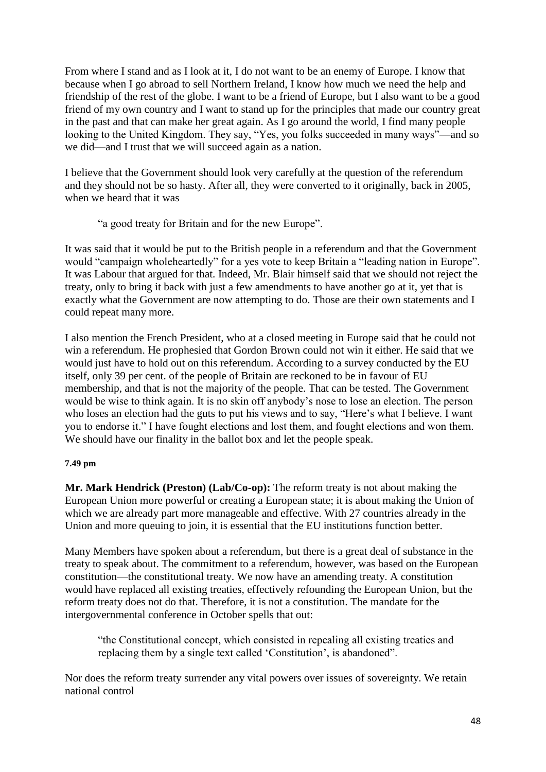From where I stand and as I look at it, I do not want to be an enemy of Europe. I know that because when I go abroad to sell Northern Ireland, I know how much we need the help and friendship of the rest of the globe. I want to be a friend of Europe, but I also want to be a good friend of my own country and I want to stand up for the principles that made our country great in the past and that can make her great again. As I go around the world, I find many people looking to the United Kingdom. They say, "Yes, you folks succeeded in many ways"—and so we did—and I trust that we will succeed again as a nation.

I believe that the Government should look very carefully at the question of the referendum and they should not be so hasty. After all, they were converted to it originally, back in 2005, when we heard that it was

"a good treaty for Britain and for the new Europe".

It was said that it would be put to the British people in a referendum and that the Government would "campaign wholeheartedly" for a yes vote to keep Britain a "leading nation in Europe". It was Labour that argued for that. Indeed, Mr. Blair himself said that we should not reject the treaty, only to bring it back with just a few amendments to have another go at it, yet that is exactly what the Government are now attempting to do. Those are their own statements and I could repeat many more.

I also mention the French President, who at a closed meeting in Europe said that he could not win a referendum. He prophesied that Gordon Brown could not win it either. He said that we would just have to hold out on this referendum. According to a survey conducted by the EU itself, only 39 per cent. of the people of Britain are reckoned to be in favour of EU membership, and that is not the majority of the people. That can be tested. The Government would be wise to think again. It is no skin off anybody's nose to lose an election. The person who loses an election had the guts to put his views and to say, "Here's what I believe. I want you to endorse it." I have fought elections and lost them, and fought elections and won them. We should have our finality in the ballot box and let the people speak.

#### **7.49 pm**

**Mr. Mark Hendrick (Preston) (Lab/Co-op):** The reform treaty is not about making the European Union more powerful or creating a European state; it is about making the Union of which we are already part more manageable and effective. With 27 countries already in the Union and more queuing to join, it is essential that the EU institutions function better.

Many Members have spoken about a referendum, but there is a great deal of substance in the treaty to speak about. The commitment to a referendum, however, was based on the European constitution—the constitutional treaty. We now have an amending treaty. A constitution would have replaced all existing treaties, effectively refounding the European Union, but the reform treaty does not do that. Therefore, it is not a constitution. The mandate for the intergovernmental conference in October spells that out:

"the Constitutional concept, which consisted in repealing all existing treaties and replacing them by a single text called 'Constitution', is abandoned".

Nor does the reform treaty surrender any vital powers over issues of sovereignty. We retain national control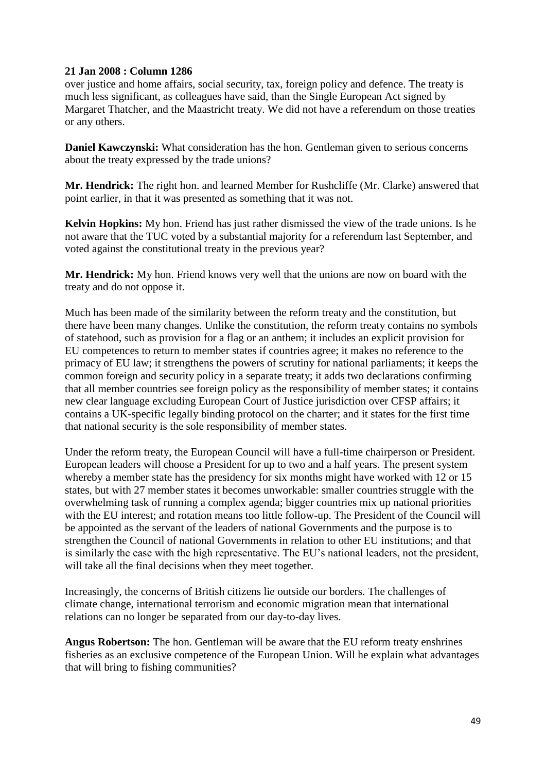# **21 Jan 2008 : Column 1286**

over justice and home affairs, social security, tax, foreign policy and defence. The treaty is much less significant, as colleagues have said, than the Single European Act signed by Margaret Thatcher, and the Maastricht treaty. We did not have a referendum on those treaties or any others.

**Daniel Kawczynski:** What consideration has the hon. Gentleman given to serious concerns about the treaty expressed by the trade unions?

**Mr. Hendrick:** The right hon. and learned Member for Rushcliffe (Mr. Clarke) answered that point earlier, in that it was presented as something that it was not.

**Kelvin Hopkins:** My hon. Friend has just rather dismissed the view of the trade unions. Is he not aware that the TUC voted by a substantial majority for a referendum last September, and voted against the constitutional treaty in the previous year?

**Mr. Hendrick:** My hon. Friend knows very well that the unions are now on board with the treaty and do not oppose it.

Much has been made of the similarity between the reform treaty and the constitution, but there have been many changes. Unlike the constitution, the reform treaty contains no symbols of statehood, such as provision for a flag or an anthem; it includes an explicit provision for EU competences to return to member states if countries agree; it makes no reference to the primacy of EU law; it strengthens the powers of scrutiny for national parliaments; it keeps the common foreign and security policy in a separate treaty; it adds two declarations confirming that all member countries see foreign policy as the responsibility of member states; it contains new clear language excluding European Court of Justice jurisdiction over CFSP affairs; it contains a UK-specific legally binding protocol on the charter; and it states for the first time that national security is the sole responsibility of member states.

Under the reform treaty, the European Council will have a full-time chairperson or President. European leaders will choose a President for up to two and a half years. The present system whereby a member state has the presidency for six months might have worked with 12 or 15 states, but with 27 member states it becomes unworkable: smaller countries struggle with the overwhelming task of running a complex agenda; bigger countries mix up national priorities with the EU interest; and rotation means too little follow-up. The President of the Council will be appointed as the servant of the leaders of national Governments and the purpose is to strengthen the Council of national Governments in relation to other EU institutions; and that is similarly the case with the high representative. The EU's national leaders, not the president, will take all the final decisions when they meet together.

Increasingly, the concerns of British citizens lie outside our borders. The challenges of climate change, international terrorism and economic migration mean that international relations can no longer be separated from our day-to-day lives.

**Angus Robertson:** The hon. Gentleman will be aware that the EU reform treaty enshrines fisheries as an exclusive competence of the European Union. Will he explain what advantages that will bring to fishing communities?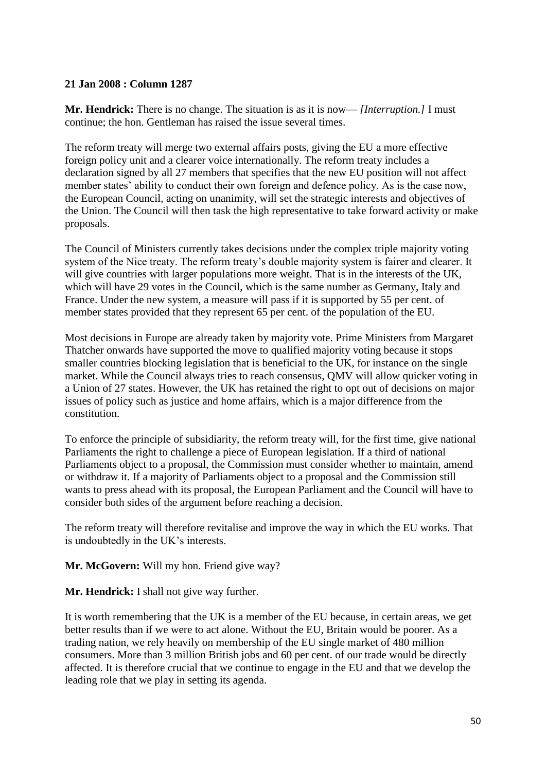### **21 Jan 2008 : Column 1287**

**Mr. Hendrick:** There is no change. The situation is as it is now— *[Interruption.]* I must continue; the hon. Gentleman has raised the issue several times.

The reform treaty will merge two external affairs posts, giving the EU a more effective foreign policy unit and a clearer voice internationally. The reform treaty includes a declaration signed by all 27 members that specifies that the new EU position will not affect member states' ability to conduct their own foreign and defence policy. As is the case now, the European Council, acting on unanimity, will set the strategic interests and objectives of the Union. The Council will then task the high representative to take forward activity or make proposals.

The Council of Ministers currently takes decisions under the complex triple majority voting system of the Nice treaty. The reform treaty's double majority system is fairer and clearer. It will give countries with larger populations more weight. That is in the interests of the UK, which will have 29 votes in the Council, which is the same number as Germany, Italy and France. Under the new system, a measure will pass if it is supported by 55 per cent. of member states provided that they represent 65 per cent. of the population of the EU.

Most decisions in Europe are already taken by majority vote. Prime Ministers from Margaret Thatcher onwards have supported the move to qualified majority voting because it stops smaller countries blocking legislation that is beneficial to the UK, for instance on the single market. While the Council always tries to reach consensus, QMV will allow quicker voting in a Union of 27 states. However, the UK has retained the right to opt out of decisions on major issues of policy such as justice and home affairs, which is a major difference from the constitution.

To enforce the principle of subsidiarity, the reform treaty will, for the first time, give national Parliaments the right to challenge a piece of European legislation. If a third of national Parliaments object to a proposal, the Commission must consider whether to maintain, amend or withdraw it. If a majority of Parliaments object to a proposal and the Commission still wants to press ahead with its proposal, the European Parliament and the Council will have to consider both sides of the argument before reaching a decision.

The reform treaty will therefore revitalise and improve the way in which the EU works. That is undoubtedly in the UK's interests.

**Mr. McGovern:** Will my hon. Friend give way?

**Mr. Hendrick:** I shall not give way further.

It is worth remembering that the UK is a member of the EU because, in certain areas, we get better results than if we were to act alone. Without the EU, Britain would be poorer. As a trading nation, we rely heavily on membership of the EU single market of 480 million consumers. More than 3 million British jobs and 60 per cent. of our trade would be directly affected. It is therefore crucial that we continue to engage in the EU and that we develop the leading role that we play in setting its agenda.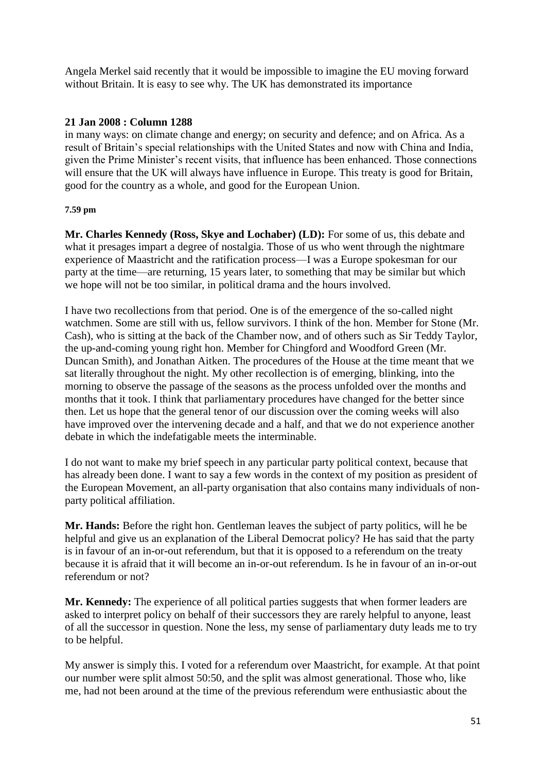Angela Merkel said recently that it would be impossible to imagine the EU moving forward without Britain. It is easy to see why. The UK has demonstrated its importance

# **21 Jan 2008 : Column 1288**

in many ways: on climate change and energy; on security and defence; and on Africa. As a result of Britain's special relationships with the United States and now with China and India, given the Prime Minister's recent visits, that influence has been enhanced. Those connections will ensure that the UK will always have influence in Europe. This treaty is good for Britain, good for the country as a whole, and good for the European Union.

#### **7.59 pm**

**Mr. Charles Kennedy (Ross, Skye and Lochaber) (LD):** For some of us, this debate and what it presages impart a degree of nostalgia. Those of us who went through the nightmare experience of Maastricht and the ratification process—I was a Europe spokesman for our party at the time—are returning, 15 years later, to something that may be similar but which we hope will not be too similar, in political drama and the hours involved.

I have two recollections from that period. One is of the emergence of the so-called night watchmen. Some are still with us, fellow survivors. I think of the hon. Member for Stone (Mr. Cash), who is sitting at the back of the Chamber now, and of others such as Sir Teddy Taylor, the up-and-coming young right hon. Member for Chingford and Woodford Green (Mr. Duncan Smith), and Jonathan Aitken. The procedures of the House at the time meant that we sat literally throughout the night. My other recollection is of emerging, blinking, into the morning to observe the passage of the seasons as the process unfolded over the months and months that it took. I think that parliamentary procedures have changed for the better since then. Let us hope that the general tenor of our discussion over the coming weeks will also have improved over the intervening decade and a half, and that we do not experience another debate in which the indefatigable meets the interminable.

I do not want to make my brief speech in any particular party political context, because that has already been done. I want to say a few words in the context of my position as president of the European Movement, an all-party organisation that also contains many individuals of nonparty political affiliation.

**Mr. Hands:** Before the right hon. Gentleman leaves the subject of party politics, will he be helpful and give us an explanation of the Liberal Democrat policy? He has said that the party is in favour of an in-or-out referendum, but that it is opposed to a referendum on the treaty because it is afraid that it will become an in-or-out referendum. Is he in favour of an in-or-out referendum or not?

**Mr. Kennedy:** The experience of all political parties suggests that when former leaders are asked to interpret policy on behalf of their successors they are rarely helpful to anyone, least of all the successor in question. None the less, my sense of parliamentary duty leads me to try to be helpful.

My answer is simply this. I voted for a referendum over Maastricht, for example. At that point our number were split almost 50:50, and the split was almost generational. Those who, like me, had not been around at the time of the previous referendum were enthusiastic about the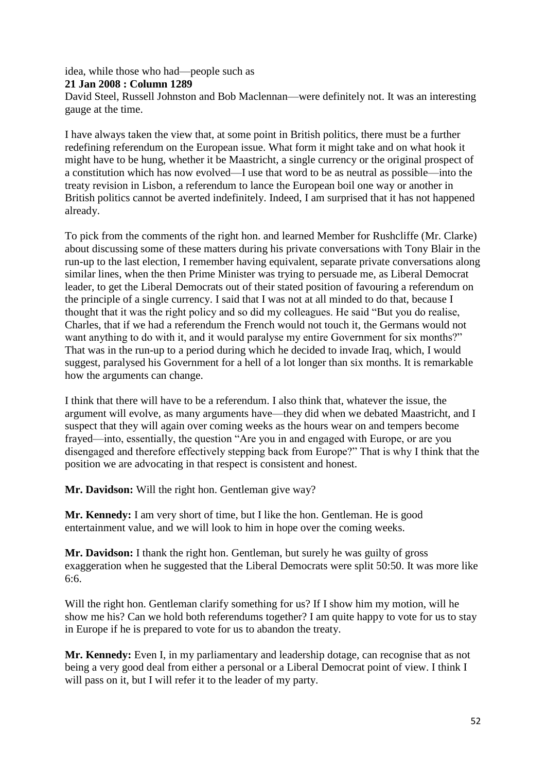idea, while those who had—people such as

**21 Jan 2008 : Column 1289**

David Steel, Russell Johnston and Bob Maclennan—were definitely not. It was an interesting gauge at the time.

I have always taken the view that, at some point in British politics, there must be a further redefining referendum on the European issue. What form it might take and on what hook it might have to be hung, whether it be Maastricht, a single currency or the original prospect of a constitution which has now evolved—I use that word to be as neutral as possible—into the treaty revision in Lisbon, a referendum to lance the European boil one way or another in British politics cannot be averted indefinitely. Indeed, I am surprised that it has not happened already.

To pick from the comments of the right hon. and learned Member for Rushcliffe (Mr. Clarke) about discussing some of these matters during his private conversations with Tony Blair in the run-up to the last election, I remember having equivalent, separate private conversations along similar lines, when the then Prime Minister was trying to persuade me, as Liberal Democrat leader, to get the Liberal Democrats out of their stated position of favouring a referendum on the principle of a single currency. I said that I was not at all minded to do that, because I thought that it was the right policy and so did my colleagues. He said "But you do realise, Charles, that if we had a referendum the French would not touch it, the Germans would not want anything to do with it, and it would paralyse my entire Government for six months?" That was in the run-up to a period during which he decided to invade Iraq, which, I would suggest, paralysed his Government for a hell of a lot longer than six months. It is remarkable how the arguments can change.

I think that there will have to be a referendum. I also think that, whatever the issue, the argument will evolve, as many arguments have—they did when we debated Maastricht, and I suspect that they will again over coming weeks as the hours wear on and tempers become frayed—into, essentially, the question "Are you in and engaged with Europe, or are you disengaged and therefore effectively stepping back from Europe?" That is why I think that the position we are advocating in that respect is consistent and honest.

**Mr. Davidson:** Will the right hon. Gentleman give way?

**Mr. Kennedy:** I am very short of time, but I like the hon. Gentleman. He is good entertainment value, and we will look to him in hope over the coming weeks.

**Mr. Davidson:** I thank the right hon. Gentleman, but surely he was guilty of gross exaggeration when he suggested that the Liberal Democrats were split 50:50. It was more like 6:6.

Will the right hon. Gentleman clarify something for us? If I show him my motion, will he show me his? Can we hold both referendums together? I am quite happy to vote for us to stay in Europe if he is prepared to vote for us to abandon the treaty.

**Mr. Kennedy:** Even I, in my parliamentary and leadership dotage, can recognise that as not being a very good deal from either a personal or a Liberal Democrat point of view. I think I will pass on it, but I will refer it to the leader of my party.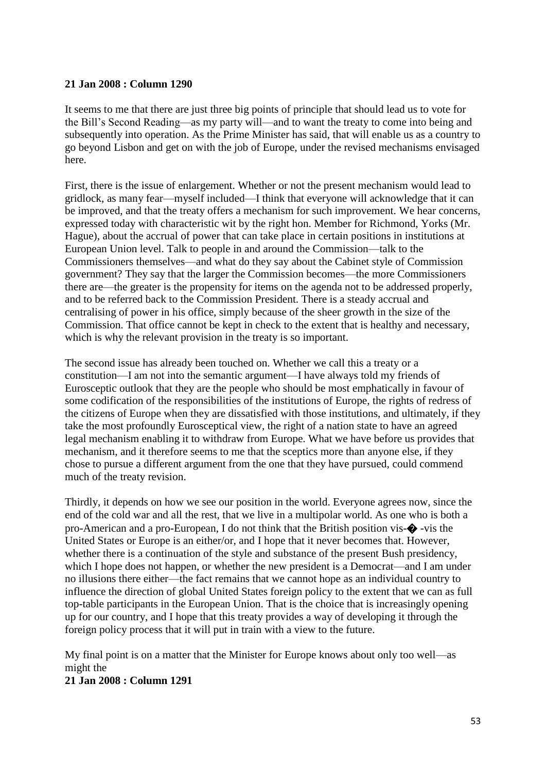#### **21 Jan 2008 : Column 1290**

It seems to me that there are just three big points of principle that should lead us to vote for the Bill's Second Reading—as my party will—and to want the treaty to come into being and subsequently into operation. As the Prime Minister has said, that will enable us as a country to go beyond Lisbon and get on with the job of Europe, under the revised mechanisms envisaged here.

First, there is the issue of enlargement. Whether or not the present mechanism would lead to gridlock, as many fear—myself included—I think that everyone will acknowledge that it can be improved, and that the treaty offers a mechanism for such improvement. We hear concerns, expressed today with characteristic wit by the right hon. Member for Richmond, Yorks (Mr. Hague), about the accrual of power that can take place in certain positions in institutions at European Union level. Talk to people in and around the Commission—talk to the Commissioners themselves—and what do they say about the Cabinet style of Commission government? They say that the larger the Commission becomes—the more Commissioners there are—the greater is the propensity for items on the agenda not to be addressed properly, and to be referred back to the Commission President. There is a steady accrual and centralising of power in his office, simply because of the sheer growth in the size of the Commission. That office cannot be kept in check to the extent that is healthy and necessary, which is why the relevant provision in the treaty is so important.

The second issue has already been touched on. Whether we call this a treaty or a constitution—I am not into the semantic argument—I have always told my friends of Eurosceptic outlook that they are the people who should be most emphatically in favour of some codification of the responsibilities of the institutions of Europe, the rights of redress of the citizens of Europe when they are dissatisfied with those institutions, and ultimately, if they take the most profoundly Eurosceptical view, the right of a nation state to have an agreed legal mechanism enabling it to withdraw from Europe. What we have before us provides that mechanism, and it therefore seems to me that the sceptics more than anyone else, if they chose to pursue a different argument from the one that they have pursued, could commend much of the treaty revision.

Thirdly, it depends on how we see our position in the world. Everyone agrees now, since the end of the cold war and all the rest, that we live in a multipolar world. As one who is both a pro-American and a pro-European, I do not think that the British position vis-� -vis the United States or Europe is an either/or, and I hope that it never becomes that. However, whether there is a continuation of the style and substance of the present Bush presidency, which I hope does not happen, or whether the new president is a Democrat—and I am under no illusions there either—the fact remains that we cannot hope as an individual country to influence the direction of global United States foreign policy to the extent that we can as full top-table participants in the European Union. That is the choice that is increasingly opening up for our country, and I hope that this treaty provides a way of developing it through the foreign policy process that it will put in train with a view to the future.

My final point is on a matter that the Minister for Europe knows about only too well—as might the

**21 Jan 2008 : Column 1291**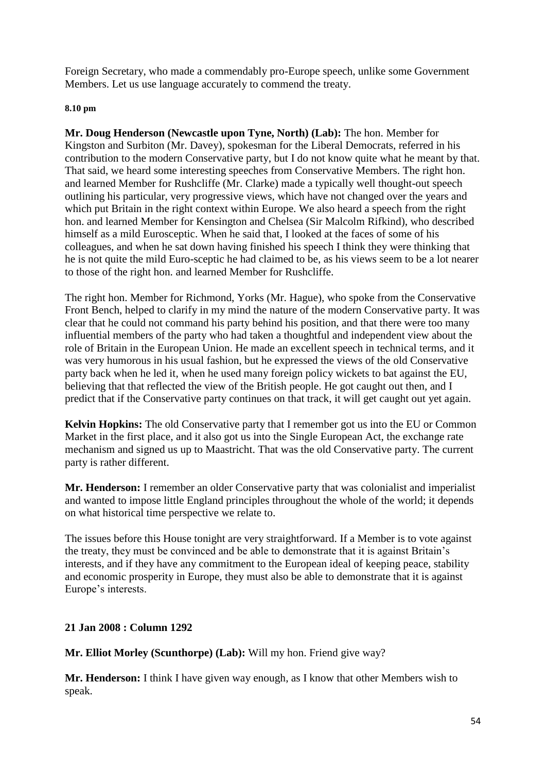Foreign Secretary, who made a commendably pro-Europe speech, unlike some Government Members. Let us use language accurately to commend the treaty.

#### **8.10 pm**

**Mr. Doug Henderson (Newcastle upon Tyne, North) (Lab):** The hon. Member for Kingston and Surbiton (Mr. Davey), spokesman for the Liberal Democrats, referred in his contribution to the modern Conservative party, but I do not know quite what he meant by that. That said, we heard some interesting speeches from Conservative Members. The right hon. and learned Member for Rushcliffe (Mr. Clarke) made a typically well thought-out speech outlining his particular, very progressive views, which have not changed over the years and which put Britain in the right context within Europe. We also heard a speech from the right hon. and learned Member for Kensington and Chelsea (Sir Malcolm Rifkind), who described himself as a mild Eurosceptic. When he said that, I looked at the faces of some of his colleagues, and when he sat down having finished his speech I think they were thinking that he is not quite the mild Euro-sceptic he had claimed to be, as his views seem to be a lot nearer to those of the right hon. and learned Member for Rushcliffe.

The right hon. Member for Richmond, Yorks (Mr. Hague), who spoke from the Conservative Front Bench, helped to clarify in my mind the nature of the modern Conservative party. It was clear that he could not command his party behind his position, and that there were too many influential members of the party who had taken a thoughtful and independent view about the role of Britain in the European Union. He made an excellent speech in technical terms, and it was very humorous in his usual fashion, but he expressed the views of the old Conservative party back when he led it, when he used many foreign policy wickets to bat against the EU, believing that that reflected the view of the British people. He got caught out then, and I predict that if the Conservative party continues on that track, it will get caught out yet again.

**Kelvin Hopkins:** The old Conservative party that I remember got us into the EU or Common Market in the first place, and it also got us into the Single European Act, the exchange rate mechanism and signed us up to Maastricht. That was the old Conservative party. The current party is rather different.

**Mr. Henderson:** I remember an older Conservative party that was colonialist and imperialist and wanted to impose little England principles throughout the whole of the world; it depends on what historical time perspective we relate to.

The issues before this House tonight are very straightforward. If a Member is to vote against the treaty, they must be convinced and be able to demonstrate that it is against Britain's interests, and if they have any commitment to the European ideal of keeping peace, stability and economic prosperity in Europe, they must also be able to demonstrate that it is against Europe's interests.

# **21 Jan 2008 : Column 1292**

**Mr. Elliot Morley (Scunthorpe) (Lab):** Will my hon. Friend give way?

**Mr. Henderson:** I think I have given way enough, as I know that other Members wish to speak.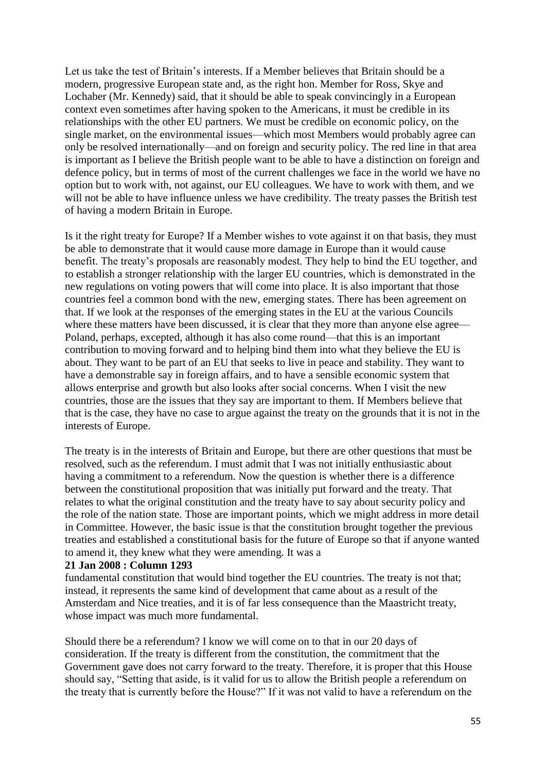Let us take the test of Britain's interests. If a Member believes that Britain should be a modern, progressive European state and, as the right hon. Member for Ross, Skye and Lochaber (Mr. Kennedy) said, that it should be able to speak convincingly in a European context even sometimes after having spoken to the Americans, it must be credible in its relationships with the other EU partners. We must be credible on economic policy, on the single market, on the environmental issues—which most Members would probably agree can only be resolved internationally—and on foreign and security policy. The red line in that area is important as I believe the British people want to be able to have a distinction on foreign and defence policy, but in terms of most of the current challenges we face in the world we have no option but to work with, not against, our EU colleagues. We have to work with them, and we will not be able to have influence unless we have credibility. The treaty passes the British test of having a modern Britain in Europe.

Is it the right treaty for Europe? If a Member wishes to vote against it on that basis, they must be able to demonstrate that it would cause more damage in Europe than it would cause benefit. The treaty's proposals are reasonably modest. They help to bind the EU together, and to establish a stronger relationship with the larger EU countries, which is demonstrated in the new regulations on voting powers that will come into place. It is also important that those countries feel a common bond with the new, emerging states. There has been agreement on that. If we look at the responses of the emerging states in the EU at the various Councils where these matters have been discussed, it is clear that they more than anyone else agree— Poland, perhaps, excepted, although it has also come round—that this is an important contribution to moving forward and to helping bind them into what they believe the EU is about. They want to be part of an EU that seeks to live in peace and stability. They want to have a demonstrable say in foreign affairs, and to have a sensible economic system that allows enterprise and growth but also looks after social concerns. When I visit the new countries, those are the issues that they say are important to them. If Members believe that that is the case, they have no case to argue against the treaty on the grounds that it is not in the interests of Europe.

The treaty is in the interests of Britain and Europe, but there are other questions that must be resolved, such as the referendum. I must admit that I was not initially enthusiastic about having a commitment to a referendum. Now the question is whether there is a difference between the constitutional proposition that was initially put forward and the treaty. That relates to what the original constitution and the treaty have to say about security policy and the role of the nation state. Those are important points, which we might address in more detail in Committee. However, the basic issue is that the constitution brought together the previous treaties and established a constitutional basis for the future of Europe so that if anyone wanted to amend it, they knew what they were amending. It was a

#### **21 Jan 2008 : Column 1293**

fundamental constitution that would bind together the EU countries. The treaty is not that; instead, it represents the same kind of development that came about as a result of the Amsterdam and Nice treaties, and it is of far less consequence than the Maastricht treaty, whose impact was much more fundamental.

Should there be a referendum? I know we will come on to that in our 20 days of consideration. If the treaty is different from the constitution, the commitment that the Government gave does not carry forward to the treaty. Therefore, it is proper that this House should say, "Setting that aside, is it valid for us to allow the British people a referendum on the treaty that is currently before the House?" If it was not valid to have a referendum on the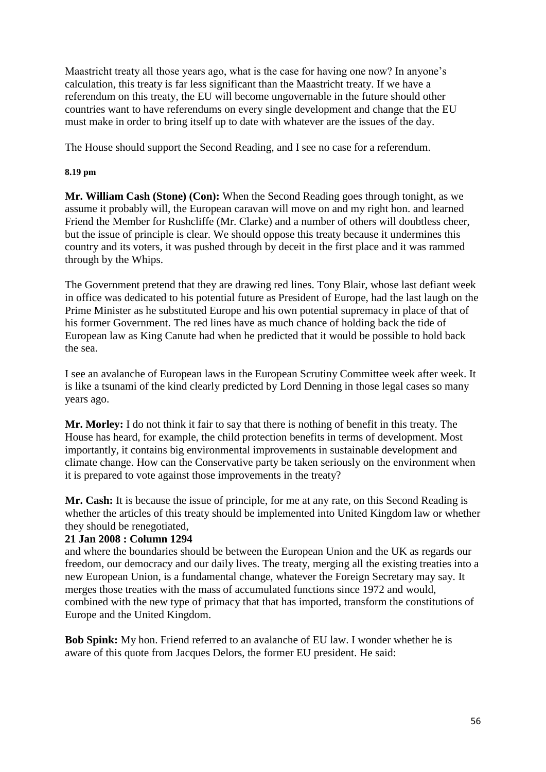Maastricht treaty all those years ago, what is the case for having one now? In anyone's calculation, this treaty is far less significant than the Maastricht treaty. If we have a referendum on this treaty, the EU will become ungovernable in the future should other countries want to have referendums on every single development and change that the EU must make in order to bring itself up to date with whatever are the issues of the day.

The House should support the Second Reading, and I see no case for a referendum.

#### **8.19 pm**

**Mr. William Cash (Stone) (Con):** When the Second Reading goes through tonight, as we assume it probably will, the European caravan will move on and my right hon. and learned Friend the Member for Rushcliffe (Mr. Clarke) and a number of others will doubtless cheer, but the issue of principle is clear. We should oppose this treaty because it undermines this country and its voters, it was pushed through by deceit in the first place and it was rammed through by the Whips.

The Government pretend that they are drawing red lines. Tony Blair, whose last defiant week in office was dedicated to his potential future as President of Europe, had the last laugh on the Prime Minister as he substituted Europe and his own potential supremacy in place of that of his former Government. The red lines have as much chance of holding back the tide of European law as King Canute had when he predicted that it would be possible to hold back the sea.

I see an avalanche of European laws in the European Scrutiny Committee week after week. It is like a tsunami of the kind clearly predicted by Lord Denning in those legal cases so many years ago.

**Mr. Morley:** I do not think it fair to say that there is nothing of benefit in this treaty. The House has heard, for example, the child protection benefits in terms of development. Most importantly, it contains big environmental improvements in sustainable development and climate change. How can the Conservative party be taken seriously on the environment when it is prepared to vote against those improvements in the treaty?

**Mr. Cash:** It is because the issue of principle, for me at any rate, on this Second Reading is whether the articles of this treaty should be implemented into United Kingdom law or whether they should be renegotiated,

# **21 Jan 2008 : Column 1294**

and where the boundaries should be between the European Union and the UK as regards our freedom, our democracy and our daily lives. The treaty, merging all the existing treaties into a new European Union, is a fundamental change, whatever the Foreign Secretary may say. It merges those treaties with the mass of accumulated functions since 1972 and would, combined with the new type of primacy that that has imported, transform the constitutions of Europe and the United Kingdom.

**Bob Spink:** My hon. Friend referred to an avalanche of EU law. I wonder whether he is aware of this quote from Jacques Delors, the former EU president. He said: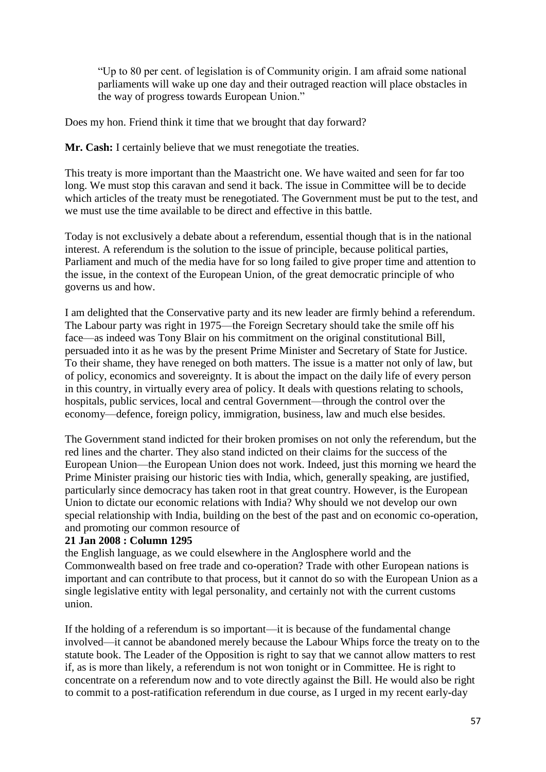"Up to 80 per cent. of legislation is of Community origin. I am afraid some national parliaments will wake up one day and their outraged reaction will place obstacles in the way of progress towards European Union."

Does my hon. Friend think it time that we brought that day forward?

**Mr. Cash:** I certainly believe that we must renegotiate the treaties.

This treaty is more important than the Maastricht one. We have waited and seen for far too long. We must stop this caravan and send it back. The issue in Committee will be to decide which articles of the treaty must be renegotiated. The Government must be put to the test, and we must use the time available to be direct and effective in this battle.

Today is not exclusively a debate about a referendum, essential though that is in the national interest. A referendum is the solution to the issue of principle, because political parties, Parliament and much of the media have for so long failed to give proper time and attention to the issue, in the context of the European Union, of the great democratic principle of who governs us and how.

I am delighted that the Conservative party and its new leader are firmly behind a referendum. The Labour party was right in 1975—the Foreign Secretary should take the smile off his face—as indeed was Tony Blair on his commitment on the original constitutional Bill, persuaded into it as he was by the present Prime Minister and Secretary of State for Justice. To their shame, they have reneged on both matters. The issue is a matter not only of law, but of policy, economics and sovereignty. It is about the impact on the daily life of every person in this country, in virtually every area of policy. It deals with questions relating to schools, hospitals, public services, local and central Government—through the control over the economy—defence, foreign policy, immigration, business, law and much else besides.

The Government stand indicted for their broken promises on not only the referendum, but the red lines and the charter. They also stand indicted on their claims for the success of the European Union—the European Union does not work. Indeed, just this morning we heard the Prime Minister praising our historic ties with India, which, generally speaking, are justified, particularly since democracy has taken root in that great country. However, is the European Union to dictate our economic relations with India? Why should we not develop our own special relationship with India, building on the best of the past and on economic co-operation, and promoting our common resource of

# **21 Jan 2008 : Column 1295**

the English language, as we could elsewhere in the Anglosphere world and the Commonwealth based on free trade and co-operation? Trade with other European nations is important and can contribute to that process, but it cannot do so with the European Union as a single legislative entity with legal personality, and certainly not with the current customs union.

If the holding of a referendum is so important—it is because of the fundamental change involved—it cannot be abandoned merely because the Labour Whips force the treaty on to the statute book. The Leader of the Opposition is right to say that we cannot allow matters to rest if, as is more than likely, a referendum is not won tonight or in Committee. He is right to concentrate on a referendum now and to vote directly against the Bill. He would also be right to commit to a post-ratification referendum in due course, as I urged in my recent early-day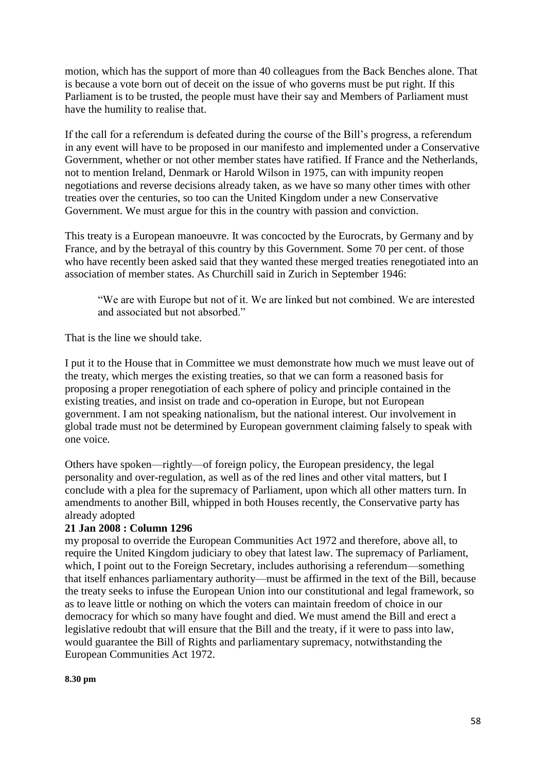motion, which has the support of more than 40 colleagues from the Back Benches alone. That is because a vote born out of deceit on the issue of who governs must be put right. If this Parliament is to be trusted, the people must have their say and Members of Parliament must have the humility to realise that.

If the call for a referendum is defeated during the course of the Bill's progress, a referendum in any event will have to be proposed in our manifesto and implemented under a Conservative Government, whether or not other member states have ratified. If France and the Netherlands, not to mention Ireland, Denmark or Harold Wilson in 1975, can with impunity reopen negotiations and reverse decisions already taken, as we have so many other times with other treaties over the centuries, so too can the United Kingdom under a new Conservative Government. We must argue for this in the country with passion and conviction.

This treaty is a European manoeuvre. It was concocted by the Eurocrats, by Germany and by France, and by the betrayal of this country by this Government. Some 70 per cent. of those who have recently been asked said that they wanted these merged treaties renegotiated into an association of member states. As Churchill said in Zurich in September 1946:

"We are with Europe but not of it. We are linked but not combined. We are interested and associated but not absorbed."

That is the line we should take.

I put it to the House that in Committee we must demonstrate how much we must leave out of the treaty, which merges the existing treaties, so that we can form a reasoned basis for proposing a proper renegotiation of each sphere of policy and principle contained in the existing treaties, and insist on trade and co-operation in Europe, but not European government. I am not speaking nationalism, but the national interest. Our involvement in global trade must not be determined by European government claiming falsely to speak with one voice.

Others have spoken—rightly—of foreign policy, the European presidency, the legal personality and over-regulation, as well as of the red lines and other vital matters, but I conclude with a plea for the supremacy of Parliament, upon which all other matters turn. In amendments to another Bill, whipped in both Houses recently, the Conservative party has already adopted

# **21 Jan 2008 : Column 1296**

my proposal to override the European Communities Act 1972 and therefore, above all, to require the United Kingdom judiciary to obey that latest law. The supremacy of Parliament, which, I point out to the Foreign Secretary, includes authorising a referendum—something that itself enhances parliamentary authority—must be affirmed in the text of the Bill, because the treaty seeks to infuse the European Union into our constitutional and legal framework, so as to leave little or nothing on which the voters can maintain freedom of choice in our democracy for which so many have fought and died. We must amend the Bill and erect a legislative redoubt that will ensure that the Bill and the treaty, if it were to pass into law, would guarantee the Bill of Rights and parliamentary supremacy, notwithstanding the European Communities Act 1972.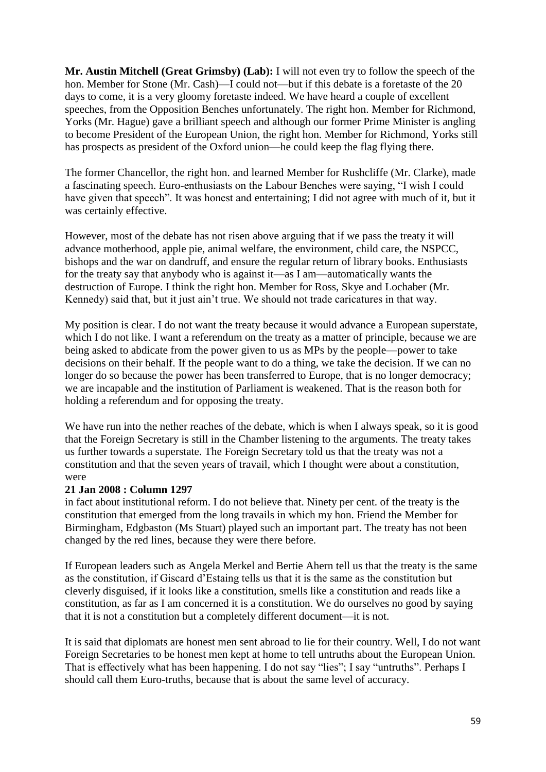**Mr. Austin Mitchell (Great Grimsby) (Lab):** I will not even try to follow the speech of the hon. Member for Stone (Mr. Cash)—I could not—but if this debate is a foretaste of the 20 days to come, it is a very gloomy foretaste indeed. We have heard a couple of excellent speeches, from the Opposition Benches unfortunately. The right hon. Member for Richmond, Yorks (Mr. Hague) gave a brilliant speech and although our former Prime Minister is angling to become President of the European Union, the right hon. Member for Richmond, Yorks still has prospects as president of the Oxford union—he could keep the flag flying there.

The former Chancellor, the right hon. and learned Member for Rushcliffe (Mr. Clarke), made a fascinating speech. Euro-enthusiasts on the Labour Benches were saying, "I wish I could have given that speech". It was honest and entertaining; I did not agree with much of it, but it was certainly effective.

However, most of the debate has not risen above arguing that if we pass the treaty it will advance motherhood, apple pie, animal welfare, the environment, child care, the NSPCC, bishops and the war on dandruff, and ensure the regular return of library books. Enthusiasts for the treaty say that anybody who is against it—as I am—automatically wants the destruction of Europe. I think the right hon. Member for Ross, Skye and Lochaber (Mr. Kennedy) said that, but it just ain't true. We should not trade caricatures in that way.

My position is clear. I do not want the treaty because it would advance a European superstate, which I do not like. I want a referendum on the treaty as a matter of principle, because we are being asked to abdicate from the power given to us as MPs by the people—power to take decisions on their behalf. If the people want to do a thing, we take the decision. If we can no longer do so because the power has been transferred to Europe, that is no longer democracy; we are incapable and the institution of Parliament is weakened. That is the reason both for holding a referendum and for opposing the treaty.

We have run into the nether reaches of the debate, which is when I always speak, so it is good that the Foreign Secretary is still in the Chamber listening to the arguments. The treaty takes us further towards a superstate. The Foreign Secretary told us that the treaty was not a constitution and that the seven years of travail, which I thought were about a constitution, were

# **21 Jan 2008 : Column 1297**

in fact about institutional reform. I do not believe that. Ninety per cent. of the treaty is the constitution that emerged from the long travails in which my hon. Friend the Member for Birmingham, Edgbaston (Ms Stuart) played such an important part. The treaty has not been changed by the red lines, because they were there before.

If European leaders such as Angela Merkel and Bertie Ahern tell us that the treaty is the same as the constitution, if Giscard d'Estaing tells us that it is the same as the constitution but cleverly disguised, if it looks like a constitution, smells like a constitution and reads like a constitution, as far as I am concerned it is a constitution. We do ourselves no good by saying that it is not a constitution but a completely different document—it is not.

It is said that diplomats are honest men sent abroad to lie for their country. Well, I do not want Foreign Secretaries to be honest men kept at home to tell untruths about the European Union. That is effectively what has been happening. I do not say "lies"; I say "untruths". Perhaps I should call them Euro-truths, because that is about the same level of accuracy.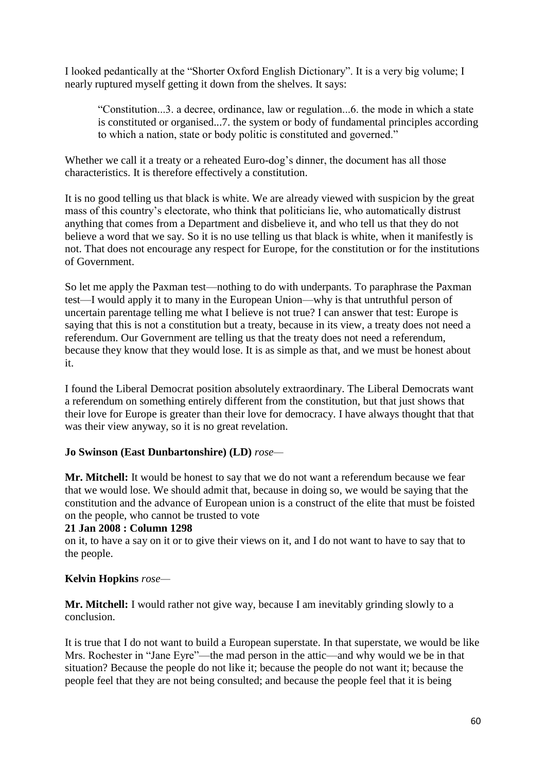I looked pedantically at the "Shorter Oxford English Dictionary". It is a very big volume; I nearly ruptured myself getting it down from the shelves. It says:

"Constitution...3. a decree, ordinance, law or regulation...6. the mode in which a state is constituted or organised...7. the system or body of fundamental principles according to which a nation, state or body politic is constituted and governed."

Whether we call it a treaty or a reheated Euro-dog's dinner, the document has all those characteristics. It is therefore effectively a constitution.

It is no good telling us that black is white. We are already viewed with suspicion by the great mass of this country's electorate, who think that politicians lie, who automatically distrust anything that comes from a Department and disbelieve it, and who tell us that they do not believe a word that we say. So it is no use telling us that black is white, when it manifestly is not. That does not encourage any respect for Europe, for the constitution or for the institutions of Government.

So let me apply the Paxman test—nothing to do with underpants. To paraphrase the Paxman test—I would apply it to many in the European Union—why is that untruthful person of uncertain parentage telling me what I believe is not true? I can answer that test: Europe is saying that this is not a constitution but a treaty, because in its view, a treaty does not need a referendum. Our Government are telling us that the treaty does not need a referendum, because they know that they would lose. It is as simple as that, and we must be honest about it.

I found the Liberal Democrat position absolutely extraordinary. The Liberal Democrats want a referendum on something entirely different from the constitution, but that just shows that their love for Europe is greater than their love for democracy. I have always thought that that was their view anyway, so it is no great revelation.

# **Jo Swinson (East Dunbartonshire) (LD)** *rose—*

**Mr. Mitchell:** It would be honest to say that we do not want a referendum because we fear that we would lose. We should admit that, because in doing so, we would be saying that the constitution and the advance of European union is a construct of the elite that must be foisted on the people, who cannot be trusted to vote

### **21 Jan 2008 : Column 1298**

on it, to have a say on it or to give their views on it, and I do not want to have to say that to the people.

# **Kelvin Hopkins** *rose—*

**Mr. Mitchell:** I would rather not give way, because I am inevitably grinding slowly to a conclusion.

It is true that I do not want to build a European superstate. In that superstate, we would be like Mrs. Rochester in "Jane Eyre"—the mad person in the attic—and why would we be in that situation? Because the people do not like it; because the people do not want it; because the people feel that they are not being consulted; and because the people feel that it is being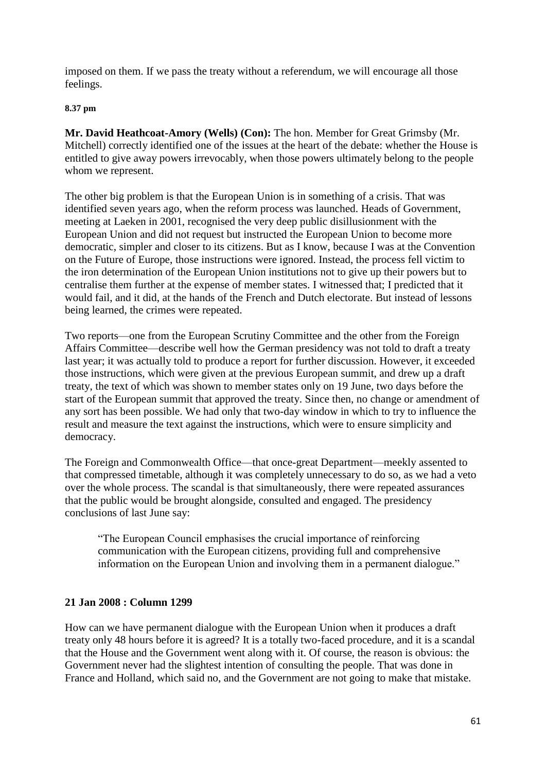imposed on them. If we pass the treaty without a referendum, we will encourage all those feelings.

#### **8.37 pm**

**Mr. David Heathcoat-Amory (Wells) (Con):** The hon. Member for Great Grimsby (Mr. Mitchell) correctly identified one of the issues at the heart of the debate: whether the House is entitled to give away powers irrevocably, when those powers ultimately belong to the people whom we represent.

The other big problem is that the European Union is in something of a crisis. That was identified seven years ago, when the reform process was launched. Heads of Government, meeting at Laeken in 2001, recognised the very deep public disillusionment with the European Union and did not request but instructed the European Union to become more democratic, simpler and closer to its citizens. But as I know, because I was at the Convention on the Future of Europe, those instructions were ignored. Instead, the process fell victim to the iron determination of the European Union institutions not to give up their powers but to centralise them further at the expense of member states. I witnessed that; I predicted that it would fail, and it did, at the hands of the French and Dutch electorate. But instead of lessons being learned, the crimes were repeated.

Two reports—one from the European Scrutiny Committee and the other from the Foreign Affairs Committee—describe well how the German presidency was not told to draft a treaty last year; it was actually told to produce a report for further discussion. However, it exceeded those instructions, which were given at the previous European summit, and drew up a draft treaty, the text of which was shown to member states only on 19 June, two days before the start of the European summit that approved the treaty. Since then, no change or amendment of any sort has been possible. We had only that two-day window in which to try to influence the result and measure the text against the instructions, which were to ensure simplicity and democracy.

The Foreign and Commonwealth Office—that once-great Department—meekly assented to that compressed timetable, although it was completely unnecessary to do so, as we had a veto over the whole process. The scandal is that simultaneously, there were repeated assurances that the public would be brought alongside, consulted and engaged. The presidency conclusions of last June say:

"The European Council emphasises the crucial importance of reinforcing communication with the European citizens, providing full and comprehensive information on the European Union and involving them in a permanent dialogue."

# **21 Jan 2008 : Column 1299**

How can we have permanent dialogue with the European Union when it produces a draft treaty only 48 hours before it is agreed? It is a totally two-faced procedure, and it is a scandal that the House and the Government went along with it. Of course, the reason is obvious: the Government never had the slightest intention of consulting the people. That was done in France and Holland, which said no, and the Government are not going to make that mistake.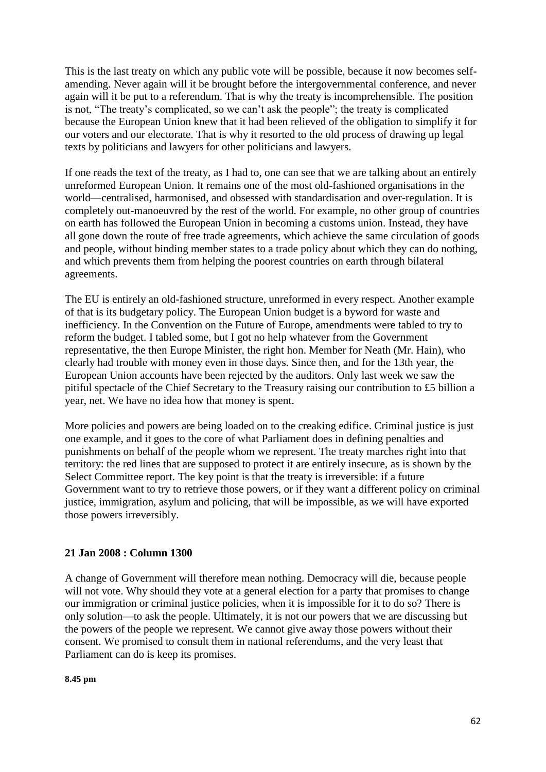This is the last treaty on which any public vote will be possible, because it now becomes selfamending. Never again will it be brought before the intergovernmental conference, and never again will it be put to a referendum. That is why the treaty is incomprehensible. The position is not, "The treaty's complicated, so we can't ask the people"; the treaty is complicated because the European Union knew that it had been relieved of the obligation to simplify it for our voters and our electorate. That is why it resorted to the old process of drawing up legal texts by politicians and lawyers for other politicians and lawyers.

If one reads the text of the treaty, as I had to, one can see that we are talking about an entirely unreformed European Union. It remains one of the most old-fashioned organisations in the world—centralised, harmonised, and obsessed with standardisation and over-regulation. It is completely out-manoeuvred by the rest of the world. For example, no other group of countries on earth has followed the European Union in becoming a customs union. Instead, they have all gone down the route of free trade agreements, which achieve the same circulation of goods and people, without binding member states to a trade policy about which they can do nothing, and which prevents them from helping the poorest countries on earth through bilateral agreements.

The EU is entirely an old-fashioned structure, unreformed in every respect. Another example of that is its budgetary policy. The European Union budget is a byword for waste and inefficiency. In the Convention on the Future of Europe, amendments were tabled to try to reform the budget. I tabled some, but I got no help whatever from the Government representative, the then Europe Minister, the right hon. Member for Neath (Mr. Hain), who clearly had trouble with money even in those days. Since then, and for the 13th year, the European Union accounts have been rejected by the auditors. Only last week we saw the pitiful spectacle of the Chief Secretary to the Treasury raising our contribution to £5 billion a year, net. We have no idea how that money is spent.

More policies and powers are being loaded on to the creaking edifice. Criminal justice is just one example, and it goes to the core of what Parliament does in defining penalties and punishments on behalf of the people whom we represent. The treaty marches right into that territory: the red lines that are supposed to protect it are entirely insecure, as is shown by the Select Committee report. The key point is that the treaty is irreversible: if a future Government want to try to retrieve those powers, or if they want a different policy on criminal justice, immigration, asylum and policing, that will be impossible, as we will have exported those powers irreversibly.

# **21 Jan 2008 : Column 1300**

A change of Government will therefore mean nothing. Democracy will die, because people will not vote. Why should they vote at a general election for a party that promises to change our immigration or criminal justice policies, when it is impossible for it to do so? There is only solution—to ask the people. Ultimately, it is not our powers that we are discussing but the powers of the people we represent. We cannot give away those powers without their consent. We promised to consult them in national referendums, and the very least that Parliament can do is keep its promises.

#### **8.45 pm**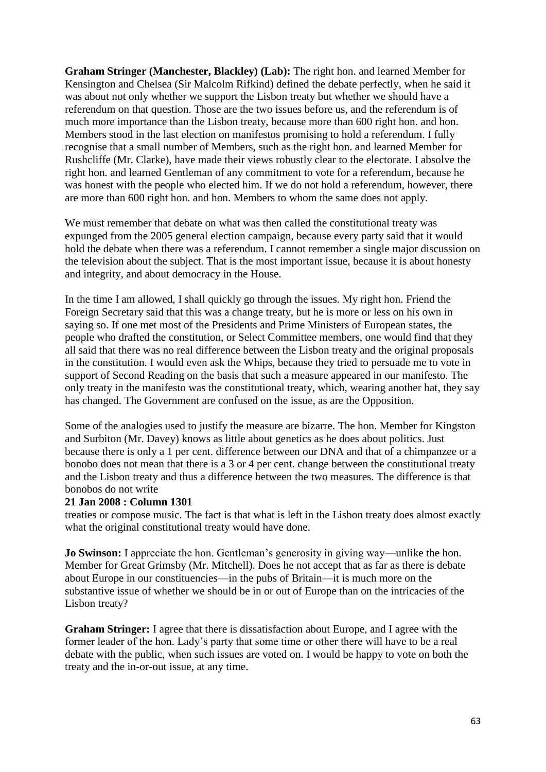**Graham Stringer (Manchester, Blackley) (Lab):** The right hon. and learned Member for Kensington and Chelsea (Sir Malcolm Rifkind) defined the debate perfectly, when he said it was about not only whether we support the Lisbon treaty but whether we should have a referendum on that question. Those are the two issues before us, and the referendum is of much more importance than the Lisbon treaty, because more than 600 right hon. and hon. Members stood in the last election on manifestos promising to hold a referendum. I fully recognise that a small number of Members, such as the right hon. and learned Member for Rushcliffe (Mr. Clarke), have made their views robustly clear to the electorate. I absolve the right hon. and learned Gentleman of any commitment to vote for a referendum, because he was honest with the people who elected him. If we do not hold a referendum, however, there are more than 600 right hon. and hon. Members to whom the same does not apply.

We must remember that debate on what was then called the constitutional treaty was expunged from the 2005 general election campaign, because every party said that it would hold the debate when there was a referendum. I cannot remember a single major discussion on the television about the subject. That is the most important issue, because it is about honesty and integrity, and about democracy in the House.

In the time I am allowed, I shall quickly go through the issues. My right hon. Friend the Foreign Secretary said that this was a change treaty, but he is more or less on his own in saying so. If one met most of the Presidents and Prime Ministers of European states, the people who drafted the constitution, or Select Committee members, one would find that they all said that there was no real difference between the Lisbon treaty and the original proposals in the constitution. I would even ask the Whips, because they tried to persuade me to vote in support of Second Reading on the basis that such a measure appeared in our manifesto. The only treaty in the manifesto was the constitutional treaty, which, wearing another hat, they say has changed. The Government are confused on the issue, as are the Opposition.

Some of the analogies used to justify the measure are bizarre. The hon. Member for Kingston and Surbiton (Mr. Davey) knows as little about genetics as he does about politics. Just because there is only a 1 per cent. difference between our DNA and that of a chimpanzee or a bonobo does not mean that there is a 3 or 4 per cent. change between the constitutional treaty and the Lisbon treaty and thus a difference between the two measures. The difference is that bonobos do not write

#### **21 Jan 2008 : Column 1301**

treaties or compose music. The fact is that what is left in the Lisbon treaty does almost exactly what the original constitutional treaty would have done.

**Jo Swinson:** I appreciate the hon. Gentleman's generosity in giving way—unlike the hon. Member for Great Grimsby (Mr. Mitchell). Does he not accept that as far as there is debate about Europe in our constituencies—in the pubs of Britain—it is much more on the substantive issue of whether we should be in or out of Europe than on the intricacies of the Lisbon treaty?

**Graham Stringer:** I agree that there is dissatisfaction about Europe, and I agree with the former leader of the hon. Lady's party that some time or other there will have to be a real debate with the public, when such issues are voted on. I would be happy to vote on both the treaty and the in-or-out issue, at any time.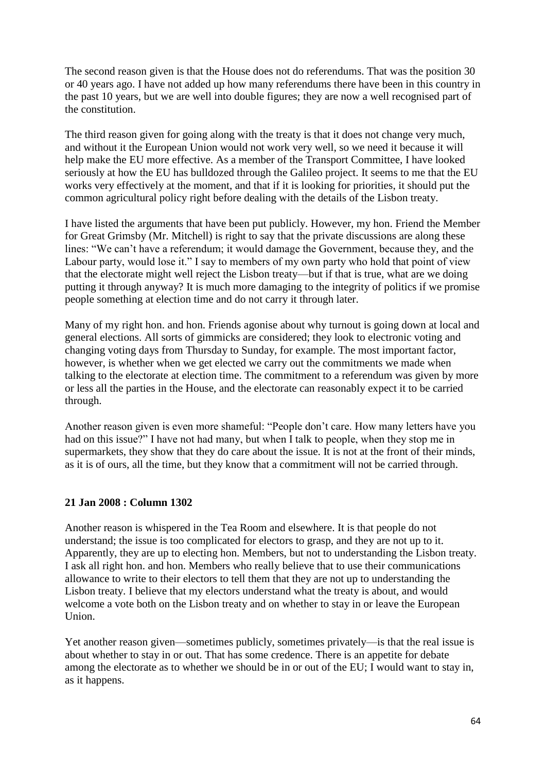The second reason given is that the House does not do referendums. That was the position 30 or 40 years ago. I have not added up how many referendums there have been in this country in the past 10 years, but we are well into double figures; they are now a well recognised part of the constitution.

The third reason given for going along with the treaty is that it does not change very much, and without it the European Union would not work very well, so we need it because it will help make the EU more effective. As a member of the Transport Committee, I have looked seriously at how the EU has bulldozed through the Galileo project. It seems to me that the EU works very effectively at the moment, and that if it is looking for priorities, it should put the common agricultural policy right before dealing with the details of the Lisbon treaty.

I have listed the arguments that have been put publicly. However, my hon. Friend the Member for Great Grimsby (Mr. Mitchell) is right to say that the private discussions are along these lines: "We can't have a referendum; it would damage the Government, because they, and the Labour party, would lose it." I say to members of my own party who hold that point of view that the electorate might well reject the Lisbon treaty—but if that is true, what are we doing putting it through anyway? It is much more damaging to the integrity of politics if we promise people something at election time and do not carry it through later.

Many of my right hon. and hon. Friends agonise about why turnout is going down at local and general elections. All sorts of gimmicks are considered; they look to electronic voting and changing voting days from Thursday to Sunday, for example. The most important factor, however, is whether when we get elected we carry out the commitments we made when talking to the electorate at election time. The commitment to a referendum was given by more or less all the parties in the House, and the electorate can reasonably expect it to be carried through.

Another reason given is even more shameful: "People don't care. How many letters have you had on this issue?" I have not had many, but when I talk to people, when they stop me in supermarkets, they show that they do care about the issue. It is not at the front of their minds, as it is of ours, all the time, but they know that a commitment will not be carried through.

# **21 Jan 2008 : Column 1302**

Another reason is whispered in the Tea Room and elsewhere. It is that people do not understand; the issue is too complicated for electors to grasp, and they are not up to it. Apparently, they are up to electing hon. Members, but not to understanding the Lisbon treaty. I ask all right hon. and hon. Members who really believe that to use their communications allowance to write to their electors to tell them that they are not up to understanding the Lisbon treaty. I believe that my electors understand what the treaty is about, and would welcome a vote both on the Lisbon treaty and on whether to stay in or leave the European Union.

Yet another reason given—sometimes publicly, sometimes privately—is that the real issue is about whether to stay in or out. That has some credence. There is an appetite for debate among the electorate as to whether we should be in or out of the EU; I would want to stay in, as it happens.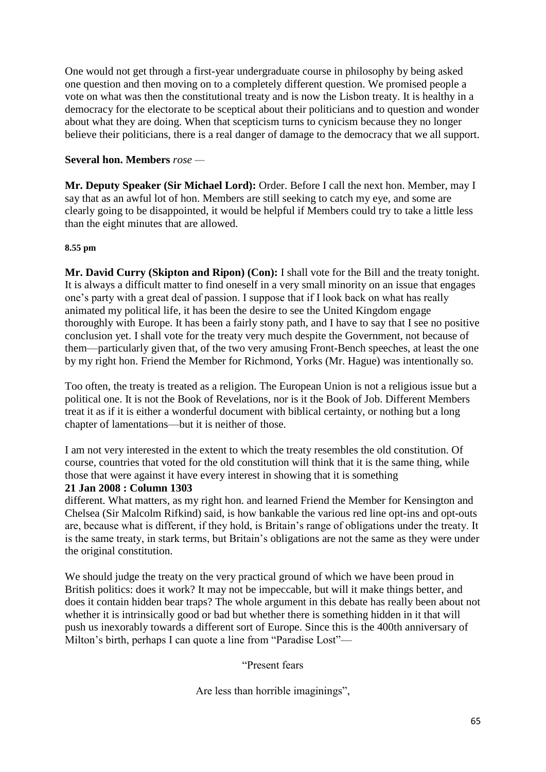One would not get through a first-year undergraduate course in philosophy by being asked one question and then moving on to a completely different question. We promised people a vote on what was then the constitutional treaty and is now the Lisbon treaty. It is healthy in a democracy for the electorate to be sceptical about their politicians and to question and wonder about what they are doing. When that scepticism turns to cynicism because they no longer believe their politicians, there is a real danger of damage to the democracy that we all support.

# **Several hon. Members** *rose —*

**Mr. Deputy Speaker (Sir Michael Lord):** Order. Before I call the next hon. Member, may I say that as an awful lot of hon. Members are still seeking to catch my eye, and some are clearly going to be disappointed, it would be helpful if Members could try to take a little less than the eight minutes that are allowed.

#### **8.55 pm**

**Mr. David Curry (Skipton and Ripon) (Con):** I shall vote for the Bill and the treaty tonight. It is always a difficult matter to find oneself in a very small minority on an issue that engages one's party with a great deal of passion. I suppose that if I look back on what has really animated my political life, it has been the desire to see the United Kingdom engage thoroughly with Europe. It has been a fairly stony path, and I have to say that I see no positive conclusion yet. I shall vote for the treaty very much despite the Government, not because of them—particularly given that, of the two very amusing Front-Bench speeches, at least the one by my right hon. Friend the Member for Richmond, Yorks (Mr. Hague) was intentionally so.

Too often, the treaty is treated as a religion. The European Union is not a religious issue but a political one. It is not the Book of Revelations, nor is it the Book of Job. Different Members treat it as if it is either a wonderful document with biblical certainty, or nothing but a long chapter of lamentations—but it is neither of those.

I am not very interested in the extent to which the treaty resembles the old constitution. Of course, countries that voted for the old constitution will think that it is the same thing, while those that were against it have every interest in showing that it is something

#### **21 Jan 2008 : Column 1303**

different. What matters, as my right hon. and learned Friend the Member for Kensington and Chelsea (Sir Malcolm Rifkind) said, is how bankable the various red line opt-ins and opt-outs are, because what is different, if they hold, is Britain's range of obligations under the treaty. It is the same treaty, in stark terms, but Britain's obligations are not the same as they were under the original constitution.

We should judge the treaty on the very practical ground of which we have been proud in British politics: does it work? It may not be impeccable, but will it make things better, and does it contain hidden bear traps? The whole argument in this debate has really been about not whether it is intrinsically good or bad but whether there is something hidden in it that will push us inexorably towards a different sort of Europe. Since this is the 400th anniversary of Milton's birth, perhaps I can quote a line from "Paradise Lost"—

"Present fears

Are less than horrible imaginings",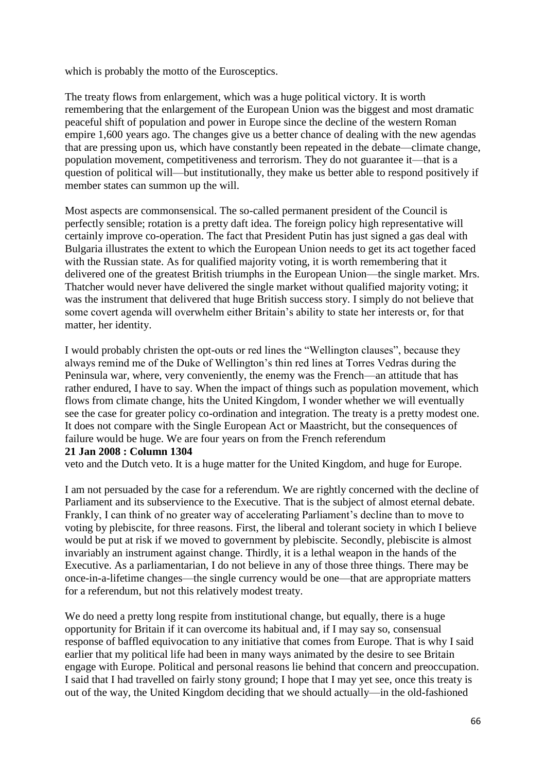which is probably the motto of the Eurosceptics.

The treaty flows from enlargement, which was a huge political victory. It is worth remembering that the enlargement of the European Union was the biggest and most dramatic peaceful shift of population and power in Europe since the decline of the western Roman empire 1,600 years ago. The changes give us a better chance of dealing with the new agendas that are pressing upon us, which have constantly been repeated in the debate—climate change, population movement, competitiveness and terrorism. They do not guarantee it—that is a question of political will—but institutionally, they make us better able to respond positively if member states can summon up the will.

Most aspects are commonsensical. The so-called permanent president of the Council is perfectly sensible; rotation is a pretty daft idea. The foreign policy high representative will certainly improve co-operation. The fact that President Putin has just signed a gas deal with Bulgaria illustrates the extent to which the European Union needs to get its act together faced with the Russian state. As for qualified majority voting, it is worth remembering that it delivered one of the greatest British triumphs in the European Union—the single market. Mrs. Thatcher would never have delivered the single market without qualified majority voting; it was the instrument that delivered that huge British success story. I simply do not believe that some covert agenda will overwhelm either Britain's ability to state her interests or, for that matter, her identity.

I would probably christen the opt-outs or red lines the "Wellington clauses", because they always remind me of the Duke of Wellington's thin red lines at Torres Vedras during the Peninsula war, where, very conveniently, the enemy was the French—an attitude that has rather endured, I have to say. When the impact of things such as population movement, which flows from climate change, hits the United Kingdom, I wonder whether we will eventually see the case for greater policy co-ordination and integration. The treaty is a pretty modest one. It does not compare with the Single European Act or Maastricht, but the consequences of failure would be huge. We are four years on from the French referendum **21 Jan 2008 : Column 1304**

veto and the Dutch veto. It is a huge matter for the United Kingdom, and huge for Europe.

I am not persuaded by the case for a referendum. We are rightly concerned with the decline of Parliament and its subservience to the Executive. That is the subject of almost eternal debate. Frankly, I can think of no greater way of accelerating Parliament's decline than to move to voting by plebiscite, for three reasons. First, the liberal and tolerant society in which I believe would be put at risk if we moved to government by plebiscite. Secondly, plebiscite is almost invariably an instrument against change. Thirdly, it is a lethal weapon in the hands of the Executive. As a parliamentarian, I do not believe in any of those three things. There may be once-in-a-lifetime changes—the single currency would be one—that are appropriate matters for a referendum, but not this relatively modest treaty.

We do need a pretty long respite from institutional change, but equally, there is a huge opportunity for Britain if it can overcome its habitual and, if I may say so, consensual response of baffled equivocation to any initiative that comes from Europe. That is why I said earlier that my political life had been in many ways animated by the desire to see Britain engage with Europe. Political and personal reasons lie behind that concern and preoccupation. I said that I had travelled on fairly stony ground; I hope that I may yet see, once this treaty is out of the way, the United Kingdom deciding that we should actually—in the old-fashioned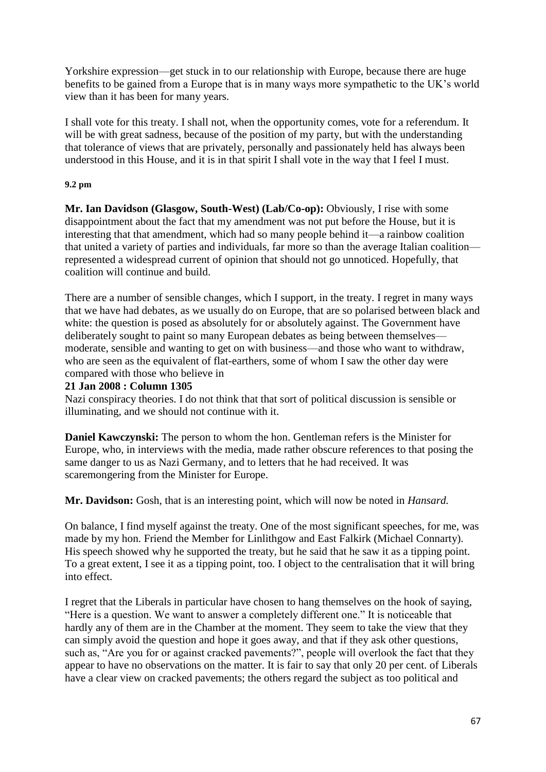Yorkshire expression—get stuck in to our relationship with Europe, because there are huge benefits to be gained from a Europe that is in many ways more sympathetic to the UK's world view than it has been for many years.

I shall vote for this treaty. I shall not, when the opportunity comes, vote for a referendum. It will be with great sadness, because of the position of my party, but with the understanding that tolerance of views that are privately, personally and passionately held has always been understood in this House, and it is in that spirit I shall vote in the way that I feel I must.

### **9.2 pm**

**Mr. Ian Davidson (Glasgow, South-West) (Lab/Co-op):** Obviously, I rise with some disappointment about the fact that my amendment was not put before the House, but it is interesting that that amendment, which had so many people behind it—a rainbow coalition that united a variety of parties and individuals, far more so than the average Italian coalition represented a widespread current of opinion that should not go unnoticed. Hopefully, that coalition will continue and build.

There are a number of sensible changes, which I support, in the treaty. I regret in many ways that we have had debates, as we usually do on Europe, that are so polarised between black and white: the question is posed as absolutely for or absolutely against. The Government have deliberately sought to paint so many European debates as being between themselves moderate, sensible and wanting to get on with business—and those who want to withdraw, who are seen as the equivalent of flat-earthers, some of whom I saw the other day were compared with those who believe in

# **21 Jan 2008 : Column 1305**

Nazi conspiracy theories. I do not think that that sort of political discussion is sensible or illuminating, and we should not continue with it.

**Daniel Kawczynski:** The person to whom the hon. Gentleman refers is the Minister for Europe, who, in interviews with the media, made rather obscure references to that posing the same danger to us as Nazi Germany, and to letters that he had received. It was scaremongering from the Minister for Europe.

**Mr. Davidson:** Gosh, that is an interesting point, which will now be noted in *Hansard.*

On balance, I find myself against the treaty. One of the most significant speeches, for me, was made by my hon. Friend the Member for Linlithgow and East Falkirk (Michael Connarty). His speech showed why he supported the treaty, but he said that he saw it as a tipping point. To a great extent, I see it as a tipping point, too. I object to the centralisation that it will bring into effect.

I regret that the Liberals in particular have chosen to hang themselves on the hook of saying, "Here is a question. We want to answer a completely different one." It is noticeable that hardly any of them are in the Chamber at the moment. They seem to take the view that they can simply avoid the question and hope it goes away, and that if they ask other questions, such as, "Are you for or against cracked pavements?", people will overlook the fact that they appear to have no observations on the matter. It is fair to say that only 20 per cent. of Liberals have a clear view on cracked pavements; the others regard the subject as too political and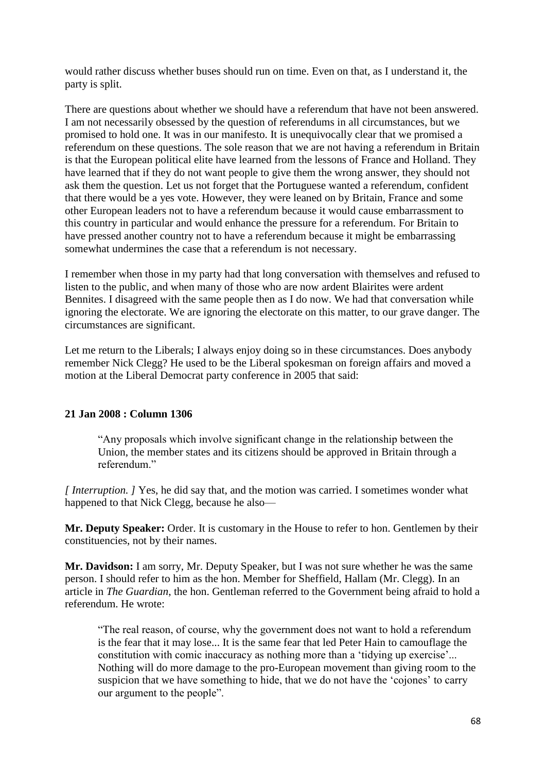would rather discuss whether buses should run on time. Even on that, as I understand it, the party is split.

There are questions about whether we should have a referendum that have not been answered. I am not necessarily obsessed by the question of referendums in all circumstances, but we promised to hold one. It was in our manifesto. It is unequivocally clear that we promised a referendum on these questions. The sole reason that we are not having a referendum in Britain is that the European political elite have learned from the lessons of France and Holland. They have learned that if they do not want people to give them the wrong answer, they should not ask them the question. Let us not forget that the Portuguese wanted a referendum, confident that there would be a yes vote. However, they were leaned on by Britain, France and some other European leaders not to have a referendum because it would cause embarrassment to this country in particular and would enhance the pressure for a referendum. For Britain to have pressed another country not to have a referendum because it might be embarrassing somewhat undermines the case that a referendum is not necessary.

I remember when those in my party had that long conversation with themselves and refused to listen to the public, and when many of those who are now ardent Blairites were ardent Bennites. I disagreed with the same people then as I do now. We had that conversation while ignoring the electorate. We are ignoring the electorate on this matter, to our grave danger. The circumstances are significant.

Let me return to the Liberals; I always enjoy doing so in these circumstances. Does anybody remember Nick Clegg? He used to be the Liberal spokesman on foreign affairs and moved a motion at the Liberal Democrat party conference in 2005 that said:

#### **21 Jan 2008 : Column 1306**

"Any proposals which involve significant change in the relationship between the Union, the member states and its citizens should be approved in Britain through a referendum<sup>"</sup>

*[ Interruption. ]* Yes, he did say that, and the motion was carried. I sometimes wonder what happened to that Nick Clegg, because he also—

**Mr. Deputy Speaker:** Order. It is customary in the House to refer to hon. Gentlemen by their constituencies, not by their names.

**Mr. Davidson:** I am sorry, Mr. Deputy Speaker, but I was not sure whether he was the same person. I should refer to him as the hon. Member for Sheffield, Hallam (Mr. Clegg). In an article in *The Guardian*, the hon. Gentleman referred to the Government being afraid to hold a referendum. He wrote:

"The real reason, of course, why the government does not want to hold a referendum is the fear that it may lose... It is the same fear that led Peter Hain to camouflage the constitution with comic inaccuracy as nothing more than a 'tidying up exercise'... Nothing will do more damage to the pro-European movement than giving room to the suspicion that we have something to hide, that we do not have the 'cojones' to carry our argument to the people".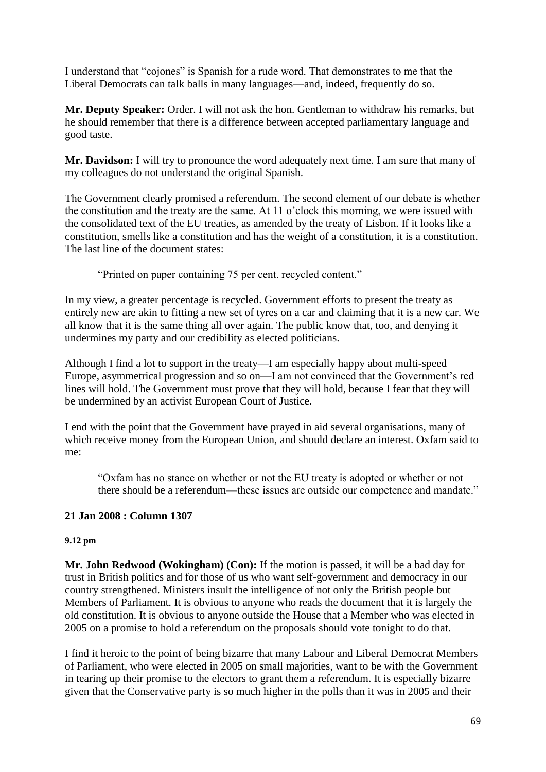I understand that "cojones" is Spanish for a rude word. That demonstrates to me that the Liberal Democrats can talk balls in many languages—and, indeed, frequently do so.

**Mr. Deputy Speaker:** Order. I will not ask the hon. Gentleman to withdraw his remarks, but he should remember that there is a difference between accepted parliamentary language and good taste.

**Mr. Davidson:** I will try to pronounce the word adequately next time. I am sure that many of my colleagues do not understand the original Spanish.

The Government clearly promised a referendum. The second element of our debate is whether the constitution and the treaty are the same. At 11 o'clock this morning, we were issued with the consolidated text of the EU treaties, as amended by the treaty of Lisbon. If it looks like a constitution, smells like a constitution and has the weight of a constitution, it is a constitution. The last line of the document states:

"Printed on paper containing 75 per cent. recycled content."

In my view, a greater percentage is recycled. Government efforts to present the treaty as entirely new are akin to fitting a new set of tyres on a car and claiming that it is a new car. We all know that it is the same thing all over again. The public know that, too, and denying it undermines my party and our credibility as elected politicians.

Although I find a lot to support in the treaty—I am especially happy about multi-speed Europe, asymmetrical progression and so on—I am not convinced that the Government's red lines will hold. The Government must prove that they will hold, because I fear that they will be undermined by an activist European Court of Justice.

I end with the point that the Government have prayed in aid several organisations, many of which receive money from the European Union, and should declare an interest. Oxfam said to me:

"Oxfam has no stance on whether or not the EU treaty is adopted or whether or not there should be a referendum—these issues are outside our competence and mandate."

# **21 Jan 2008 : Column 1307**

#### **9.12 pm**

**Mr. John Redwood (Wokingham) (Con):** If the motion is passed, it will be a bad day for trust in British politics and for those of us who want self-government and democracy in our country strengthened. Ministers insult the intelligence of not only the British people but Members of Parliament. It is obvious to anyone who reads the document that it is largely the old constitution. It is obvious to anyone outside the House that a Member who was elected in 2005 on a promise to hold a referendum on the proposals should vote tonight to do that.

I find it heroic to the point of being bizarre that many Labour and Liberal Democrat Members of Parliament, who were elected in 2005 on small majorities, want to be with the Government in tearing up their promise to the electors to grant them a referendum. It is especially bizarre given that the Conservative party is so much higher in the polls than it was in 2005 and their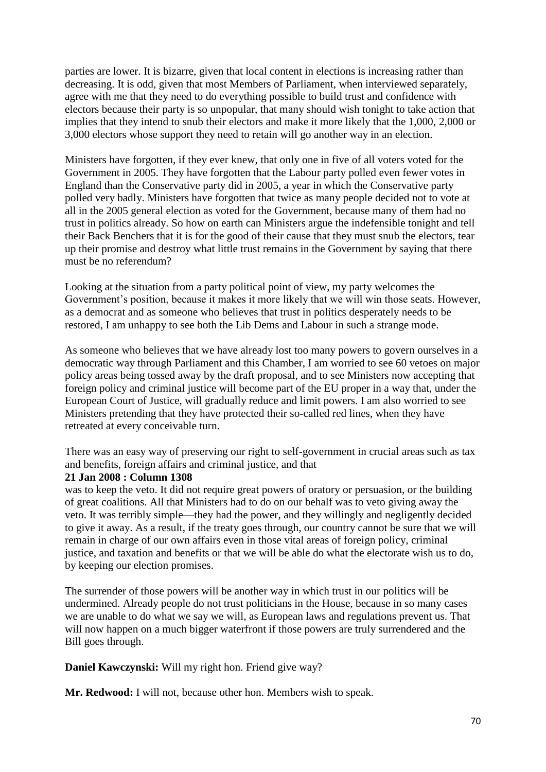parties are lower. It is bizarre, given that local content in elections is increasing rather than decreasing. It is odd, given that most Members of Parliament, when interviewed separately, agree with me that they need to do everything possible to build trust and confidence with electors because their party is so unpopular, that many should wish tonight to take action that implies that they intend to snub their electors and make it more likely that the 1,000, 2,000 or 3,000 electors whose support they need to retain will go another way in an election.

Ministers have forgotten, if they ever knew, that only one in five of all voters voted for the Government in 2005. They have forgotten that the Labour party polled even fewer votes in England than the Conservative party did in 2005, a year in which the Conservative party polled very badly. Ministers have forgotten that twice as many people decided not to vote at all in the 2005 general election as voted for the Government, because many of them had no trust in politics already. So how on earth can Ministers argue the indefensible tonight and tell their Back Benchers that it is for the good of their cause that they must snub the electors, tear up their promise and destroy what little trust remains in the Government by saying that there must be no referendum?

Looking at the situation from a party political point of view, my party welcomes the Government's position, because it makes it more likely that we will win those seats. However, as a democrat and as someone who believes that trust in politics desperately needs to be restored, I am unhappy to see both the Lib Dems and Labour in such a strange mode.

As someone who believes that we have already lost too many powers to govern ourselves in a democratic way through Parliament and this Chamber, I am worried to see 60 vetoes on major policy areas being tossed away by the draft proposal, and to see Ministers now accepting that foreign policy and criminal justice will become part of the EU proper in a way that, under the European Court of Justice, will gradually reduce and limit powers. I am also worried to see Ministers pretending that they have protected their so-called red lines, when they have retreated at every conceivable turn.

There was an easy way of preserving our right to self-government in crucial areas such as tax and benefits, foreign affairs and criminal justice, and that

#### **21 Jan 2008 : Column 1308**

was to keep the veto. It did not require great powers of oratory or persuasion, or the building of great coalitions. All that Ministers had to do on our behalf was to veto giving away the veto. It was terribly simple—they had the power, and they willingly and negligently decided to give it away. As a result, if the treaty goes through, our country cannot be sure that we will remain in charge of our own affairs even in those vital areas of foreign policy, criminal justice, and taxation and benefits or that we will be able do what the electorate wish us to do, by keeping our election promises.

The surrender of those powers will be another way in which trust in our politics will be undermined. Already people do not trust politicians in the House, because in so many cases we are unable to do what we say we will, as European laws and regulations prevent us. That will now happen on a much bigger waterfront if those powers are truly surrendered and the Bill goes through.

**Daniel Kawczynski:** Will my right hon. Friend give way?

**Mr. Redwood:** I will not, because other hon. Members wish to speak.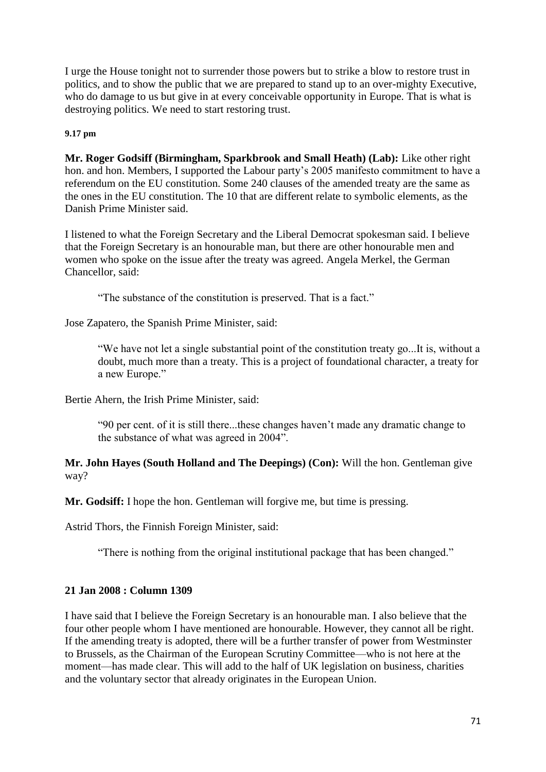I urge the House tonight not to surrender those powers but to strike a blow to restore trust in politics, and to show the public that we are prepared to stand up to an over-mighty Executive, who do damage to us but give in at every conceivable opportunity in Europe. That is what is destroying politics. We need to start restoring trust.

### **9.17 pm**

**Mr. Roger Godsiff (Birmingham, Sparkbrook and Small Heath) (Lab):** Like other right hon. and hon. Members, I supported the Labour party's 2005 manifesto commitment to have a referendum on the EU constitution. Some 240 clauses of the amended treaty are the same as the ones in the EU constitution. The 10 that are different relate to symbolic elements, as the Danish Prime Minister said.

I listened to what the Foreign Secretary and the Liberal Democrat spokesman said. I believe that the Foreign Secretary is an honourable man, but there are other honourable men and women who spoke on the issue after the treaty was agreed. Angela Merkel, the German Chancellor, said:

"The substance of the constitution is preserved. That is a fact."

Jose Zapatero, the Spanish Prime Minister, said:

"We have not let a single substantial point of the constitution treaty go...It is, without a doubt, much more than a treaty. This is a project of foundational character, a treaty for a new Europe."

Bertie Ahern, the Irish Prime Minister, said:

"90 per cent. of it is still there...these changes haven't made any dramatic change to the substance of what was agreed in 2004".

**Mr. John Hayes (South Holland and The Deepings) (Con):** Will the hon. Gentleman give way?

**Mr. Godsiff:** I hope the hon. Gentleman will forgive me, but time is pressing.

Astrid Thors, the Finnish Foreign Minister, said:

"There is nothing from the original institutional package that has been changed."

# **21 Jan 2008 : Column 1309**

I have said that I believe the Foreign Secretary is an honourable man. I also believe that the four other people whom I have mentioned are honourable. However, they cannot all be right. If the amending treaty is adopted, there will be a further transfer of power from Westminster to Brussels, as the Chairman of the European Scrutiny Committee—who is not here at the moment—has made clear. This will add to the half of UK legislation on business, charities and the voluntary sector that already originates in the European Union.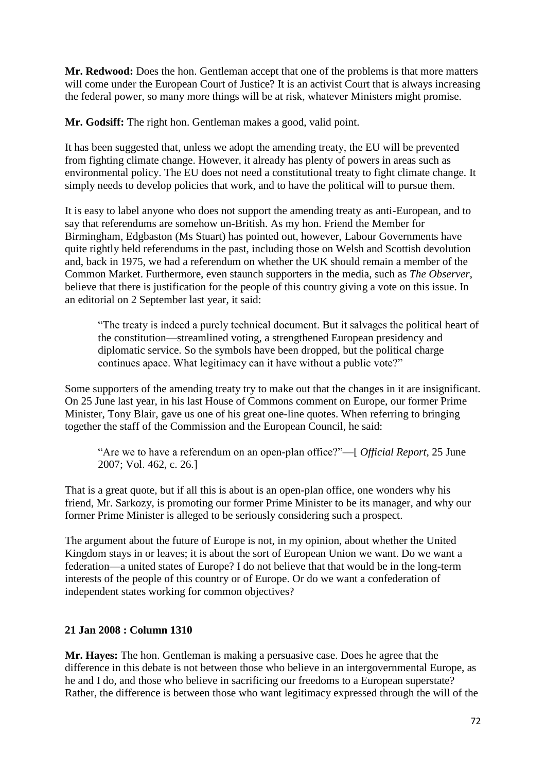**Mr. Redwood:** Does the hon. Gentleman accept that one of the problems is that more matters will come under the European Court of Justice? It is an activist Court that is always increasing the federal power, so many more things will be at risk, whatever Ministers might promise.

**Mr. Godsiff:** The right hon. Gentleman makes a good, valid point.

It has been suggested that, unless we adopt the amending treaty, the EU will be prevented from fighting climate change. However, it already has plenty of powers in areas such as environmental policy. The EU does not need a constitutional treaty to fight climate change. It simply needs to develop policies that work, and to have the political will to pursue them.

It is easy to label anyone who does not support the amending treaty as anti-European, and to say that referendums are somehow un-British. As my hon. Friend the Member for Birmingham, Edgbaston (Ms Stuart) has pointed out, however, Labour Governments have quite rightly held referendums in the past, including those on Welsh and Scottish devolution and, back in 1975, we had a referendum on whether the UK should remain a member of the Common Market. Furthermore, even staunch supporters in the media, such as *The Observer*, believe that there is justification for the people of this country giving a vote on this issue. In an editorial on 2 September last year, it said:

"The treaty is indeed a purely technical document. But it salvages the political heart of the constitution—streamlined voting, a strengthened European presidency and diplomatic service. So the symbols have been dropped, but the political charge continues apace. What legitimacy can it have without a public vote?"

Some supporters of the amending treaty try to make out that the changes in it are insignificant. On 25 June last year, in his last House of Commons comment on Europe, our former Prime Minister, Tony Blair, gave us one of his great one-line quotes. When referring to bringing together the staff of the Commission and the European Council, he said:

"Are we to have a referendum on an open-plan office?"—[ *Official Report*, 25 June 2007; Vol. 462, c. 26.]

That is a great quote, but if all this is about is an open-plan office, one wonders why his friend, Mr. Sarkozy, is promoting our former Prime Minister to be its manager, and why our former Prime Minister is alleged to be seriously considering such a prospect.

The argument about the future of Europe is not, in my opinion, about whether the United Kingdom stays in or leaves; it is about the sort of European Union we want. Do we want a federation—a united states of Europe? I do not believe that that would be in the long-term interests of the people of this country or of Europe. Or do we want a confederation of independent states working for common objectives?

# **21 Jan 2008 : Column 1310**

**Mr. Hayes:** The hon. Gentleman is making a persuasive case. Does he agree that the difference in this debate is not between those who believe in an intergovernmental Europe, as he and I do, and those who believe in sacrificing our freedoms to a European superstate? Rather, the difference is between those who want legitimacy expressed through the will of the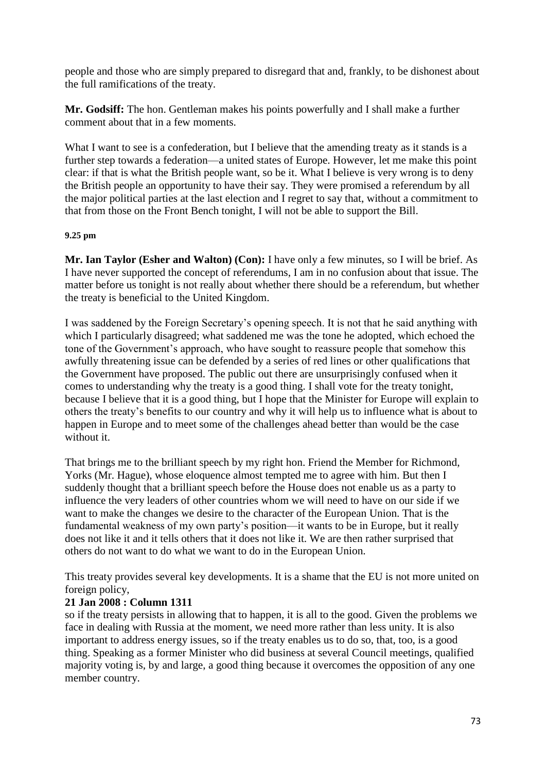people and those who are simply prepared to disregard that and, frankly, to be dishonest about the full ramifications of the treaty.

**Mr. Godsiff:** The hon. Gentleman makes his points powerfully and I shall make a further comment about that in a few moments.

What I want to see is a confederation, but I believe that the amending treaty as it stands is a further step towards a federation—a united states of Europe. However, let me make this point clear: if that is what the British people want, so be it. What I believe is very wrong is to deny the British people an opportunity to have their say. They were promised a referendum by all the major political parties at the last election and I regret to say that, without a commitment to that from those on the Front Bench tonight, I will not be able to support the Bill.

### **9.25 pm**

**Mr. Ian Taylor (Esher and Walton) (Con):** I have only a few minutes, so I will be brief. As I have never supported the concept of referendums, I am in no confusion about that issue. The matter before us tonight is not really about whether there should be a referendum, but whether the treaty is beneficial to the United Kingdom.

I was saddened by the Foreign Secretary's opening speech. It is not that he said anything with which I particularly disagreed; what saddened me was the tone he adopted, which echoed the tone of the Government's approach, who have sought to reassure people that somehow this awfully threatening issue can be defended by a series of red lines or other qualifications that the Government have proposed. The public out there are unsurprisingly confused when it comes to understanding why the treaty is a good thing. I shall vote for the treaty tonight, because I believe that it is a good thing, but I hope that the Minister for Europe will explain to others the treaty's benefits to our country and why it will help us to influence what is about to happen in Europe and to meet some of the challenges ahead better than would be the case without it.

That brings me to the brilliant speech by my right hon. Friend the Member for Richmond, Yorks (Mr. Hague), whose eloquence almost tempted me to agree with him. But then I suddenly thought that a brilliant speech before the House does not enable us as a party to influence the very leaders of other countries whom we will need to have on our side if we want to make the changes we desire to the character of the European Union. That is the fundamental weakness of my own party's position—it wants to be in Europe, but it really does not like it and it tells others that it does not like it. We are then rather surprised that others do not want to do what we want to do in the European Union.

This treaty provides several key developments. It is a shame that the EU is not more united on foreign policy,

# **21 Jan 2008 : Column 1311**

so if the treaty persists in allowing that to happen, it is all to the good. Given the problems we face in dealing with Russia at the moment, we need more rather than less unity. It is also important to address energy issues, so if the treaty enables us to do so, that, too, is a good thing. Speaking as a former Minister who did business at several Council meetings, qualified majority voting is, by and large, a good thing because it overcomes the opposition of any one member country.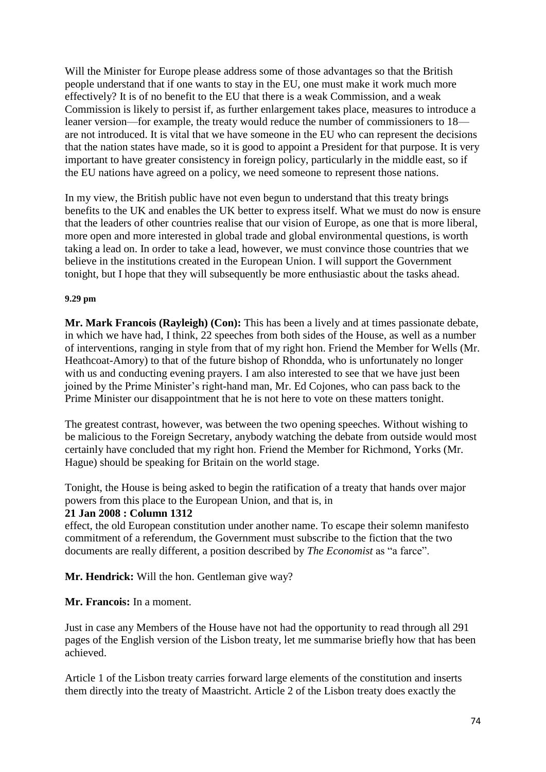Will the Minister for Europe please address some of those advantages so that the British people understand that if one wants to stay in the EU, one must make it work much more effectively? It is of no benefit to the EU that there is a weak Commission, and a weak Commission is likely to persist if, as further enlargement takes place, measures to introduce a leaner version—for example, the treaty would reduce the number of commissioners to 18 are not introduced. It is vital that we have someone in the EU who can represent the decisions that the nation states have made, so it is good to appoint a President for that purpose. It is very important to have greater consistency in foreign policy, particularly in the middle east, so if the EU nations have agreed on a policy, we need someone to represent those nations.

In my view, the British public have not even begun to understand that this treaty brings benefits to the UK and enables the UK better to express itself. What we must do now is ensure that the leaders of other countries realise that our vision of Europe, as one that is more liberal, more open and more interested in global trade and global environmental questions, is worth taking a lead on. In order to take a lead, however, we must convince those countries that we believe in the institutions created in the European Union. I will support the Government tonight, but I hope that they will subsequently be more enthusiastic about the tasks ahead.

#### **9.29 pm**

**Mr. Mark Francois (Rayleigh) (Con):** This has been a lively and at times passionate debate, in which we have had, I think, 22 speeches from both sides of the House, as well as a number of interventions, ranging in style from that of my right hon. Friend the Member for Wells (Mr. Heathcoat-Amory) to that of the future bishop of Rhondda, who is unfortunately no longer with us and conducting evening prayers. I am also interested to see that we have just been joined by the Prime Minister's right-hand man, Mr. Ed Cojones, who can pass back to the Prime Minister our disappointment that he is not here to vote on these matters tonight.

The greatest contrast, however, was between the two opening speeches. Without wishing to be malicious to the Foreign Secretary, anybody watching the debate from outside would most certainly have concluded that my right hon. Friend the Member for Richmond, Yorks (Mr. Hague) should be speaking for Britain on the world stage.

Tonight, the House is being asked to begin the ratification of a treaty that hands over major powers from this place to the European Union, and that is, in

#### **21 Jan 2008 : Column 1312**

effect, the old European constitution under another name. To escape their solemn manifesto commitment of a referendum, the Government must subscribe to the fiction that the two documents are really different, a position described by *The Economist* as "a farce".

**Mr. Hendrick:** Will the hon. Gentleman give way?

#### **Mr. Francois:** In a moment.

Just in case any Members of the House have not had the opportunity to read through all 291 pages of the English version of the Lisbon treaty, let me summarise briefly how that has been achieved.

Article 1 of the Lisbon treaty carries forward large elements of the constitution and inserts them directly into the treaty of Maastricht. Article 2 of the Lisbon treaty does exactly the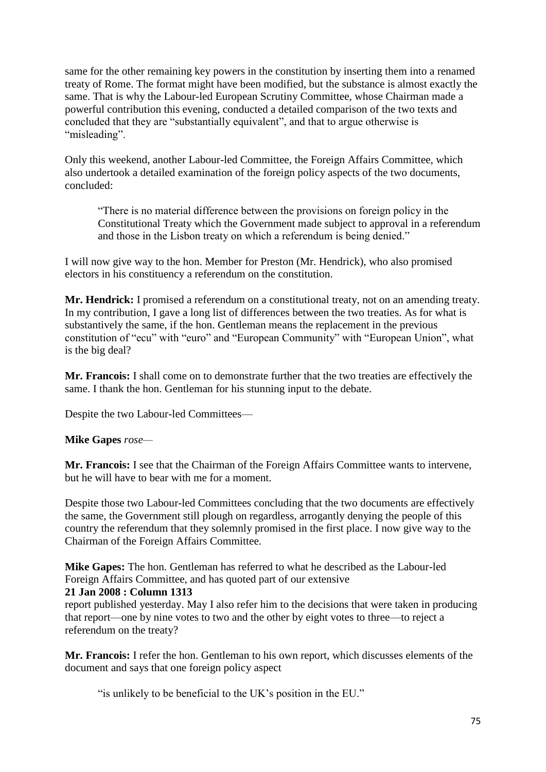same for the other remaining key powers in the constitution by inserting them into a renamed treaty of Rome. The format might have been modified, but the substance is almost exactly the same. That is why the Labour-led European Scrutiny Committee, whose Chairman made a powerful contribution this evening, conducted a detailed comparison of the two texts and concluded that they are "substantially equivalent", and that to argue otherwise is "misleading".

Only this weekend, another Labour-led Committee, the Foreign Affairs Committee, which also undertook a detailed examination of the foreign policy aspects of the two documents, concluded:

"There is no material difference between the provisions on foreign policy in the Constitutional Treaty which the Government made subject to approval in a referendum and those in the Lisbon treaty on which a referendum is being denied."

I will now give way to the hon. Member for Preston (Mr. Hendrick), who also promised electors in his constituency a referendum on the constitution.

**Mr. Hendrick:** I promised a referendum on a constitutional treaty, not on an amending treaty. In my contribution, I gave a long list of differences between the two treaties. As for what is substantively the same, if the hon. Gentleman means the replacement in the previous constitution of "ecu" with "euro" and "European Community" with "European Union", what is the big deal?

**Mr. Francois:** I shall come on to demonstrate further that the two treaties are effectively the same. I thank the hon. Gentleman for his stunning input to the debate.

Despite the two Labour-led Committees—

# **Mike Gapes** *rose—*

**Mr. Francois:** I see that the Chairman of the Foreign Affairs Committee wants to intervene, but he will have to bear with me for a moment.

Despite those two Labour-led Committees concluding that the two documents are effectively the same, the Government still plough on regardless, arrogantly denying the people of this country the referendum that they solemnly promised in the first place. I now give way to the Chairman of the Foreign Affairs Committee.

**Mike Gapes:** The hon. Gentleman has referred to what he described as the Labour-led Foreign Affairs Committee, and has quoted part of our extensive

### **21 Jan 2008 : Column 1313**

report published yesterday. May I also refer him to the decisions that were taken in producing that report—one by nine votes to two and the other by eight votes to three—to reject a referendum on the treaty?

**Mr. Francois:** I refer the hon. Gentleman to his own report, which discusses elements of the document and says that one foreign policy aspect

"is unlikely to be beneficial to the UK's position in the EU."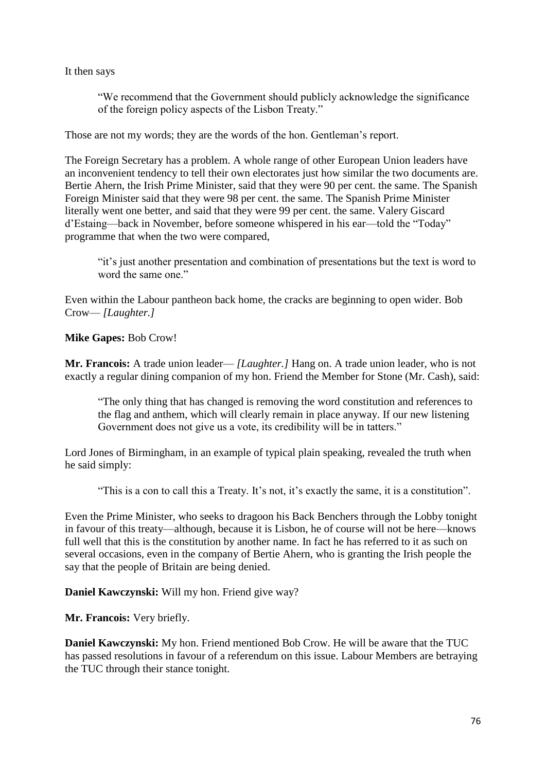It then says

"We recommend that the Government should publicly acknowledge the significance of the foreign policy aspects of the Lisbon Treaty."

Those are not my words; they are the words of the hon. Gentleman's report.

The Foreign Secretary has a problem. A whole range of other European Union leaders have an inconvenient tendency to tell their own electorates just how similar the two documents are. Bertie Ahern, the Irish Prime Minister, said that they were 90 per cent. the same. The Spanish Foreign Minister said that they were 98 per cent. the same. The Spanish Prime Minister literally went one better, and said that they were 99 per cent. the same. Valery Giscard d'Estaing—back in November, before someone whispered in his ear—told the "Today" programme that when the two were compared,

"it's just another presentation and combination of presentations but the text is word to word the same one."

Even within the Labour pantheon back home, the cracks are beginning to open wider. Bob Crow— *[Laughter.]*

**Mike Gapes:** Bob Crow!

**Mr. Francois:** A trade union leader— *[Laughter.]* Hang on. A trade union leader, who is not exactly a regular dining companion of my hon. Friend the Member for Stone (Mr. Cash), said:

"The only thing that has changed is removing the word constitution and references to the flag and anthem, which will clearly remain in place anyway. If our new listening Government does not give us a vote, its credibility will be in tatters."

Lord Jones of Birmingham, in an example of typical plain speaking, revealed the truth when he said simply:

"This is a con to call this a Treaty. It's not, it's exactly the same, it is a constitution".

Even the Prime Minister, who seeks to dragoon his Back Benchers through the Lobby tonight in favour of this treaty—although, because it is Lisbon, he of course will not be here—knows full well that this is the constitution by another name. In fact he has referred to it as such on several occasions, even in the company of Bertie Ahern, who is granting the Irish people the say that the people of Britain are being denied.

**Daniel Kawczynski:** Will my hon. Friend give way?

**Mr. Francois:** Very briefly.

**Daniel Kawczynski:** My hon. Friend mentioned Bob Crow. He will be aware that the TUC has passed resolutions in favour of a referendum on this issue. Labour Members are betraying the TUC through their stance tonight.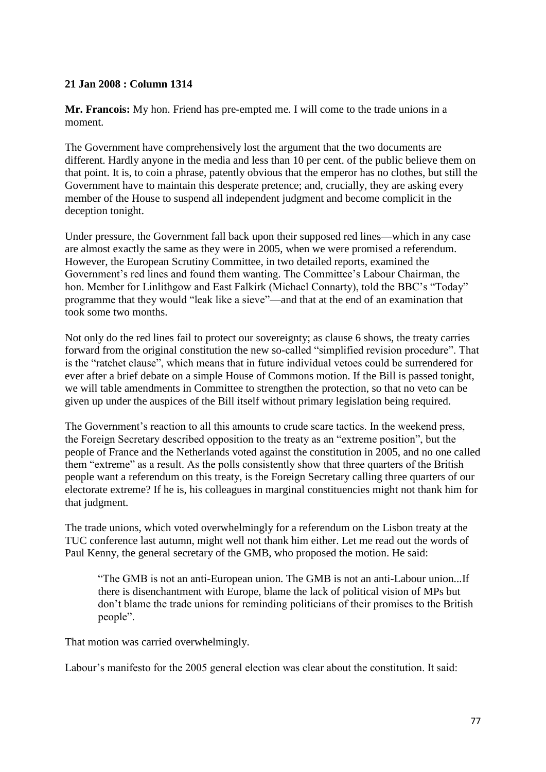### **21 Jan 2008 : Column 1314**

**Mr. Francois:** My hon. Friend has pre-empted me. I will come to the trade unions in a moment.

The Government have comprehensively lost the argument that the two documents are different. Hardly anyone in the media and less than 10 per cent. of the public believe them on that point. It is, to coin a phrase, patently obvious that the emperor has no clothes, but still the Government have to maintain this desperate pretence; and, crucially, they are asking every member of the House to suspend all independent judgment and become complicit in the deception tonight.

Under pressure, the Government fall back upon their supposed red lines—which in any case are almost exactly the same as they were in 2005, when we were promised a referendum. However, the European Scrutiny Committee, in two detailed reports, examined the Government's red lines and found them wanting. The Committee's Labour Chairman, the hon. Member for Linlithgow and East Falkirk (Michael Connarty), told the BBC's "Today" programme that they would "leak like a sieve"—and that at the end of an examination that took some two months.

Not only do the red lines fail to protect our sovereignty; as clause 6 shows, the treaty carries forward from the original constitution the new so-called "simplified revision procedure". That is the "ratchet clause", which means that in future individual vetoes could be surrendered for ever after a brief debate on a simple House of Commons motion. If the Bill is passed tonight, we will table amendments in Committee to strengthen the protection, so that no veto can be given up under the auspices of the Bill itself without primary legislation being required.

The Government's reaction to all this amounts to crude scare tactics. In the weekend press, the Foreign Secretary described opposition to the treaty as an "extreme position", but the people of France and the Netherlands voted against the constitution in 2005, and no one called them "extreme" as a result. As the polls consistently show that three quarters of the British people want a referendum on this treaty, is the Foreign Secretary calling three quarters of our electorate extreme? If he is, his colleagues in marginal constituencies might not thank him for that judgment.

The trade unions, which voted overwhelmingly for a referendum on the Lisbon treaty at the TUC conference last autumn, might well not thank him either. Let me read out the words of Paul Kenny, the general secretary of the GMB, who proposed the motion. He said:

"The GMB is not an anti-European union. The GMB is not an anti-Labour union...If there is disenchantment with Europe, blame the lack of political vision of MPs but don't blame the trade unions for reminding politicians of their promises to the British people".

That motion was carried overwhelmingly.

Labour's manifesto for the 2005 general election was clear about the constitution. It said: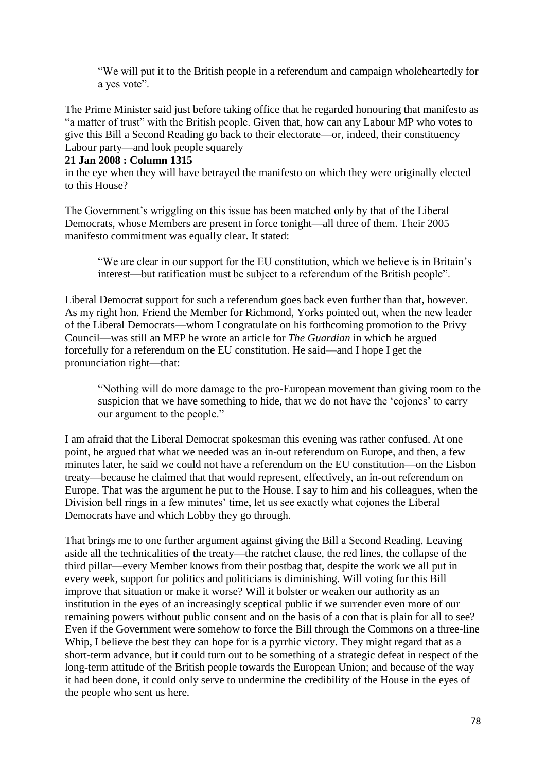"We will put it to the British people in a referendum and campaign wholeheartedly for a yes vote".

The Prime Minister said just before taking office that he regarded honouring that manifesto as "a matter of trust" with the British people. Given that, how can any Labour MP who votes to give this Bill a Second Reading go back to their electorate—or, indeed, their constituency Labour party—and look people squarely

### **21 Jan 2008 : Column 1315**

in the eye when they will have betrayed the manifesto on which they were originally elected to this House?

The Government's wriggling on this issue has been matched only by that of the Liberal Democrats, whose Members are present in force tonight—all three of them. Their 2005 manifesto commitment was equally clear. It stated:

"We are clear in our support for the EU constitution, which we believe is in Britain's interest—but ratification must be subject to a referendum of the British people".

Liberal Democrat support for such a referendum goes back even further than that, however. As my right hon. Friend the Member for Richmond, Yorks pointed out, when the new leader of the Liberal Democrats—whom I congratulate on his forthcoming promotion to the Privy Council—was still an MEP he wrote an article for *The Guardian* in which he argued forcefully for a referendum on the EU constitution. He said—and I hope I get the pronunciation right—that:

"Nothing will do more damage to the pro-European movement than giving room to the suspicion that we have something to hide, that we do not have the 'cojones' to carry our argument to the people."

I am afraid that the Liberal Democrat spokesman this evening was rather confused. At one point, he argued that what we needed was an in-out referendum on Europe, and then, a few minutes later, he said we could not have a referendum on the EU constitution—on the Lisbon treaty—because he claimed that that would represent, effectively, an in-out referendum on Europe. That was the argument he put to the House. I say to him and his colleagues, when the Division bell rings in a few minutes' time, let us see exactly what cojones the Liberal Democrats have and which Lobby they go through.

That brings me to one further argument against giving the Bill a Second Reading. Leaving aside all the technicalities of the treaty—the ratchet clause, the red lines, the collapse of the third pillar—every Member knows from their postbag that, despite the work we all put in every week, support for politics and politicians is diminishing. Will voting for this Bill improve that situation or make it worse? Will it bolster or weaken our authority as an institution in the eyes of an increasingly sceptical public if we surrender even more of our remaining powers without public consent and on the basis of a con that is plain for all to see? Even if the Government were somehow to force the Bill through the Commons on a three-line Whip, I believe the best they can hope for is a pyrrhic victory. They might regard that as a short-term advance, but it could turn out to be something of a strategic defeat in respect of the long-term attitude of the British people towards the European Union; and because of the way it had been done, it could only serve to undermine the credibility of the House in the eyes of the people who sent us here.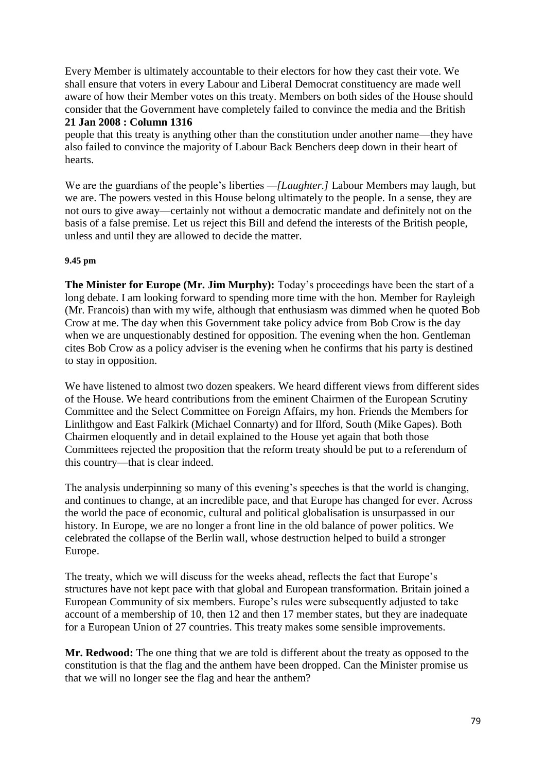Every Member is ultimately accountable to their electors for how they cast their vote. We shall ensure that voters in every Labour and Liberal Democrat constituency are made well aware of how their Member votes on this treaty. Members on both sides of the House should consider that the Government have completely failed to convince the media and the British

#### **21 Jan 2008 : Column 1316**

people that this treaty is anything other than the constitution under another name—they have also failed to convince the majority of Labour Back Benchers deep down in their heart of hearts.

We are the guardians of the people's liberties *—[Laughter.]* Labour Members may laugh, but we are. The powers vested in this House belong ultimately to the people. In a sense, they are not ours to give away—certainly not without a democratic mandate and definitely not on the basis of a false premise. Let us reject this Bill and defend the interests of the British people, unless and until they are allowed to decide the matter.

### **9.45 pm**

**The Minister for Europe (Mr. Jim Murphy):** Today's proceedings have been the start of a long debate. I am looking forward to spending more time with the hon. Member for Rayleigh (Mr. Francois) than with my wife, although that enthusiasm was dimmed when he quoted Bob Crow at me. The day when this Government take policy advice from Bob Crow is the day when we are unquestionably destined for opposition. The evening when the hon. Gentleman cites Bob Crow as a policy adviser is the evening when he confirms that his party is destined to stay in opposition.

We have listened to almost two dozen speakers. We heard different views from different sides of the House. We heard contributions from the eminent Chairmen of the European Scrutiny Committee and the Select Committee on Foreign Affairs, my hon. Friends the Members for Linlithgow and East Falkirk (Michael Connarty) and for Ilford, South (Mike Gapes). Both Chairmen eloquently and in detail explained to the House yet again that both those Committees rejected the proposition that the reform treaty should be put to a referendum of this country—that is clear indeed.

The analysis underpinning so many of this evening's speeches is that the world is changing, and continues to change, at an incredible pace, and that Europe has changed for ever. Across the world the pace of economic, cultural and political globalisation is unsurpassed in our history. In Europe, we are no longer a front line in the old balance of power politics. We celebrated the collapse of the Berlin wall, whose destruction helped to build a stronger Europe.

The treaty, which we will discuss for the weeks ahead, reflects the fact that Europe's structures have not kept pace with that global and European transformation. Britain joined a European Community of six members. Europe's rules were subsequently adjusted to take account of a membership of 10, then 12 and then 17 member states, but they are inadequate for a European Union of 27 countries. This treaty makes some sensible improvements.

**Mr. Redwood:** The one thing that we are told is different about the treaty as opposed to the constitution is that the flag and the anthem have been dropped. Can the Minister promise us that we will no longer see the flag and hear the anthem?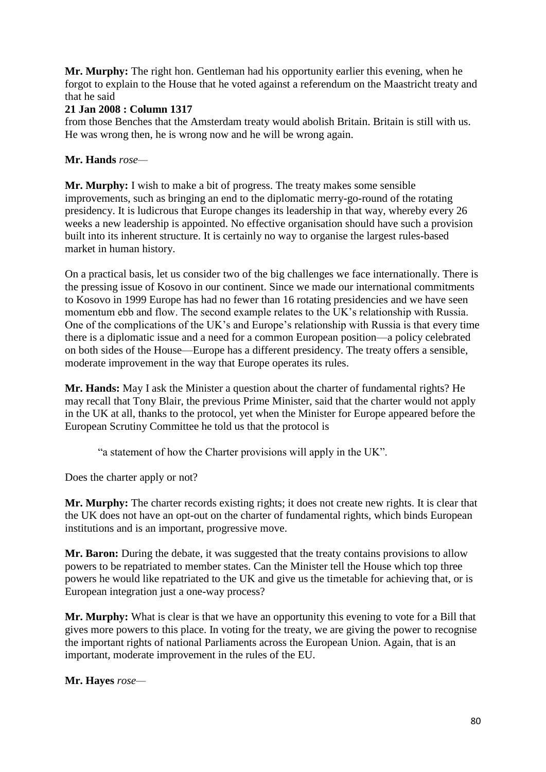**Mr. Murphy:** The right hon. Gentleman had his opportunity earlier this evening, when he forgot to explain to the House that he voted against a referendum on the Maastricht treaty and that he said

# **21 Jan 2008 : Column 1317**

from those Benches that the Amsterdam treaty would abolish Britain. Britain is still with us. He was wrong then, he is wrong now and he will be wrong again.

# **Mr. Hands** *rose—*

**Mr. Murphy:** I wish to make a bit of progress. The treaty makes some sensible improvements, such as bringing an end to the diplomatic merry-go-round of the rotating presidency. It is ludicrous that Europe changes its leadership in that way, whereby every 26 weeks a new leadership is appointed. No effective organisation should have such a provision built into its inherent structure. It is certainly no way to organise the largest rules-based market in human history.

On a practical basis, let us consider two of the big challenges we face internationally. There is the pressing issue of Kosovo in our continent. Since we made our international commitments to Kosovo in 1999 Europe has had no fewer than 16 rotating presidencies and we have seen momentum ebb and flow. The second example relates to the UK's relationship with Russia. One of the complications of the UK's and Europe's relationship with Russia is that every time there is a diplomatic issue and a need for a common European position—a policy celebrated on both sides of the House—Europe has a different presidency. The treaty offers a sensible, moderate improvement in the way that Europe operates its rules.

**Mr. Hands:** May I ask the Minister a question about the charter of fundamental rights? He may recall that Tony Blair, the previous Prime Minister, said that the charter would not apply in the UK at all, thanks to the protocol, yet when the Minister for Europe appeared before the European Scrutiny Committee he told us that the protocol is

"a statement of how the Charter provisions will apply in the UK".

Does the charter apply or not?

**Mr. Murphy:** The charter records existing rights; it does not create new rights. It is clear that the UK does not have an opt-out on the charter of fundamental rights, which binds European institutions and is an important, progressive move.

**Mr. Baron:** During the debate, it was suggested that the treaty contains provisions to allow powers to be repatriated to member states. Can the Minister tell the House which top three powers he would like repatriated to the UK and give us the timetable for achieving that, or is European integration just a one-way process?

**Mr. Murphy:** What is clear is that we have an opportunity this evening to vote for a Bill that gives more powers to this place. In voting for the treaty, we are giving the power to recognise the important rights of national Parliaments across the European Union. Again, that is an important, moderate improvement in the rules of the EU.

**Mr. Hayes** *rose—*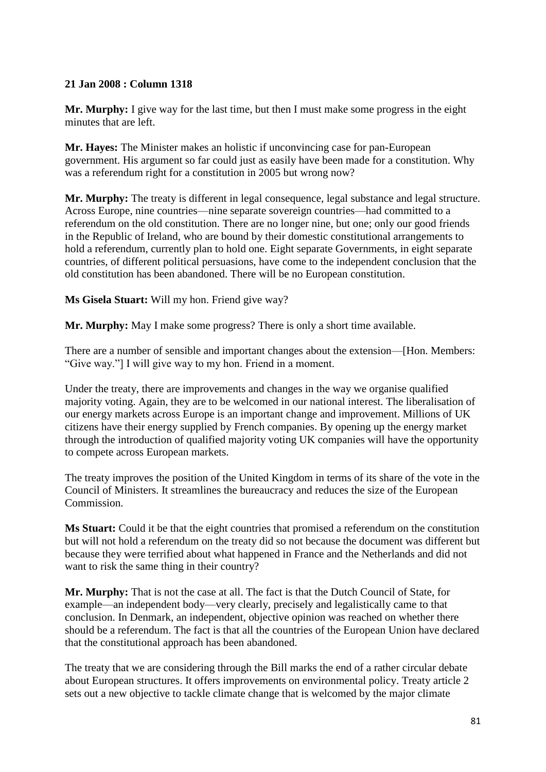# **21 Jan 2008 : Column 1318**

**Mr. Murphy:** I give way for the last time, but then I must make some progress in the eight minutes that are left.

**Mr. Hayes:** The Minister makes an holistic if unconvincing case for pan-European government. His argument so far could just as easily have been made for a constitution. Why was a referendum right for a constitution in 2005 but wrong now?

**Mr. Murphy:** The treaty is different in legal consequence, legal substance and legal structure. Across Europe, nine countries—nine separate sovereign countries—had committed to a referendum on the old constitution. There are no longer nine, but one; only our good friends in the Republic of Ireland, who are bound by their domestic constitutional arrangements to hold a referendum, currently plan to hold one. Eight separate Governments, in eight separate countries, of different political persuasions, have come to the independent conclusion that the old constitution has been abandoned. There will be no European constitution.

**Ms Gisela Stuart:** Will my hon. Friend give way?

**Mr. Murphy:** May I make some progress? There is only a short time available.

There are a number of sensible and important changes about the extension—[Hon. Members: "Give way."] I will give way to my hon. Friend in a moment.

Under the treaty, there are improvements and changes in the way we organise qualified majority voting. Again, they are to be welcomed in our national interest. The liberalisation of our energy markets across Europe is an important change and improvement. Millions of UK citizens have their energy supplied by French companies. By opening up the energy market through the introduction of qualified majority voting UK companies will have the opportunity to compete across European markets.

The treaty improves the position of the United Kingdom in terms of its share of the vote in the Council of Ministers. It streamlines the bureaucracy and reduces the size of the European Commission.

**Ms Stuart:** Could it be that the eight countries that promised a referendum on the constitution but will not hold a referendum on the treaty did so not because the document was different but because they were terrified about what happened in France and the Netherlands and did not want to risk the same thing in their country?

**Mr. Murphy:** That is not the case at all. The fact is that the Dutch Council of State, for example—an independent body—very clearly, precisely and legalistically came to that conclusion. In Denmark, an independent, objective opinion was reached on whether there should be a referendum. The fact is that all the countries of the European Union have declared that the constitutional approach has been abandoned.

The treaty that we are considering through the Bill marks the end of a rather circular debate about European structures. It offers improvements on environmental policy. Treaty article 2 sets out a new objective to tackle climate change that is welcomed by the major climate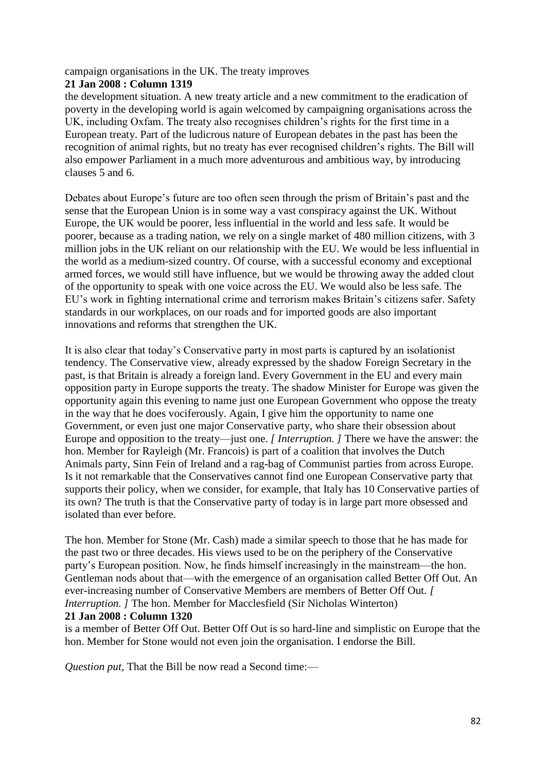campaign organisations in the UK. The treaty improves

### **21 Jan 2008 : Column 1319**

the development situation. A new treaty article and a new commitment to the eradication of poverty in the developing world is again welcomed by campaigning organisations across the UK, including Oxfam. The treaty also recognises children's rights for the first time in a European treaty. Part of the ludicrous nature of European debates in the past has been the recognition of animal rights, but no treaty has ever recognised children's rights. The Bill will also empower Parliament in a much more adventurous and ambitious way, by introducing clauses 5 and 6.

Debates about Europe's future are too often seen through the prism of Britain's past and the sense that the European Union is in some way a vast conspiracy against the UK. Without Europe, the UK would be poorer, less influential in the world and less safe. It would be poorer, because as a trading nation, we rely on a single market of 480 million citizens, with 3 million jobs in the UK reliant on our relationship with the EU. We would be less influential in the world as a medium-sized country. Of course, with a successful economy and exceptional armed forces, we would still have influence, but we would be throwing away the added clout of the opportunity to speak with one voice across the EU. We would also be less safe. The EU's work in fighting international crime and terrorism makes Britain's citizens safer. Safety standards in our workplaces, on our roads and for imported goods are also important innovations and reforms that strengthen the UK.

It is also clear that today's Conservative party in most parts is captured by an isolationist tendency. The Conservative view, already expressed by the shadow Foreign Secretary in the past, is that Britain is already a foreign land. Every Government in the EU and every main opposition party in Europe supports the treaty. The shadow Minister for Europe was given the opportunity again this evening to name just one European Government who oppose the treaty in the way that he does vociferously. Again, I give him the opportunity to name one Government, or even just one major Conservative party, who share their obsession about Europe and opposition to the treaty—just one. *[ Interruption. ]* There we have the answer: the hon. Member for Rayleigh (Mr. Francois) is part of a coalition that involves the Dutch Animals party, Sinn Fein of Ireland and a rag-bag of Communist parties from across Europe. Is it not remarkable that the Conservatives cannot find one European Conservative party that supports their policy, when we consider, for example, that Italy has 10 Conservative parties of its own? The truth is that the Conservative party of today is in large part more obsessed and isolated than ever before.

The hon. Member for Stone (Mr. Cash) made a similar speech to those that he has made for the past two or three decades. His views used to be on the periphery of the Conservative party's European position. Now, he finds himself increasingly in the mainstream—the hon. Gentleman nods about that—with the emergence of an organisation called Better Off Out. An ever-increasing number of Conservative Members are members of Better Off Out. *[ Interruption. ]* The hon. Member for Macclesfield (Sir Nicholas Winterton)

# **21 Jan 2008 : Column 1320**

is a member of Better Off Out. Better Off Out is so hard-line and simplistic on Europe that the hon. Member for Stone would not even join the organisation. I endorse the Bill.

*Question put,* That the Bill be now read a Second time:—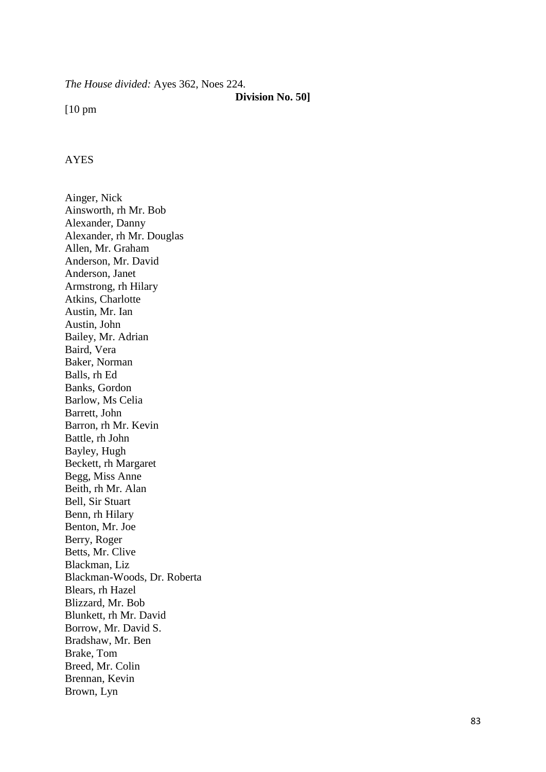*The House divided:* Ayes 362, Noes 224.

#### **Division No. 50]**

[10 pm

### AYES

Ainger, Nick Ainsworth, rh Mr. Bob Alexander, Danny Alexander, rh Mr. Douglas Allen, Mr. Graham Anderson, Mr. David Anderson, Janet Armstrong, rh Hilary Atkins, Charlotte Austin, Mr. Ian Austin, John Bailey, Mr. Adrian Baird, Vera Baker, Norman Balls, rh Ed Banks, Gordon Barlow, Ms Celia Barrett, John Barron, rh Mr. Kevin Battle, rh John Bayley, Hugh Beckett, rh Margaret Begg, Miss Anne Beith, rh Mr. Alan Bell, Sir Stuart Benn, rh Hilary Benton, Mr. Joe Berry, Roger Betts, Mr. Clive Blackman, Liz Blackman -Woods, Dr. Roberta Blears, rh Hazel Blizzard, Mr. Bob Blunkett, rh Mr. David Borrow, Mr. David S. Bradshaw, Mr. Ben Brake, Tom Breed, Mr. Colin Brennan, Kevin Brown, Lyn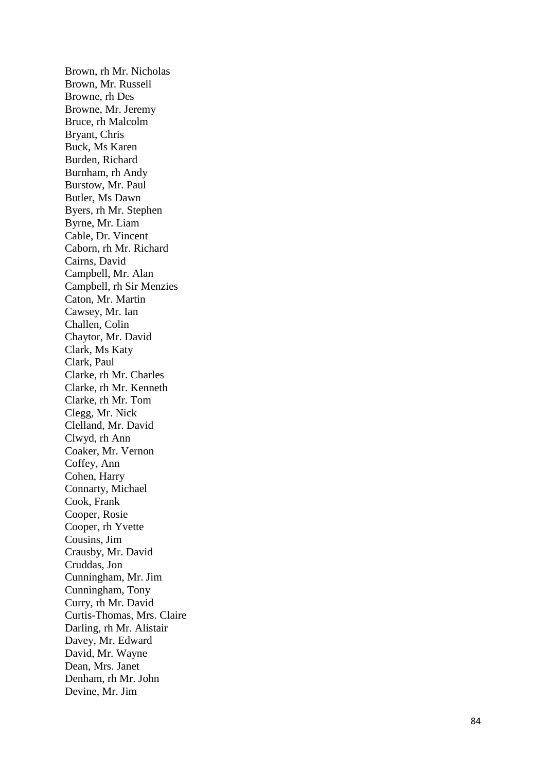Brown, rh Mr. Nicholas Brown, Mr. Russell Browne, rh Des Browne, Mr. Jeremy Bruce, rh Malcolm Bryant, Chris Buck, Ms Karen Burden, Richard Burnham, rh Andy Burstow, Mr. Paul Butler, Ms Dawn Byers, rh Mr. Stephen Byrne, Mr. Liam Cable, Dr. Vincent Caborn, rh Mr. Richard Cairns, David Campbell, Mr. Alan Campbell, rh Sir Menzies Caton, Mr. Martin Cawsey, Mr. Ian Challen, Colin Chaytor, Mr. David Clark, Ms Katy Clark, Paul Clarke, rh Mr. Charles Clarke, rh Mr. Kenneth Clarke, rh Mr. Tom Clegg, Mr. Nick Clelland, Mr. David Clwyd, rh Ann Coaker, Mr. Vernon Coffey, Ann Cohen, Harry Connarty, Michael Cook, Frank Cooper, Rosie Cooper, rh Yvette Cousins, Jim Crausby, Mr. David Cruddas, Jon Cunningham, Mr. Jim Cunningham, Tony Curry, rh Mr. David Curtis -Thomas, Mrs. Claire Darling, rh Mr. Alistair Davey, Mr. Edward David, Mr. Wayne Dean, Mrs. Janet Denham, rh Mr. John Devine, Mr. Jim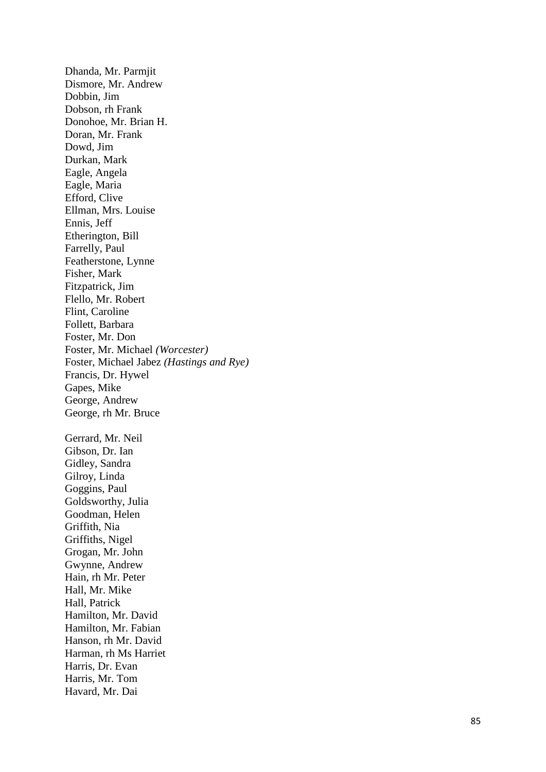Dhanda, Mr. Parmjit Dismore, Mr. Andrew Dobbin, Jim Dobson, rh Frank Donohoe, Mr. Brian H. Doran, Mr. Frank Dowd, Jim Durkan, Mark Eagle, Angela Eagle, Maria Efford, Clive Ellman, Mrs. Louise Ennis, Jeff Etherington, Bill Farrelly, Paul Featherstone, Lynne Fisher, Mark Fitzpatrick, Jim Flello, Mr. Robert Flint, Caroline Follett, Barbara Foster, Mr. Don Foster, Mr. Michael *(Worcester)* Foster, Michael Jabez *(Hastings and Rye)* Francis, Dr. Hywel Gapes, Mike George, Andrew George, rh Mr. Bruce Gerrard, Mr. Neil Gibson, Dr. Ian Gidley, Sandra Gilroy, Linda Goggins, Paul Goldsworthy, Julia Goodman, Helen Griffith, Nia Griffiths, Nigel Grogan, Mr. John Gwynne, Andrew Hain, rh Mr. Peter Hall, Mr. Mike Hall, Patrick Hamilton, Mr. David Hamilton, Mr. Fabian Hanson, rh Mr. David Harman, rh Ms Harriet Harris, Dr. Evan Harris, Mr. Tom Havard, Mr. Dai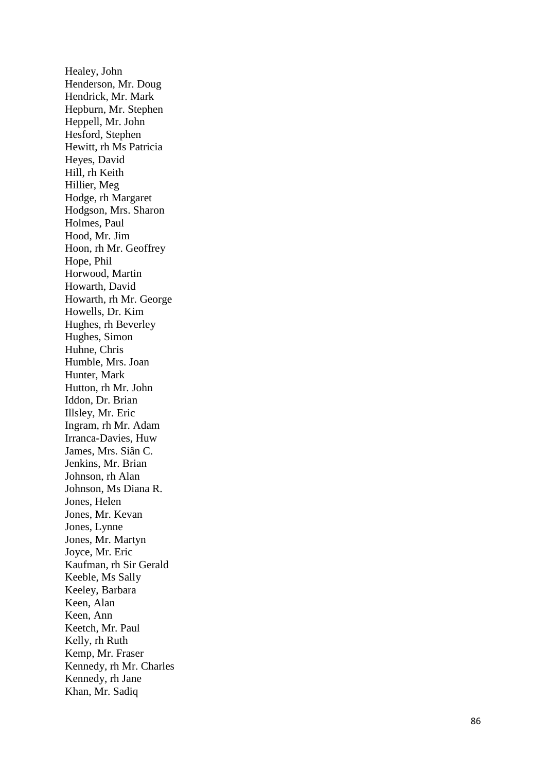Healey, John Henderson, Mr. Doug Hendrick, Mr. Mark Hepburn, Mr. Stephen Heppell, Mr. John Hesford, Stephen Hewitt, rh Ms Patricia Heyes, David Hill, rh Keith Hillier, Meg Hodge, rh Margaret Hodgson, Mrs. Sharon Holmes, Paul Hood, Mr. Jim Hoon, rh Mr. Geoffrey Hope, Phil Horwood, Martin Howarth, David Howarth, rh Mr. George Howells, Dr. Kim Hughes, rh Beverley Hughes, Simon Huhne, Chris Humble, Mrs. Joan Hunter, Mark Hutton, rh Mr. John Iddon, Dr. Brian Illsley, Mr. Eric Ingram, rh Mr. Adam Irranca -Davies, Huw James, Mrs. Siân C. Jenkins, Mr. Brian Johnson, rh Alan Johnson, Ms Diana R. Jones, Helen Jones, Mr. Kevan Jones, Lynne Jones, Mr. Martyn Joyce, Mr. Eric Kaufman, rh Sir Gerald Keeble, Ms Sally Keeley, Barbara Keen, Alan Keen, Ann Keetch, Mr. Paul Kelly, rh Ruth Kemp, Mr. Fraser Kennedy, rh Mr. Charles Kennedy, rh Jane Khan, Mr. Sadiq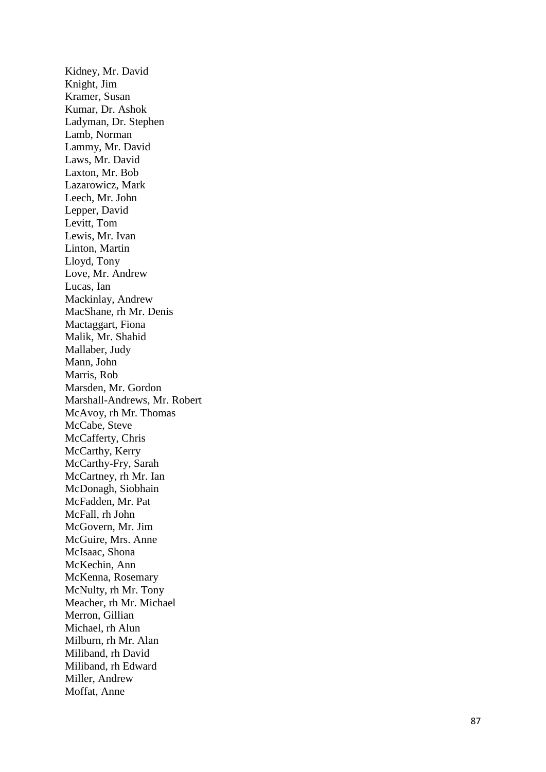Kidney, Mr. David Knight, Jim Kramer, Susan Kumar, Dr. Ashok Ladyman, Dr. Stephen Lamb, Norman Lammy, Mr. David Laws, Mr. David Laxton, Mr. Bob Lazarowicz, Mark Leech, Mr. John Lepper, David Levitt, Tom Lewis, Mr. Ivan Linton, Martin Lloyd, Tony Love, Mr. Andrew Lucas, Ian Mackinlay, Andrew MacShane, rh Mr. Denis Mactaggart, Fiona Malik, Mr. Shahid Mallaber, Judy Mann, John Marris, Rob Marsden, Mr. Gordon Marshall -Andrews, Mr. Robert McAvoy, rh Mr. Thomas McCabe, Steve McCafferty, Chris McCarthy, Kerry McCarthy -Fry, Sarah McCartney, rh Mr. Ian McDonagh, Siobhain McFadden, Mr. Pat McFall, rh John McGovern, Mr. Jim McGuire, Mrs. Anne McIsaac, Shona McKechin, Ann McKenna, Rosemary McNulty, rh Mr. Tony Meacher, rh Mr. Michael Merron, Gillian Michael, rh Alun Milburn, rh Mr. Alan Miliband, rh David Miliband, rh Edward Miller, Andrew Moffat, Anne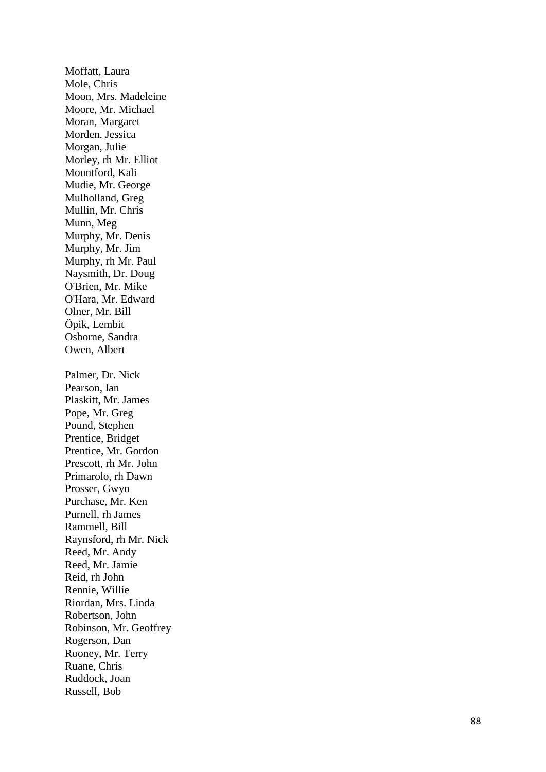Moffatt, Laura Mole, Chris Moon, Mrs. Madeleine Moore, Mr. Michael Moran, Margaret Morden, Jessica Morgan, Julie Morley, rh Mr. Elliot Mountford, Kali Mudie, Mr. George Mulholland, Greg Mullin, Mr. Chris Munn, Meg Murphy, Mr. Denis Murphy, Mr. Jim Murphy, rh Mr. Paul Naysmith, Dr. Doug O'Brien, Mr. Mike O'Hara, Mr. Edward Olner, Mr. Bill Öpik, Lembit Osborne, Sandra Owen, Albert Palmer, Dr. Nick Pearson, Ian Plaskitt, Mr. James Pope, Mr. Greg Pound, Stephen Prentice, Bridget Prentice, Mr. Gordon Prescott, rh Mr. John Primarolo, rh Dawn Prosser, Gwyn Purchase, Mr. Ken Purnell, rh James Rammell, Bill Raynsford, rh Mr. Nick Reed, Mr. Andy Reed, Mr. Jamie Reid, rh John Rennie, Willie Riordan, Mrs. Linda Robertson, John Robinson, Mr. Geoffrey Rogerson, Dan Rooney, Mr. Terry Ruane, Chris Ruddock, Joan Russell, Bob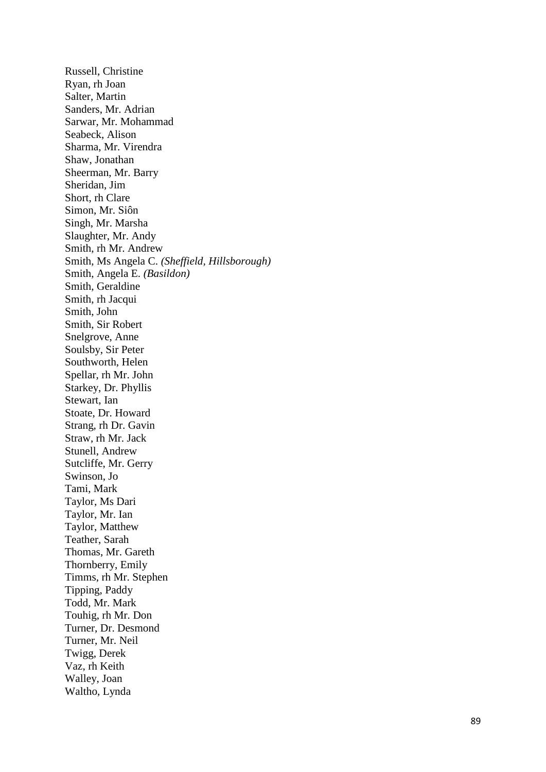Russell, Christine Ryan, rh Joan Salter, Martin Sanders, Mr. Adrian Sarwar, Mr. Mohammad Seabeck, Alison Sharma, Mr. Virendra Shaw, Jonathan Sheerman, Mr. Barry Sheridan, Jim Short, rh Clare Simon, Mr. Siôn Singh, Mr. Marsha Slaughter, Mr. Andy Smith, rh Mr. Andrew Smith, Ms Angela C. *(Sheffield, Hillsborough)* Smith, Angela E. *(Basildon)* Smith, Geraldine Smith, rh Jacqui Smith, John Smith, Sir Robert Snelgrove, Anne Soulsby, Sir Peter Southworth, Helen Spellar, rh Mr. John Starkey, Dr. Phyllis Stewart, Ian Stoate, Dr. Howard Strang, rh Dr. Gavin Straw, rh Mr. Jack Stunell, Andrew Sutcliffe, Mr. Gerry Swinson, Jo Tami, Mark Taylor, Ms Dari Taylor, Mr. Ian Taylor, Matthew Teather, Sarah Thomas, Mr. Gareth Thornberry, Emily Timms, rh Mr. Stephen Tipping, Paddy Todd, Mr. Mark Touhig, rh Mr. Don Turner, Dr. Desmond Turner, Mr. Neil Twigg, Derek Vaz, rh Keith Walley, Joan Waltho, Lynda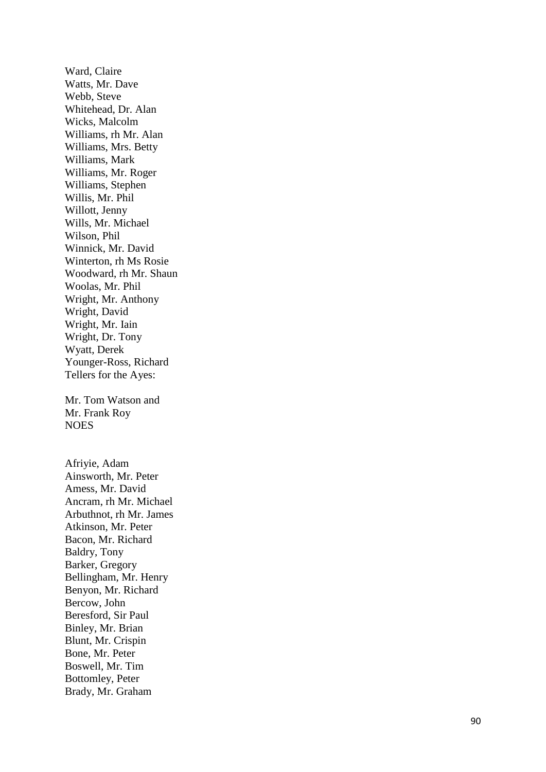Ward, Claire Watts, Mr. Dave Webb, Steve Whitehead, Dr. Alan Wicks, Malcolm Williams, rh Mr. Alan Williams, Mrs. Betty Williams, Mark Williams, Mr. Roger Williams, Stephen Willis, Mr. Phil Willott, Jenny Wills, Mr. Michae l Wilson, Phil Winnick, Mr. David Winterton, rh Ms Rosie Woodward, rh Mr. Shaun Woolas, Mr. Phil Wright, Mr. Anthony Wright, David Wright, Mr. Iain Wright, Dr. Tony Wyatt, Derek Younger -Ross, Richard Tellers for the Ayes:

Mr. Tom Watson and Mr. Frank Roy **NOES** 

Afriyie, Adam Ainsworth, Mr. Peter Amess, Mr. David Ancram, rh Mr. Michael Arbuthnot, rh Mr. James Atkinson, Mr. Peter Bacon, Mr. Richard Baldry, Tony Barker, Gregory Bellingham, Mr. Henry Benyon, Mr. Richard Bercow, John Beresford, Sir Paul Binley, Mr. Brian Blunt, Mr. Crispin Bone, Mr. Peter Boswell, Mr. Tim Bottomley, Peter Brady, Mr. Graham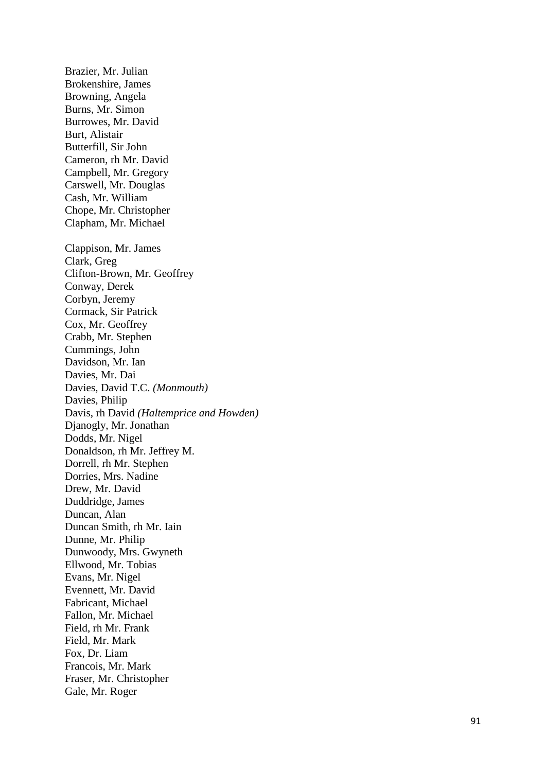Brazier, Mr. Julian Brokenshire, James Browning, Angela Burns, Mr. Simon Burrowes, Mr. David Burt, Alistair Butterfill, Sir John Cameron, rh Mr. David Campbell, Mr. Gregory Carswell, Mr. Douglas Cash, Mr. William Chope, Mr. Christopher Clapham, Mr. Michael Clappison, Mr. James Clark, Greg Clifton -Brown, Mr. Geoffrey Conway, Derek Corbyn, Jeremy Cormack, Sir Patrick Cox, Mr. Geoffrey Crabb, Mr. Stephen Cummings, John Davidson, Mr. Ian Davies, Mr. Dai Davies, David T.C. *(Monmouth)* Davies, Philip Davis, rh David *(Haltemprice and Howden)* Djanogly, Mr. Jonathan Dodds, Mr. Nigel Donaldson, rh Mr. Jeffrey M. Dorrell, rh Mr. Stephen Dorries, Mrs. Nadine Drew, Mr. David Duddridge, James Duncan, Alan Duncan Smith, rh Mr. Iain Dunne, Mr. Philip Dunwoody, Mrs. Gwyneth Ellwood, Mr. Tobias Evans, Mr. Nigel Evennett, Mr. David Fabricant, Michael Fallon, Mr. Michael Field, rh Mr. Frank Field, Mr. Mark Fox, Dr. Liam Francois, Mr. Mark Fraser, Mr. Christopher Gale, Mr. Roger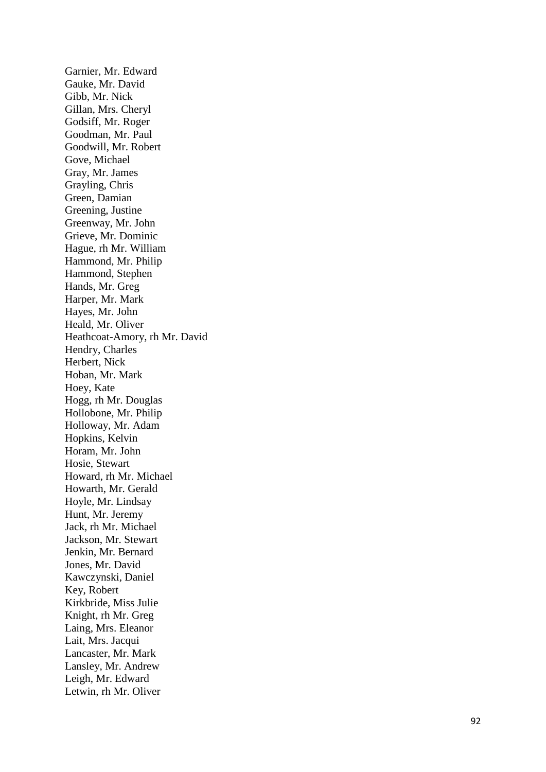Garnier, Mr. Edward Gauke, Mr. David Gibb, Mr. Nick Gillan, Mrs. Cheryl Godsiff, Mr. Roger Goodman, Mr. Paul Goodwill, Mr. Robert Gove, Michael Gray, Mr. James Grayling, Chris Green, Damian Greening, Justin e Greenway, Mr. John Grieve, Mr. Dominic Hague, rh Mr. William Hammond, Mr. Philip Hammond, Stephen Hands, Mr. Greg Harper, Mr. Mark Hayes, Mr. John Heald, Mr. Oliver Heathcoat -Amory, rh Mr. David Hendry, Charles Herbert, Nick Hoban, Mr. Mark Hoey, Kate Hogg, rh Mr. Douglas Hollobone, Mr. Philip Holloway, Mr. Adam Hopkins, Kelvin Horam, Mr. John Hosie, Stewart Howard, rh Mr. Michael Howarth, Mr. Gerald Hoyle, Mr. Lindsay Hunt, Mr. Jeremy Jack, rh Mr. Michael Jackson, Mr. Stewart Jenkin, Mr. Bernard Jones, Mr. David Kawczynski, Daniel Key, Robert Kirkbride, Miss Julie Knight, rh Mr. Greg Laing, Mrs. Eleanor Lait, Mrs. Jacqui Lancaster, Mr. Mark Lansley, Mr. Andrew Leigh, Mr. Edward Letwin, rh Mr. Oliver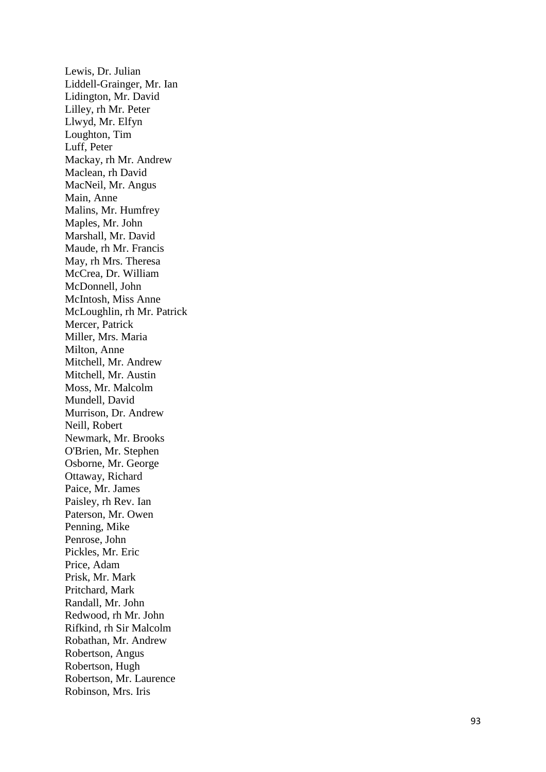Lewis, Dr. Julian Liddell -Grainger, Mr. Ian Lidington, Mr. David Lilley, rh Mr. Peter Llwyd, Mr. Elfyn Loughton, Tim Luff, Peter Mackay, rh Mr. Andrew Maclean, rh David MacNeil, Mr. Angus Main, Anne Malins, Mr. Humfrey Maples, Mr. John Marshall, Mr. David Maude, rh Mr. Francis May, rh Mrs. Theresa McCrea, Dr. William McDonnell, John McIntosh, Miss Anne McLoughlin, rh Mr. Patrick Mercer, Patrick Miller, Mrs. Maria Milton, Anne Mitchell, Mr. Andrew Mitchell, Mr. Austin Moss, Mr. Malcolm Mundell, David Murrison, Dr. Andrew Neill, Robert Newmark, Mr. Brooks O'Brien, Mr. Stephen Osborne, Mr. George Ottaway, Richard Paice, Mr. James Paisley, rh Rev. Ian Paterson, Mr. Owen Penning, Mike Penrose, John Pickles, Mr. Eric Price, Adam Prisk, Mr. Mark Pritchard, Mark Randall, Mr. John Redwood, rh Mr. John Rifkind, rh Sir Malcolm Robathan, Mr. Andrew Robertson, Angus Robertson, Hugh Robertson, Mr. Laurence Robinson, Mrs. Iris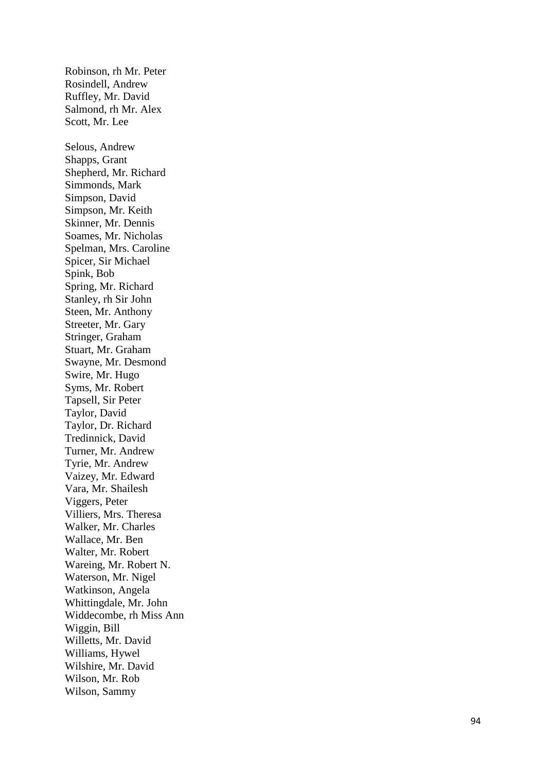Robinson, rh Mr. Peter Rosindell, Andrew Ruffley, Mr. David Salmond, rh Mr. Alex Scott, Mr. Lee Selous, Andrew Shapps, Grant Shepherd, Mr. Richard Simmonds, Mark Simpson, David Simpson, Mr. Keith Skinner, Mr. Dennis Soames, Mr. Nicholas Spelman, Mrs. Caroline Spicer, Sir Michael Spink, Bob Spring, Mr. Richard Stanley, rh Sir John Steen, Mr. Anthony Streeter, Mr. Gary Stringer, Graham Stuart, Mr. Graham Swayne, Mr. Desmond Swire, Mr. Hugo Syms, Mr. Robert Tapsell, Sir Peter Taylor, David Taylor, Dr. Richard Tredinnick, David Turner, Mr. Andrew Tyrie, Mr. Andrew Vaizey, Mr. Edward Vara, Mr. Shailesh Viggers, Peter Villiers, Mrs. Theresa Walker, Mr. Charle s Wallace, Mr. Ben Walter, Mr. Robert Wareing, Mr. Robert N. Waterson, Mr. Nigel Watkinson, Angela Whittingdale, Mr. John Widdecombe, rh Miss Ann Wiggin, Bill Willetts, Mr. David Williams, Hywel Wilshire, Mr. David Wilson, Mr. Rob Wilson, Sammy